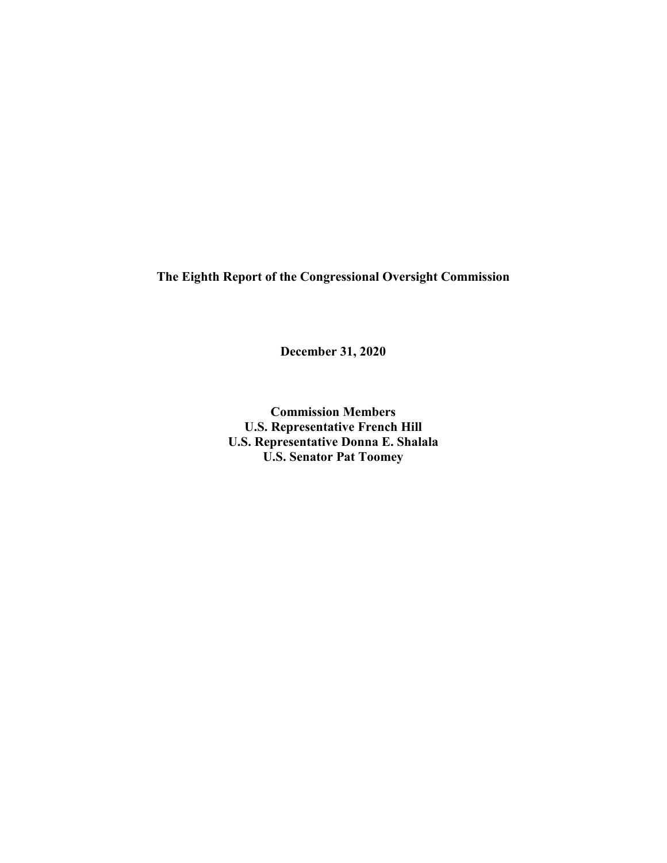**The Eighth Report of the Congressional Oversight Commission** 

**December 31, 2020**

**Commission Members U.S. Representative French Hill U.S. Representative Donna E. Shalala U.S. Senator Pat Toomey**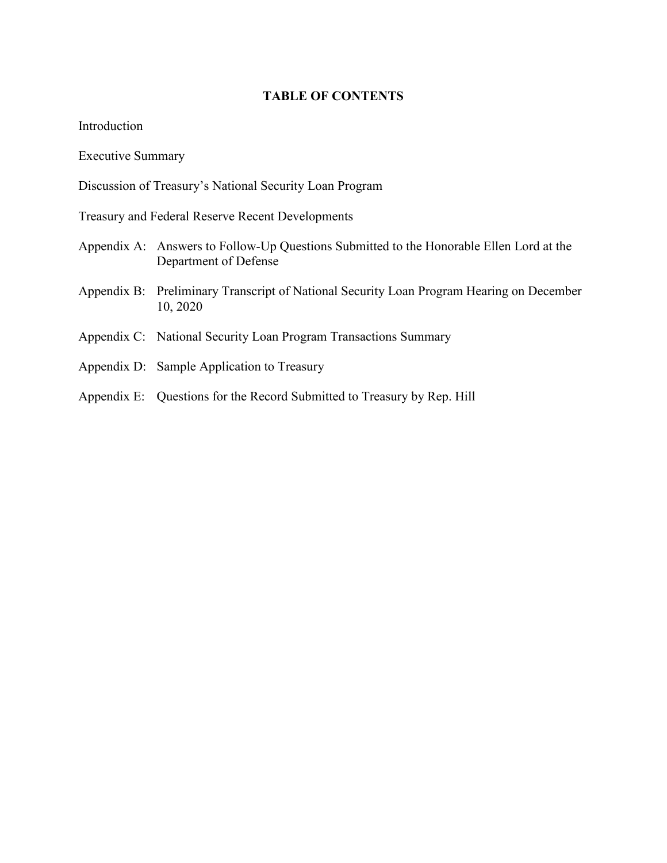### **TABLE OF CONTENTS**

Introduction

Executive Summary

Discussion of Treasury's National Security Loan Program

Treasury and Federal Reserve Recent Developments

- Appendix A: Answers to Follow-Up Questions Submitted to the Honorable Ellen Lord at the Department of Defense
- Appendix B: Preliminary Transcript of National Security Loan Program Hearing on December 10, 2020
- Appendix C: National Security Loan Program Transactions Summary
- Appendix D: Sample Application to Treasury
- Appendix E: Questions for the Record Submitted to Treasury by Rep. Hill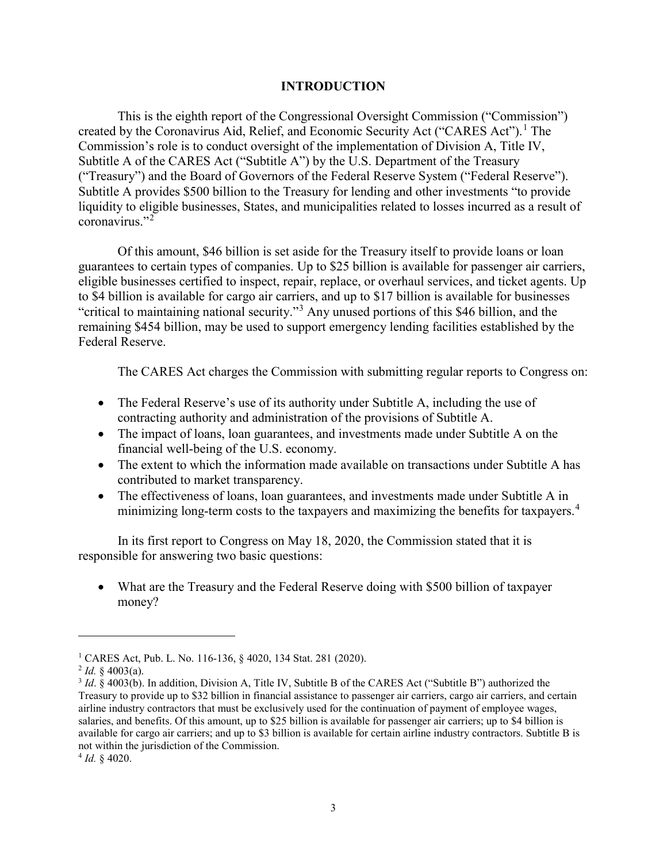#### **INTRODUCTION**

This is the eighth report of the Congressional Oversight Commission ("Commission") created by the Coronavirus Aid, Relief, and Economic Security Act ("CARES Act").<sup>[1](#page-2-0)</sup> The Commission's role is to conduct oversight of the implementation of Division A, Title IV, Subtitle A of the CARES Act ("Subtitle A") by the U.S. Department of the Treasury ("Treasury") and the Board of Governors of the Federal Reserve System ("Federal Reserve"). Subtitle A provides \$500 billion to the Treasury for lending and other investments "to provide liquidity to eligible businesses, States, and municipalities related to losses incurred as a result of coronavirus."[2](#page-2-1)

Of this amount, \$46 billion is set aside for the Treasury itself to provide loans or loan guarantees to certain types of companies. Up to \$25 billion is available for passenger air carriers, eligible businesses certified to inspect, repair, replace, or overhaul services, and ticket agents. Up to \$4 billion is available for cargo air carriers, and up to \$17 billion is available for businesses "critical to maintaining national security."[3](#page-2-2) Any unused portions of this \$46 billion, and the remaining \$454 billion, may be used to support emergency lending facilities established by the Federal Reserve.

The CARES Act charges the Commission with submitting regular reports to Congress on:

- The Federal Reserve's use of its authority under Subtitle A, including the use of contracting authority and administration of the provisions of Subtitle A.
- The impact of loans, loan guarantees, and investments made under Subtitle A on the financial well-being of the U.S. economy.
- The extent to which the information made available on transactions under Subtitle A has contributed to market transparency.
- The effectiveness of loans, loan guarantees, and investments made under Subtitle A in minimizing long-term costs to the taxpayers and maximizing the benefits for taxpayers.<sup>[4](#page-2-3)</sup>

In its first report to Congress on May 18, 2020, the Commission stated that it is responsible for answering two basic questions:

• What are the Treasury and the Federal Reserve doing with \$500 billion of taxpayer money?

 $\overline{\phantom{a}}$ 

<span id="page-2-0"></span><sup>&</sup>lt;sup>1</sup> CARES Act, Pub. L. No. 116-136, § 4020, 134 Stat. 281 (2020).<br><sup>2</sup> Id. § 4003(a).

<span id="page-2-1"></span>

<span id="page-2-2"></span><sup>&</sup>lt;sup>3</sup> *Id.* § 4003(b). In addition, Division A, Title IV, Subtitle B of the CARES Act ("Subtitle B") authorized the Treasury to provide up to \$32 billion in financial assistance to passenger air carriers, cargo air carriers, and certain airline industry contractors that must be exclusively used for the continuation of payment of employee wages, salaries, and benefits. Of this amount, up to \$25 billion is available for passenger air carriers; up to \$4 billion is available for cargo air carriers; and up to \$3 billion is available for certain airline industry contractors. Subtitle B is not within the jurisdiction of the Commission.

<span id="page-2-3"></span><sup>4</sup> *Id.* § 4020.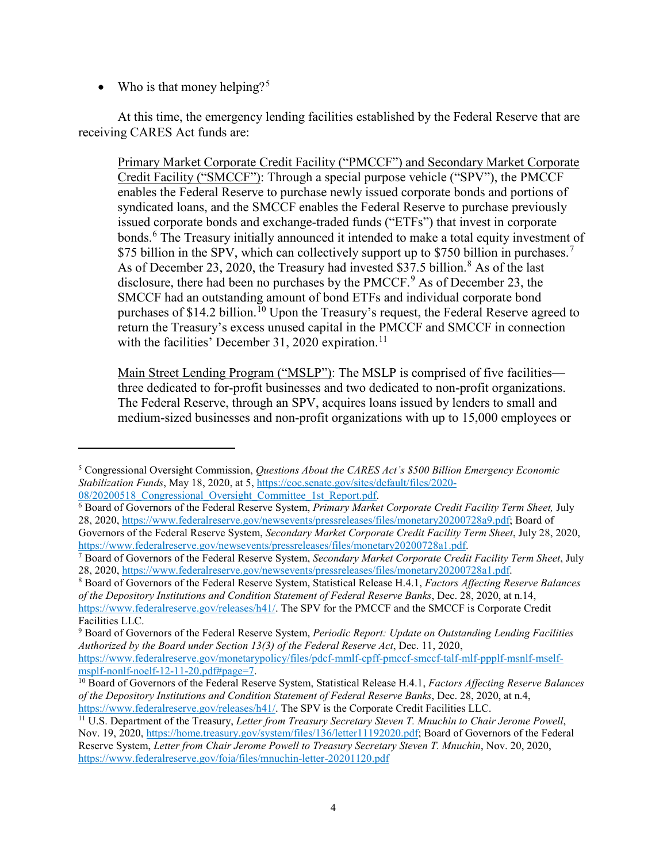• Who is that money helping?<sup>[5](#page-3-0)</sup>

 $\overline{a}$ 

At this time, the emergency lending facilities established by the Federal Reserve that are receiving CARES Act funds are:

Primary Market Corporate Credit Facility ("PMCCF") and Secondary Market Corporate Credit Facility ("SMCCF"): Through a special purpose vehicle ("SPV"), the PMCCF enables the Federal Reserve to purchase newly issued corporate bonds and portions of syndicated loans, and the SMCCF enables the Federal Reserve to purchase previously issued corporate bonds and exchange-traded funds ("ETFs") that invest in corporate bonds.<sup>[6](#page-3-1)</sup> The Treasury initially announced it intended to make a total equity investment of \$[7](#page-3-2)5 billion in the SPV, which can collectively support up to \$750 billion in purchases.<sup>7</sup> As of December 23, 2020, the Treasury had invested \$37.5 billion.<sup>[8](#page-3-3)</sup> As of the last disclosure, there had been no purchases by the PMCCF. $9$  As of December 23, the SMCCF had an outstanding amount of bond ETFs and individual corporate bond purchases of \$14.2 billion.<sup>[10](#page-3-5)</sup> Upon the Treasury's request, the Federal Reserve agreed to return the Treasury's excess unused capital in the PMCCF and SMCCF in connection with the facilities' December 31, 2020 expiration.<sup>[11](#page-3-6)</sup>

Main Street Lending Program ("MSLP"): The MSLP is comprised of five facilities three dedicated to for-profit businesses and two dedicated to non-profit organizations. The Federal Reserve, through an SPV, acquires loans issued by lenders to small and medium-sized businesses and non-profit organizations with up to 15,000 employees or

<span id="page-3-0"></span><sup>5</sup> Congressional Oversight Commission, *Questions About the CARES Act's \$500 Billion Emergency Economic Stabilization Funds*, May 18, 2020, at 5[, https://coc.senate.gov/sites/default/files/2020-](https://coc.senate.gov/sites/default/files/2020-08/20200518_Congressional_Oversight_Committee_1st_Report.pdf) 08/20200518 Congressional Oversight Committee 1st Report.pdf.

<span id="page-3-1"></span><sup>6</sup> Board of Governors of the Federal Reserve System, *Primary Market Corporate Credit Facility Term Sheet,* July 28, 2020, [https://www.federalreserve.gov/newsevents/pressreleases/files/monetary20200728a9.pdf;](https://www.federalreserve.gov/newsevents/pressreleases/files/monetary20200728a9.pdf) Board of Governors of the Federal Reserve System, *Secondary Market Corporate Credit Facility Term Sheet*, July 28, 2020,

<span id="page-3-2"></span>[https://www.federalreserve.gov/newsevents/pressreleases/files/monetary20200728a1.pdf.](https://www.federalreserve.gov/newsevents/pressreleases/files/monetary20200728a1.pdf) <sup>7</sup> Board of Governors of the Federal Reserve System, *Secondary Market Corporate Credit Facility Term Sheet*, July 28, 2020, [https://www.federalreserve.gov/newsevents/pressreleases/files/monetary20200728a1.pdf.](https://www.federalreserve.gov/newsevents/pressreleases/files/monetary20200728a1.pdf)

<span id="page-3-3"></span><sup>8</sup> Board of Governors of the Federal Reserve System, Statistical Release H.4.1, *Factors Affecting Reserve Balances of the Depository Institutions and Condition Statement of Federal Reserve Banks*, Dec. 28, 2020, at n.14, https://www.federalreserve.gov/releases/h41/. The SPV for the PMCCF and the SMCCF is Corporate Credit

<span id="page-3-4"></span>Facilities LLC.<br><sup>9</sup> Board of Governors of the Federal Reserve System, *Periodic Report: Update on Outstanding Lending Facilities Authorized by the Board under Section 13(3) of the Federal Reserve Act*, Dec. 11, 2020, [https://www.federalreserve.gov/monetarypolicy/files/pdcf-mmlf-cpff-pmccf-smccf-talf-mlf-ppplf-msnlf-mself-](https://www.federalreserve.gov/monetarypolicy/files/pdcf-mmlf-cpff-pmccf-smccf-talf-mlf-ppplf-msnlf-mself-msplf-nonlf-noelf-12-11-20.pdf#page=7)

<span id="page-3-5"></span>[msplf-nonlf-noelf-12-11-20.pdf#page=7.](https://www.federalreserve.gov/monetarypolicy/files/pdcf-mmlf-cpff-pmccf-smccf-talf-mlf-ppplf-msnlf-mself-msplf-nonlf-noelf-12-11-20.pdf#page=7) 10 Board of Governors of the Federal Reserve System, Statistical Release H.4.1, *Factors Affecting Reserve Balances of the Depository Institutions and Condition Statement of Federal Reserve Banks*, Dec. 28, 2020, at n.4, https://www.federalreserve.gov/releases/h41/. The SPV is the Corporate Credit Facilities LLC.

<span id="page-3-6"></span><sup>11</sup> U.S. Department of the Treasury, *Letter from Treasury Secretary Steven T. Mnuchin to Chair Jerome Powell*, Nov. 19, 2020, [https://home.treasury.gov/system/files/136/letter11192020.pdf;](https://home.treasury.gov/system/files/136/letter11192020.pdf) Board of Governors of the Federal Reserve System, *Letter from Chair Jerome Powell to Treasury Secretary Steven T. Mnuchin*, Nov. 20, 2020, <https://www.federalreserve.gov/foia/files/mnuchin-letter-20201120.pdf>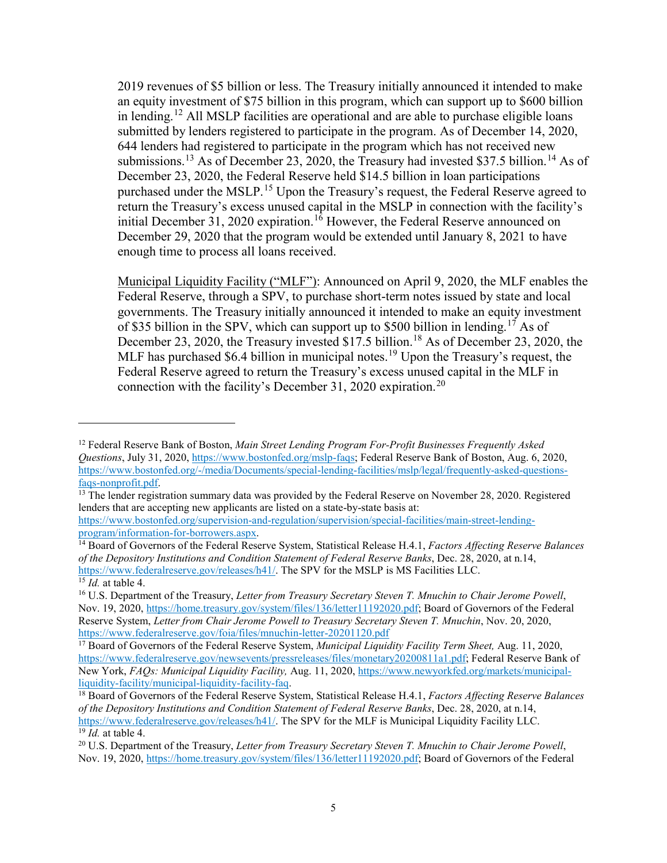2019 revenues of \$5 billion or less. The Treasury initially announced it intended to make an equity investment of \$75 billion in this program, which can support up to \$600 billion in lending.<sup>[12](#page-4-0)</sup> All MSLP facilities are operational and are able to purchase eligible loans submitted by lenders registered to participate in the program. As of December 14, 2020, 644 lenders had registered to participate in the program which has not received new submissions.<sup>[13](#page-4-1)</sup> As of December 23, 2020, the Treasury had invested \$37.5 billion.<sup>[14](#page-4-2)</sup> As of December 23, 2020, the Federal Reserve held \$14.5 billion in loan participations purchased under the MSLP.<sup>[15](#page-4-3)</sup> Upon the Treasury's request, the Federal Reserve agreed to return the Treasury's excess unused capital in the MSLP in connection with the facility's initial December 31, 2020 expiration.<sup>[16](#page-4-4)</sup> However, the Federal Reserve announced on December 29, 2020 that the program would be extended until January 8, 2021 to have enough time to process all loans received.

Municipal Liquidity Facility ("MLF"): Announced on April 9, 2020, the MLF enables the Federal Reserve, through a SPV, to purchase short-term notes issued by state and local governments. The Treasury initially announced it intended to make an equity investment of \$35 billion in the SPV, which can support up to \$500 billion in lending.<sup>[17](#page-4-5)</sup> As of December 23, 2020, the Treasury invested \$17.5 billion.<sup>[18](#page-4-6)</sup> As of December 23, 2020, the MLF has purchased \$6.4 billion in municipal notes.<sup>[19](#page-4-7)</sup> Upon the Treasury's request, the Federal Reserve agreed to return the Treasury's excess unused capital in the MLF in connection with the facility's December 31, [20](#page-4-8)20 expiration.<sup>20</sup>

 $\overline{\phantom{a}}$ 

<span id="page-4-0"></span><sup>12</sup> Federal Reserve Bank of Boston, *Main Street Lending Program For-Profit Businesses Frequently Asked Questions*, July 31, 2020, [https://www.bostonfed.org/mslp-faqs;](https://www.bostonfed.org/mslp-faqs) Federal Reserve Bank of Boston, Aug. 6, 2020, [https://www.bostonfed.org/-/media/Documents/special-lending-facilities/mslp/legal/frequently-asked-questions](https://www.bostonfed.org/-/media/Documents/special-lending-facilities/mslp/legal/frequently-asked-questions-faqs-nonprofit.pdf)[faqs-nonprofit.pdf.](https://www.bostonfed.org/-/media/Documents/special-lending-facilities/mslp/legal/frequently-asked-questions-faqs-nonprofit.pdf)

<span id="page-4-1"></span><sup>&</sup>lt;sup>13</sup> The lender registration summary data was provided by the Federal Reserve on November 28, 2020. Registered lenders that are accepting new applicants are listed on a state-by-state basis at:

[https://www.bostonfed.org/supervision-and-regulation/supervision/special-facilities/main-street-lending](https://www.bostonfed.org/supervision-and-regulation/supervision/special-facilities/main-street-lending-program/information-for-borrowers.aspx)[program/information-for-borrowers.aspx.](https://www.bostonfed.org/supervision-and-regulation/supervision/special-facilities/main-street-lending-program/information-for-borrowers.aspx)

<span id="page-4-2"></span><sup>14</sup> Board of Governors of the Federal Reserve System, Statistical Release H.4.1, *Factors Affecting Reserve Balances of the Depository Institutions and Condition Statement of Federal Reserve Banks*, Dec. 28, 2020, at n.14, https://www.federalreserve.gov/releases/h41/. The SPV for the MSLP is MS Facilities LLC. <sup>15</sup> *Id.* at table 4.

<span id="page-4-4"></span><span id="page-4-3"></span><sup>16</sup> U.S. Department of the Treasury, *Letter from Treasury Secretary Steven T. Mnuchin to Chair Jerome Powell*, Nov. 19, 2020, [https://home.treasury.gov/system/files/136/letter11192020.pdf;](https://home.treasury.gov/system/files/136/letter11192020.pdf) Board of Governors of the Federal Reserve System, *Letter from Chair Jerome Powell to Treasury Secretary Steven T. Mnuchin*, Nov. 20, 2020, <https://www.federalreserve.gov/foia/files/mnuchin-letter-20201120.pdf>

<span id="page-4-5"></span><sup>17</sup> Board of Governors of the Federal Reserve System, *Municipal Liquidity Facility Term Sheet,* Aug. 11, 2020, [https://www.federalreserve.gov/newsevents/pressreleases/files/monetary20200811a1.pdf;](https://www.federalreserve.gov/newsevents/pressreleases/files/monetary20200811a1.pdf) Federal Reserve Bank of New York, *FAQs: Municipal Liquidity Facility,* Aug. 11, 2020[, https://www.newyorkfed.org/markets/municipal](https://www.newyorkfed.org/markets/municipal-liquidity-facility/municipal-liquidity-facility-faq)[liquidity-facility/municipal-liquidity-facility-faq.](https://www.newyorkfed.org/markets/municipal-liquidity-facility/municipal-liquidity-facility-faq)

<span id="page-4-6"></span><sup>18</sup> Board of Governors of the Federal Reserve System, Statistical Release H.4.1, *Factors Affecting Reserve Balances of the Depository Institutions and Condition Statement of Federal Reserve Banks*, Dec. 28, 2020, at n.14, [https://www.federalreserve.gov/releases/h41/.](https://www.federalreserve.gov/releases/h41/) The SPV for the MLF is Municipal Liquidity Facility LLC.  $\frac{19}{19}$  *Id.* at table 4.

<span id="page-4-8"></span><span id="page-4-7"></span><sup>20</sup> U.S. Department of the Treasury, *Letter from Treasury Secretary Steven T. Mnuchin to Chair Jerome Powell*, Nov. 19, 2020, [https://home.treasury.gov/system/files/136/letter11192020.pdf;](https://home.treasury.gov/system/files/136/letter11192020.pdf) Board of Governors of the Federal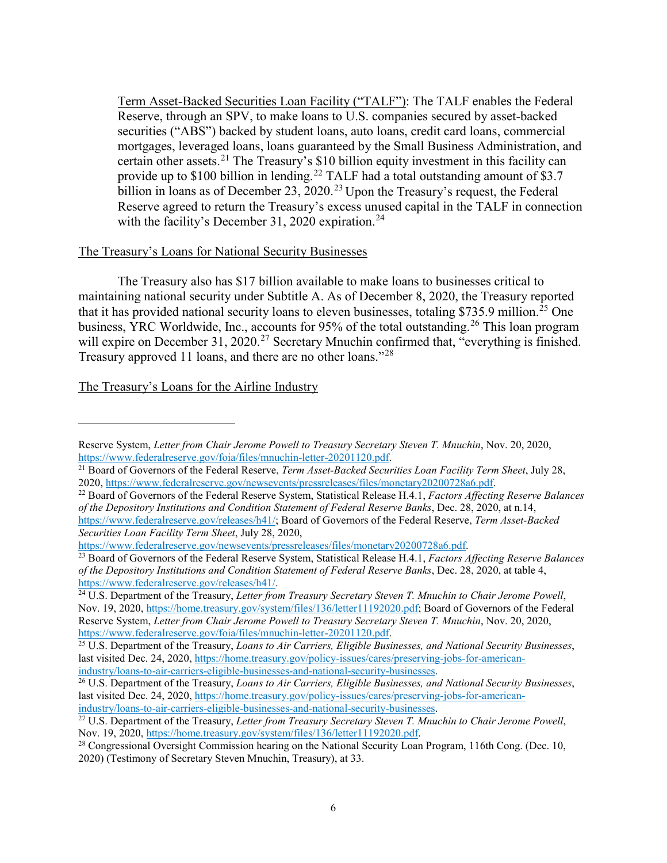Term Asset-Backed Securities Loan Facility ("TALF"): The TALF enables the Federal Reserve, through an SPV, to make loans to U.S. companies secured by asset-backed securities ("ABS") backed by student loans, auto loans, credit card loans, commercial mortgages, leveraged loans, loans guaranteed by the Small Business Administration, and certain other assets.<sup>[21](#page-5-0)</sup> The Treasury's \$10 billion equity investment in this facility can provide up to \$100 billion in lending.<sup>[22](#page-5-1)</sup> TALF had a total outstanding amount of \$3.7 billion in loans as of December [23](#page-5-2), 2020.<sup>23</sup> Upon the Treasury's request, the Federal Reserve agreed to return the Treasury's excess unused capital in the TALF in connection with the facility's December 31, 2020 expiration.<sup>[24](#page-5-3)</sup>

### The Treasury's Loans for National Security Businesses

The Treasury also has \$17 billion available to make loans to businesses critical to maintaining national security under Subtitle A. As of December 8, 2020, the Treasury reported that it has provided national security loans to eleven businesses, totaling \$735.9 million.<sup>[25](#page-5-4)</sup> One business, YRC Worldwide, Inc., accounts for 95% of the total outstanding.<sup>[26](#page-5-5)</sup> This loan program will expire on December 31, 2020.<sup>[27](#page-5-6)</sup> Secretary Mnuchin confirmed that, "everything is finished. Treasury approved 11 loans, and there are no other loans."<sup>[28](#page-5-7)</sup>

The Treasury's Loans for the Airline Industry

 $\overline{\phantom{a}}$ 

[https://www.federalreserve.gov/newsevents/pressreleases/files/monetary20200728a6.pdf.](https://www.federalreserve.gov/newsevents/pressreleases/files/monetary20200728a6.pdf)

Reserve System, *Letter from Chair Jerome Powell to Treasury Secretary Steven T. Mnuchin*, Nov. 20, 2020, [https://www.federalreserve.gov/foia/files/mnuchin-letter-20201120.pdf.](https://www.federalreserve.gov/foia/files/mnuchin-letter-20201120.pdf)

<span id="page-5-0"></span><sup>21</sup> Board of Governors of the Federal Reserve, *Term Asset-Backed Securities Loan Facility Term Sheet*, July 28, 2020, [https://www.federalreserve.gov/newsevents/pressreleases/files/monetary20200728a6.pdf.](https://www.federalreserve.gov/newsevents/pressreleases/files/monetary20200728a6.pdf)

<span id="page-5-1"></span><sup>22</sup> Board of Governors of the Federal Reserve System, Statistical Release H.4.1, *Factors Affecting Reserve Balances of the Depository Institutions and Condition Statement of Federal Reserve Banks*, Dec. 28, 2020, at n.14, [https://www.federalreserve.gov/releases/h41/;](https://www.federalreserve.gov/releases/h41/) Board of Governors of the Federal Reserve, *Term Asset-Backed Securities Loan Facility Term Sheet*, July 28, 2020,

<span id="page-5-2"></span><sup>23</sup> Board of Governors of the Federal Reserve System, Statistical Release H.4.1, *Factors Affecting Reserve Balances of the Depository Institutions and Condition Statement of Federal Reserve Banks*, Dec. 28, 2020, at table 4, https://www.federalreserve.gov/releases/h41/.

<span id="page-5-3"></span><sup>&</sup>lt;sup>24</sup> U.S. Department of the Treasury, *Letter from Treasury Secretary Steven T. Mnuchin to Chair Jerome Powell*, Nov. 19, 2020, [https://home.treasury.gov/system/files/136/letter11192020.pdf;](https://home.treasury.gov/system/files/136/letter11192020.pdf) Board of Governors of the Federal Reserve System, *Letter from Chair Jerome Powell to Treasury Secretary Steven T. Mnuchin*, Nov. 20, 2020, [https://www.federalreserve.gov/foia/files/mnuchin-letter-20201120.pdf.](https://www.federalreserve.gov/foia/files/mnuchin-letter-20201120.pdf)

<span id="page-5-4"></span><sup>25</sup> U.S. Department of the Treasury, *Loans to Air Carriers, Eligible Businesses, and National Security Businesses*, last visited Dec. 24, 2020[, https://home.treasury.gov/policy-issues/cares/preserving-jobs-for-american](https://home.treasury.gov/policy-issues/cares/preserving-jobs-for-american-industry/loans-to-air-carriers-eligible-businesses-and-national-security-businesses)[industry/loans-to-air-carriers-eligible-businesses-and-national-security-businesses.](https://home.treasury.gov/policy-issues/cares/preserving-jobs-for-american-industry/loans-to-air-carriers-eligible-businesses-and-national-security-businesses)

<span id="page-5-5"></span><sup>26</sup> U.S. Department of the Treasury, *Loans to Air Carriers, Eligible Businesses, and National Security Businesses*, last visited Dec. 24, 2020[, https://home.treasury.gov/policy-issues/cares/preserving-jobs-for-american](https://home.treasury.gov/policy-issues/cares/preserving-jobs-for-american-industry/loans-to-air-carriers-eligible-businesses-and-national-security-businesses)[industry/loans-to-air-carriers-eligible-businesses-and-national-security-businesses.](https://home.treasury.gov/policy-issues/cares/preserving-jobs-for-american-industry/loans-to-air-carriers-eligible-businesses-and-national-security-businesses)

<span id="page-5-6"></span><sup>27</sup> U.S. Department of the Treasury, *Letter from Treasury Secretary Steven T. Mnuchin to Chair Jerome Powell*, Nov. 19, 2020, [https://home.treasury.gov/system/files/136/letter11192020.pdf.](https://home.treasury.gov/system/files/136/letter11192020.pdf)

<span id="page-5-7"></span><sup>&</sup>lt;sup>28</sup> Congressional Oversight Commission hearing on the National Security Loan Program, 116th Cong. (Dec. 10, 2020) (Testimony of Secretary Steven Mnuchin, Treasury), at 33.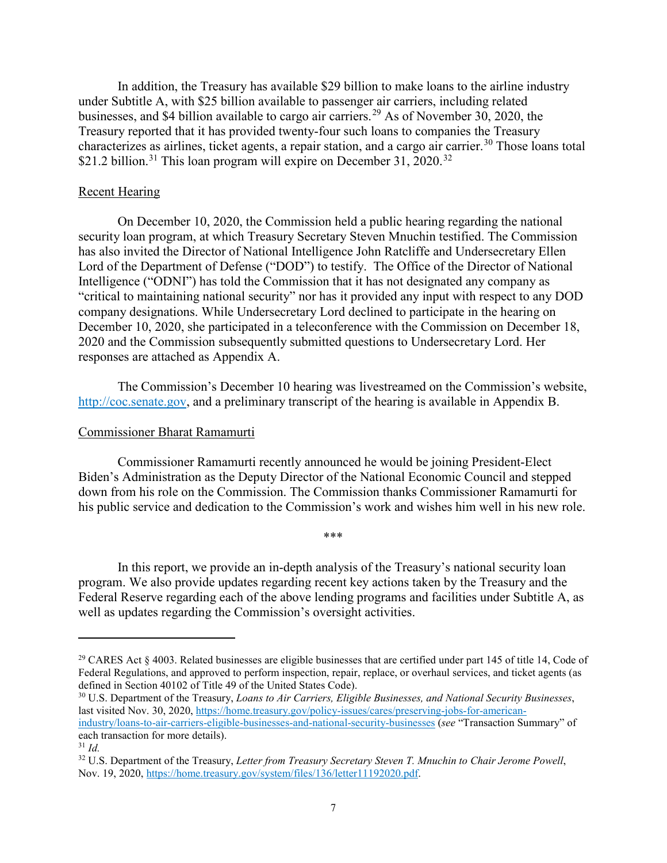In addition, the Treasury has available \$29 billion to make loans to the airline industry under Subtitle A, with \$25 billion available to passenger air carriers, including related businesses, and \$4 billion available to cargo air carriers. [29](#page-6-0) As of November 30, 2020, the Treasury reported that it has provided twenty-four such loans to companies the Treasury characterizes as airlines, ticket agents, a repair station, and a cargo air carrier.<sup>[30](#page-6-1)</sup> Those loans total \$21.2 billion.<sup>[31](#page-6-2)</sup> This loan program will expire on December 31, 2020.<sup>[32](#page-6-3)</sup>

#### Recent Hearing

On December 10, 2020, the Commission held a public hearing regarding the national security loan program, at which Treasury Secretary Steven Mnuchin testified. The Commission has also invited the Director of National Intelligence John Ratcliffe and Undersecretary Ellen Lord of the Department of Defense ("DOD") to testify. The Office of the Director of National Intelligence ("ODNI") has told the Commission that it has not designated any company as "critical to maintaining national security" nor has it provided any input with respect to any DOD company designations. While Undersecretary Lord declined to participate in the hearing on December 10, 2020, she participated in a teleconference with the Commission on December 18, 2020 and the Commission subsequently submitted questions to Undersecretary Lord. Her responses are attached as Appendix A.

The Commission's December 10 hearing was livestreamed on the Commission's website, [http://coc.senate.gov,](http://coc.senate.gov/) and a preliminary transcript of the hearing is available in Appendix B.

#### Commissioner Bharat Ramamurti

Commissioner Ramamurti recently announced he would be joining President-Elect Biden's Administration as the Deputy Director of the National Economic Council and stepped down from his role on the Commission. The Commission thanks Commissioner Ramamurti for his public service and dedication to the Commission's work and wishes him well in his new role.

\*\*\*

In this report, we provide an in-depth analysis of the Treasury's national security loan program. We also provide updates regarding recent key actions taken by the Treasury and the Federal Reserve regarding each of the above lending programs and facilities under Subtitle A, as well as updates regarding the Commission's oversight activities.

 $\overline{a}$ 

<span id="page-6-0"></span><sup>&</sup>lt;sup>29</sup> CARES Act § 4003. Related businesses are eligible businesses that are certified under part 145 of title 14, Code of Federal Regulations, and approved to perform inspection, repair, replace, or overhaul services, and ticket agents (as defined in Section 40102 of Title 49 of the United States Code).<br><sup>30</sup> U.S. Department of the Treasury, *Loans to Air Carriers, Eligible Businesses, and National Security Businesses*,

<span id="page-6-1"></span>last visited Nov. 30, 2020, [https://home.treasury.gov/policy-issues/cares/preserving-jobs-for-american](https://home.treasury.gov/policy-issues/cares/preserving-jobs-for-american-industry/loans-to-air-carriers-eligible-businesses-and-national-security-businesses)[industry/loans-to-air-carriers-eligible-businesses-and-national-security-businesses](https://home.treasury.gov/policy-issues/cares/preserving-jobs-for-american-industry/loans-to-air-carriers-eligible-businesses-and-national-security-businesses) (*see* "Transaction Summary" of each transaction for more details).

<span id="page-6-2"></span><sup>31</sup> *Id.*

<span id="page-6-3"></span><sup>32</sup> U.S. Department of the Treasury, *Letter from Treasury Secretary Steven T. Mnuchin to Chair Jerome Powell*, Nov. 19, 2020, [https://home.treasury.gov/system/files/136/letter11192020.pdf.](https://home.treasury.gov/system/files/136/letter11192020.pdf)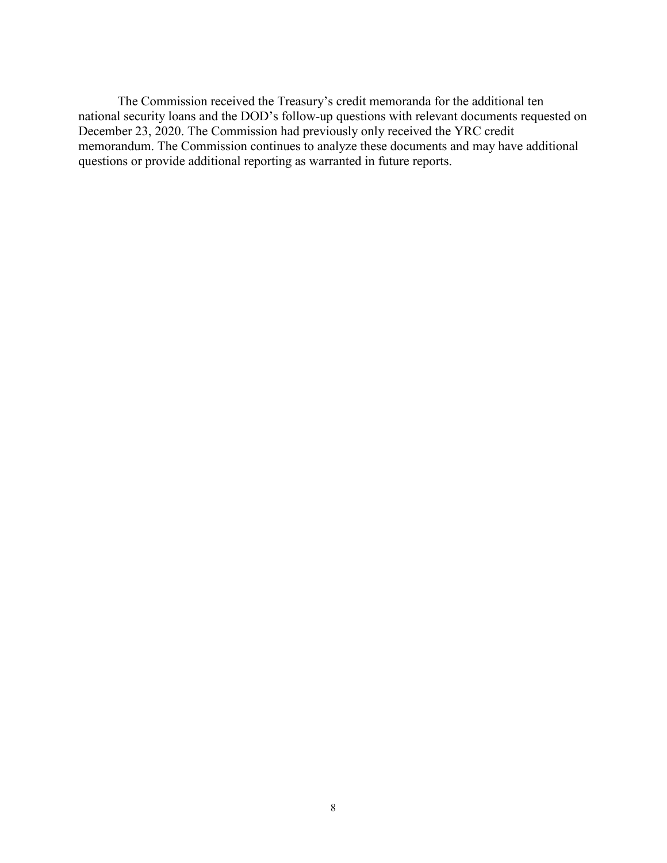The Commission received the Treasury's credit memoranda for the additional ten national security loans and the DOD's follow-up questions with relevant documents requested on December 23, 2020. The Commission had previously only received the YRC credit memorandum. The Commission continues to analyze these documents and may have additional questions or provide additional reporting as warranted in future reports.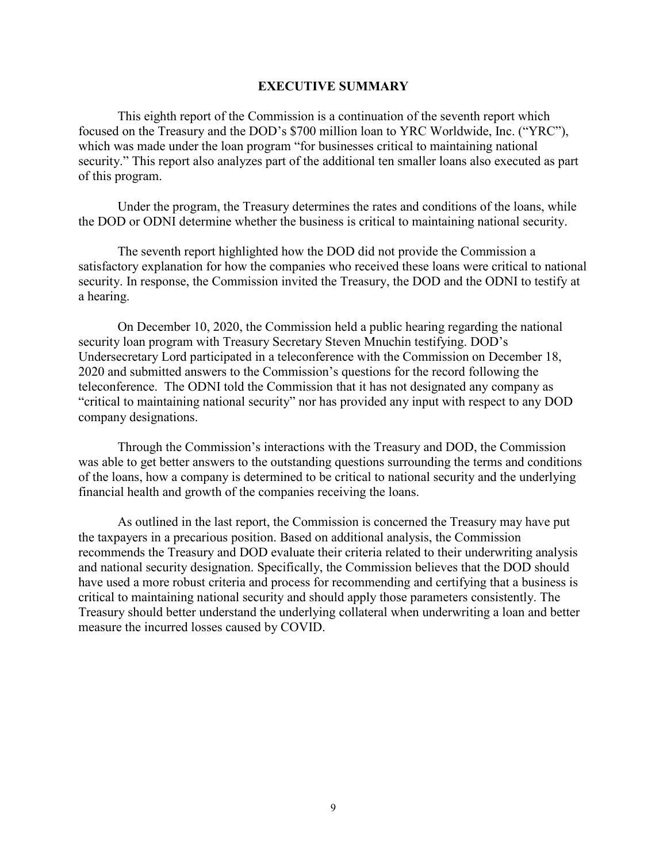#### **EXECUTIVE SUMMARY**

This eighth report of the Commission is a continuation of the seventh report which focused on the Treasury and the DOD's \$700 million loan to YRC Worldwide, Inc. ("YRC"), which was made under the loan program "for businesses critical to maintaining national security." This report also analyzes part of the additional ten smaller loans also executed as part of this program.

Under the program, the Treasury determines the rates and conditions of the loans, while the DOD or ODNI determine whether the business is critical to maintaining national security.

The seventh report highlighted how the DOD did not provide the Commission a satisfactory explanation for how the companies who received these loans were critical to national security. In response, the Commission invited the Treasury, the DOD and the ODNI to testify at a hearing.

On December 10, 2020, the Commission held a public hearing regarding the national security loan program with Treasury Secretary Steven Mnuchin testifying. DOD's Undersecretary Lord participated in a teleconference with the Commission on December 18, 2020 and submitted answers to the Commission's questions for the record following the teleconference. The ODNI told the Commission that it has not designated any company as "critical to maintaining national security" nor has provided any input with respect to any DOD company designations.

Through the Commission's interactions with the Treasury and DOD, the Commission was able to get better answers to the outstanding questions surrounding the terms and conditions of the loans, how a company is determined to be critical to national security and the underlying financial health and growth of the companies receiving the loans.

As outlined in the last report, the Commission is concerned the Treasury may have put the taxpayers in a precarious position. Based on additional analysis, the Commission recommends the Treasury and DOD evaluate their criteria related to their underwriting analysis and national security designation. Specifically, the Commission believes that the DOD should have used a more robust criteria and process for recommending and certifying that a business is critical to maintaining national security and should apply those parameters consistently. The Treasury should better understand the underlying collateral when underwriting a loan and better measure the incurred losses caused by COVID.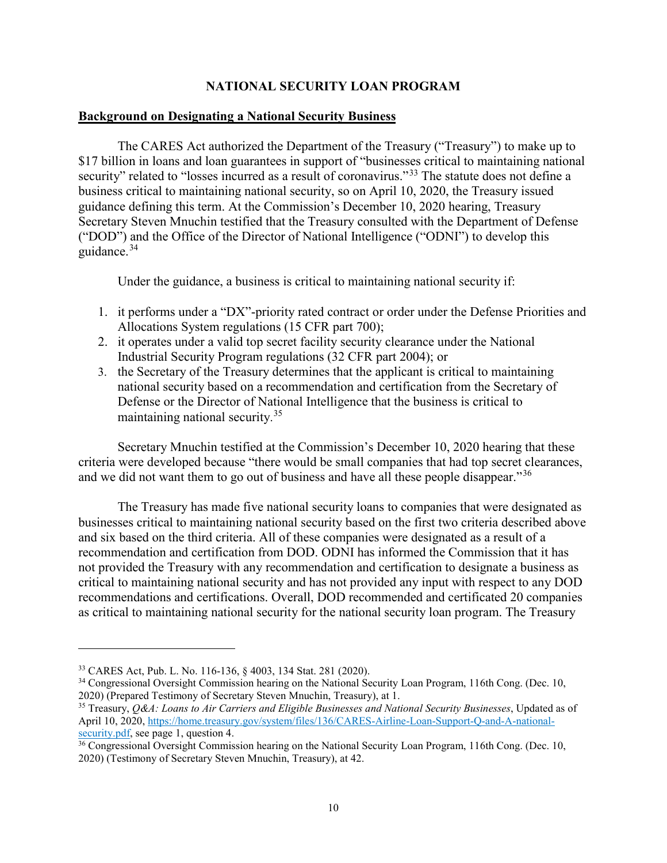# **NATIONAL SECURITY LOAN PROGRAM**

#### **Background on Designating a National Security Business**

The CARES Act authorized the Department of the Treasury ("Treasury") to make up to \$17 billion in loans and loan guarantees in support of "businesses critical to maintaining national security" related to "losses incurred as a result of coronavirus."<sup>[33](#page-9-0)</sup> The statute does not define a business critical to maintaining national security, so on April 10, 2020, the Treasury issued guidance defining this term. At the Commission's December 10, 2020 hearing, Treasury Secretary Steven Mnuchin testified that the Treasury consulted with the Department of Defense ("DOD") and the Office of the Director of National Intelligence ("ODNI") to develop this guidance.[34](#page-9-1)

Under the guidance, a business is critical to maintaining national security if:

- 1. it performs under a "DX"-priority rated contract or order under the Defense Priorities and Allocations System regulations (15 CFR part 700);
- 2. it operates under a valid top secret facility security clearance under the National Industrial Security Program regulations (32 CFR part 2004); or
- 3. the Secretary of the Treasury determines that the applicant is critical to maintaining national security based on a recommendation and certification from the Secretary of Defense or the Director of National Intelligence that the business is critical to maintaining national security. [35](#page-9-2)

Secretary Mnuchin testified at the Commission's December 10, 2020 hearing that these criteria were developed because "there would be small companies that had top secret clearances, and we did not want them to go out of business and have all these people disappear."<sup>[36](#page-9-3)</sup>

The Treasury has made five national security loans to companies that were designated as businesses critical to maintaining national security based on the first two criteria described above and six based on the third criteria. All of these companies were designated as a result of a recommendation and certification from DOD. ODNI has informed the Commission that it has not provided the Treasury with any recommendation and certification to designate a business as critical to maintaining national security and has not provided any input with respect to any DOD recommendations and certifications. Overall, DOD recommended and certificated 20 companies as critical to maintaining national security for the national security loan program. The Treasury

 $\overline{\phantom{a}}$ 

<span id="page-9-1"></span><span id="page-9-0"></span><sup>&</sup>lt;sup>33</sup> CARES Act, Pub. L. No. 116-136, § 4003, 134 Stat. 281 (2020).<br><sup>34</sup> Congressional Oversight Commission hearing on the National Security Loan Program, 116th Cong. (Dec. 10, 2020) (Prepared Testimony of Secretary Steven Mnuchin, Treasury), at 1.<br><sup>35</sup> Treasury, *Q&A: Loans to Air Carriers and Eligible Businesses and National Security Businesses*, Updated as of

<span id="page-9-2"></span>April 10, 2020[, https://home.treasury.gov/system/files/136/CARES-Airline-Loan-Support-Q-and-A-national](https://home.treasury.gov/system/files/136/CARES-Airline-Loan-Support-Q-and-A-national-security.pdf)[security.pdf,](https://home.treasury.gov/system/files/136/CARES-Airline-Loan-Support-Q-and-A-national-security.pdf) see page 1, question 4.<br><sup>36</sup> Congressional Oversight Commission hearing on the National Security Loan Program, 116th Cong. (Dec. 10,

<span id="page-9-3"></span><sup>2020) (</sup>Testimony of Secretary Steven Mnuchin, Treasury), at 42.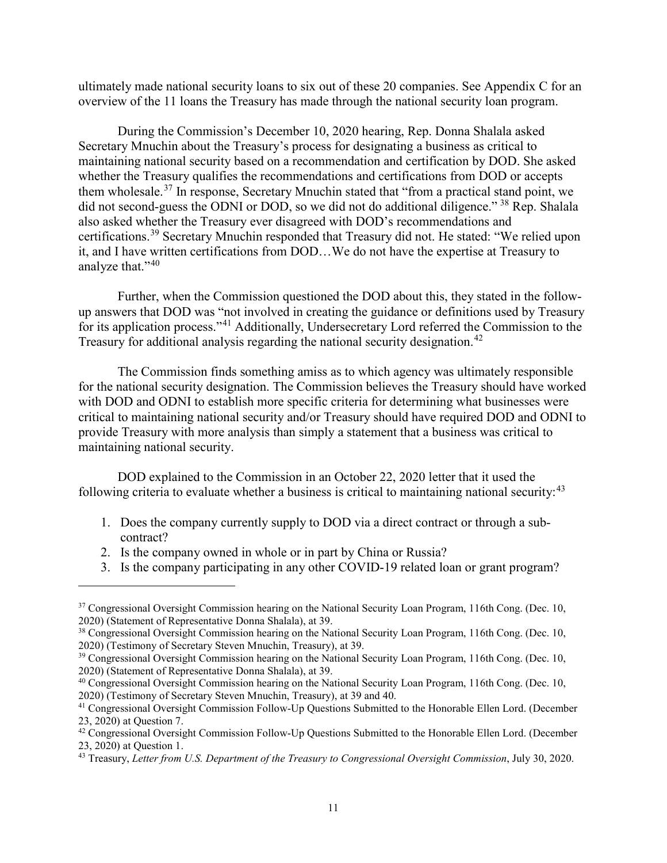ultimately made national security loans to six out of these 20 companies. See Appendix C for an overview of the 11 loans the Treasury has made through the national security loan program.

During the Commission's December 10, 2020 hearing, Rep. Donna Shalala asked Secretary Mnuchin about the Treasury's process for designating a business as critical to maintaining national security based on a recommendation and certification by DOD. She asked whether the Treasury qualifies the recommendations and certifications from DOD or accepts them wholesale.[37](#page-10-0) In response, Secretary Mnuchin stated that "from a practical stand point, we did not second-guess the ODNI or DOD, so we did not do additional diligence."<sup>[38](#page-10-1)</sup> Rep. Shalala also asked whether the Treasury ever disagreed with DOD's recommendations and certifications.[39](#page-10-2) Secretary Mnuchin responded that Treasury did not. He stated: "We relied upon it, and I have written certifications from DOD…We do not have the expertise at Treasury to analyze that."<sup>[40](#page-10-3)</sup>

Further, when the Commission questioned the DOD about this, they stated in the followup answers that DOD was "not involved in creating the guidance or definitions used by Treasury for its application process."<sup>[41](#page-10-4)</sup> Additionally, Undersecretary Lord referred the Commission to the Treasury for additional analysis regarding the national security designation.<sup>[42](#page-10-5)</sup>

The Commission finds something amiss as to which agency was ultimately responsible for the national security designation. The Commission believes the Treasury should have worked with DOD and ODNI to establish more specific criteria for determining what businesses were critical to maintaining national security and/or Treasury should have required DOD and ODNI to provide Treasury with more analysis than simply a statement that a business was critical to maintaining national security.

DOD explained to the Commission in an October 22, 2020 letter that it used the following criteria to evaluate whether a business is critical to maintaining national security:  $43$ 

- 1. Does the company currently supply to DOD via a direct contract or through a subcontract?
- 2. Is the company owned in whole or in part by China or Russia?

l

3. Is the company participating in any other COVID-19 related loan or grant program?

<span id="page-10-0"></span><sup>&</sup>lt;sup>37</sup> Congressional Oversight Commission hearing on the National Security Loan Program, 116th Cong. (Dec. 10, 2020) (Statement of Representative Donna Shalala), at 39.

<span id="page-10-1"></span><sup>38</sup> Congressional Oversight Commission hearing on the National Security Loan Program, 116th Cong. (Dec. 10, 2020) (Testimony of Secretary Steven Mnuchin, Treasury), at 39.

<span id="page-10-2"></span><sup>&</sup>lt;sup>39</sup> Congressional Oversight Commission hearing on the National Security Loan Program, 116th Cong. (Dec. 10, 2020) (Statement of Representative Donna Shalala), at 39.

<span id="page-10-3"></span><sup>40</sup> Congressional Oversight Commission hearing on the National Security Loan Program, 116th Cong. (Dec. 10, 2020) (Testimony of Secretary Steven Mnuchin, Treasury), at 39 and 40.

<span id="page-10-4"></span><sup>&</sup>lt;sup>41</sup> Congressional Oversight Commission Follow-Up Questions Submitted to the Honorable Ellen Lord. (December 23, 2020) at Question 7.

<span id="page-10-5"></span><sup>&</sup>lt;sup>42</sup> Congressional Oversight Commission Follow-Up Questions Submitted to the Honorable Ellen Lord. (December 23, 2020) at Question 1. 43 Treasury, *Letter from U.S. Department of the Treasury to Congressional Oversight Commission*, July 30, 2020.

<span id="page-10-6"></span>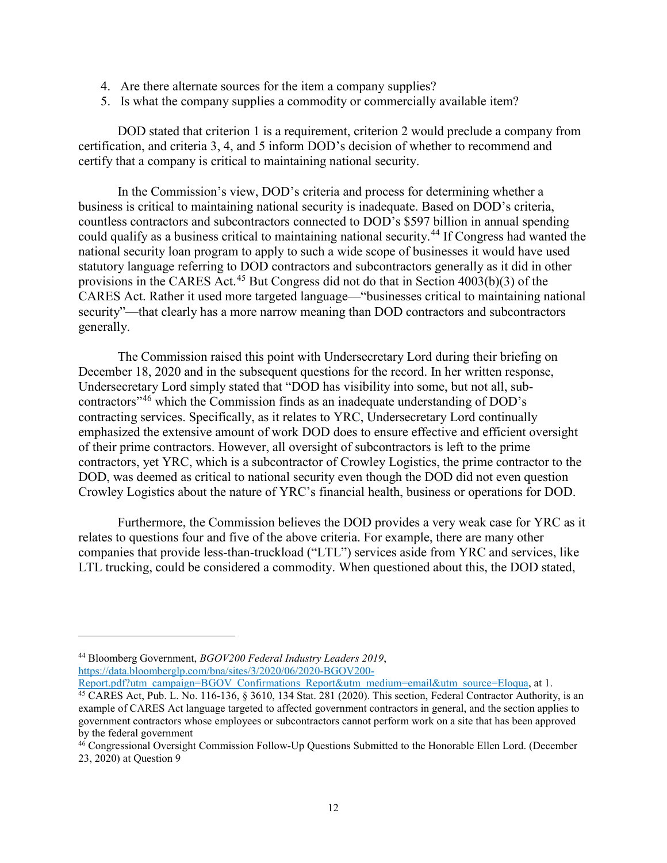- 4. Are there alternate sources for the item a company supplies?
- 5. Is what the company supplies a commodity or commercially available item?

DOD stated that criterion 1 is a requirement, criterion 2 would preclude a company from certification, and criteria 3, 4, and 5 inform DOD's decision of whether to recommend and certify that a company is critical to maintaining national security.

In the Commission's view, DOD's criteria and process for determining whether a business is critical to maintaining national security is inadequate. Based on DOD's criteria, countless contractors and subcontractors connected to DOD's \$597 billion in annual spending could qualify as a business critical to maintaining national security.<sup>[44](#page-11-0)</sup> If Congress had wanted the national security loan program to apply to such a wide scope of businesses it would have used statutory language referring to DOD contractors and subcontractors generally as it did in other provisions in the CARES Act.<sup>[45](#page-11-1)</sup> But Congress did not do that in Section  $4003(b)(3)$  of the CARES Act. Rather it used more targeted language—"businesses critical to maintaining national security"—that clearly has a more narrow meaning than DOD contractors and subcontractors generally.

The Commission raised this point with Undersecretary Lord during their briefing on December 18, 2020 and in the subsequent questions for the record. In her written response, Undersecretary Lord simply stated that "DOD has visibility into some, but not all, subcontractors"[46](#page-11-2) which the Commission finds as an inadequate understanding of DOD's contracting services. Specifically, as it relates to YRC, Undersecretary Lord continually emphasized the extensive amount of work DOD does to ensure effective and efficient oversight of their prime contractors. However, all oversight of subcontractors is left to the prime contractors, yet YRC, which is a subcontractor of Crowley Logistics, the prime contractor to the DOD, was deemed as critical to national security even though the DOD did not even question Crowley Logistics about the nature of YRC's financial health, business or operations for DOD.

Furthermore, the Commission believes the DOD provides a very weak case for YRC as it relates to questions four and five of the above criteria. For example, there are many other companies that provide less-than-truckload ("LTL") services aside from YRC and services, like LTL trucking, could be considered a commodity. When questioned about this, the DOD stated,

 $\overline{\phantom{a}}$ 

<span id="page-11-0"></span><sup>44</sup> Bloomberg Government, *BGOV200 Federal Industry Leaders 2019*, [https://data.bloomberglp.com/bna/sites/3/2020/06/2020-BGOV200-](https://data.bloomberglp.com/bna/sites/3/2020/06/2020-BGOV200-Report.pdf?utm_campaign=BGOV_Confirmations_Report&utm_medium=email&utm_source=Eloqua)

<span id="page-11-1"></span>[Report.pdf?utm\\_campaign=BGOV\\_Confirmations\\_Report&utm\\_medium=email&utm\\_source=Eloqua,](https://data.bloomberglp.com/bna/sites/3/2020/06/2020-BGOV200-Report.pdf?utm_campaign=BGOV_Confirmations_Report&utm_medium=email&utm_source=Eloqua) at 1.  $\overline{^{45}$  CARES Act, Pub. L. No. 116-136, § 3610, 134 Stat. 281 (2020). This section, Federal Contractor Authority, is an example of CARES Act language targeted to affected government contractors in general, and the section applies to government contractors whose employees or subcontractors cannot perform work on a site that has been approved by the federal government

<span id="page-11-2"></span><sup>&</sup>lt;sup>46</sup> Congressional Oversight Commission Follow-Up Questions Submitted to the Honorable Ellen Lord. (December 23, 2020) at Question 9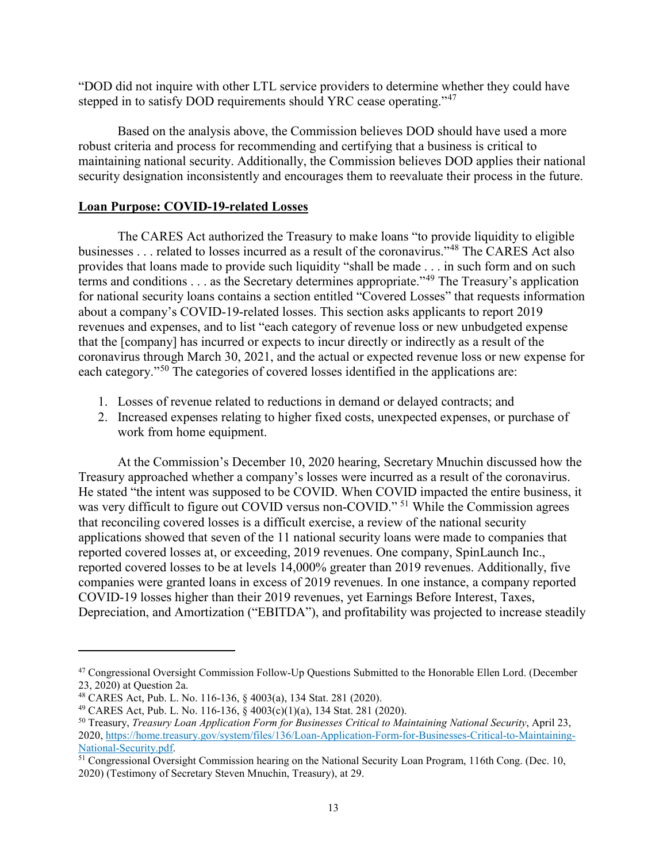"DOD did not inquire with other LTL service providers to determine whether they could have stepped in to satisfy DOD requirements should YRC cease operating."<sup>[47](#page-12-0)</sup>

Based on the analysis above, the Commission believes DOD should have used a more robust criteria and process for recommending and certifying that a business is critical to maintaining national security. Additionally, the Commission believes DOD applies their national security designation inconsistently and encourages them to reevaluate their process in the future.

# **Loan Purpose: COVID-19-related Losses**

The CARES Act authorized the Treasury to make loans "to provide liquidity to eligible businesses . . . related to losses incurred as a result of the coronavirus."[48](#page-12-1) The CARES Act also provides that loans made to provide such liquidity "shall be made . . . in such form and on such terms and conditions . . . as the Secretary determines appropriate."[49](#page-12-2) The Treasury's application for national security loans contains a section entitled "Covered Losses" that requests information about a company's COVID-19-related losses. This section asks applicants to report 2019 revenues and expenses, and to list "each category of revenue loss or new unbudgeted expense that the [company] has incurred or expects to incur directly or indirectly as a result of the coronavirus through March 30, 2021, and the actual or expected revenue loss or new expense for each category."<sup>[50](#page-12-3)</sup> The categories of covered losses identified in the applications are:

- 1. Losses of revenue related to reductions in demand or delayed contracts; and
- 2. Increased expenses relating to higher fixed costs, unexpected expenses, or purchase of work from home equipment.

At the Commission's December 10, 2020 hearing, Secretary Mnuchin discussed how the Treasury approached whether a company's losses were incurred as a result of the coronavirus. He stated "the intent was supposed to be COVID. When COVID impacted the entire business, it was very difficult to figure out COVID versus non-COVID."<sup>[51](#page-12-4)</sup> While the Commission agrees that reconciling covered losses is a difficult exercise, a review of the national security applications showed that seven of the 11 national security loans were made to companies that reported covered losses at, or exceeding, 2019 revenues. One company, SpinLaunch Inc., reported covered losses to be at levels 14,000% greater than 2019 revenues. Additionally, five companies were granted loans in excess of 2019 revenues. In one instance, a company reported COVID-19 losses higher than their 2019 revenues, yet Earnings Before Interest, Taxes, Depreciation, and Amortization ("EBITDA"), and profitability was projected to increase steadily

 $\overline{\phantom{a}}$ 

<span id="page-12-0"></span><sup>47</sup> Congressional Oversight Commission Follow-Up Questions Submitted to the Honorable Ellen Lord. (December 23, 2020) at Question 2a.<br><sup>48</sup> CARES Act, Pub. L. No. 116-136, § 4003(a), 134 Stat. 281 (2020).

<span id="page-12-1"></span>

<span id="page-12-3"></span><span id="page-12-2"></span><sup>&</sup>lt;sup>49</sup> CARES Act, Pub. L. No. 116-136, § 4003(c)(1)(a), 134 Stat. 281 (2020).<br><sup>50</sup> Treasury, *Treasury Loan Application Form for Businesses Critical to Maintaining National Security*, April 23, 2020, https://home.treasury.gov/system/files/136/Loan-Application-Form-for-Businesses-Critical-to-Maintaining-National-Security.pdf.

<span id="page-12-4"></span>National Security.pdf.<br><sup>51</sup> Congressional Oversight Commission hearing on the National Security Loan Program, 116th Cong. (Dec. 10, 2020) (Testimony of Secretary Steven Mnuchin, Treasury), at 29.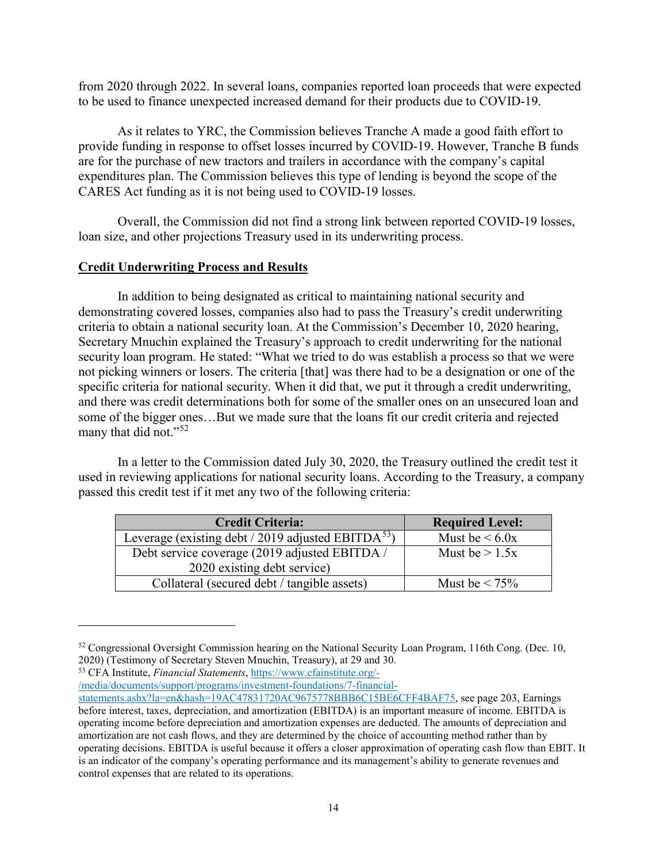from 2020 through 2022. In several loans, companies reported loan proceeds that were expected to be used to finance unexpected increased demand for their products due to COVID-19.

As it relates to YRC, the Commission believes Tranche A made a good faith effort to provide funding in response to offset losses incurred by COVID-19. However, Tranche B funds are for the purchase of new tractors and trailers in accordance with the company's capital expenditures plan. The Commission believes this type of lending is beyond the scope of the CARES Act funding as it is not being used to COVID-19 losses.

Overall, the Commission did not find a strong link between reported COVID-19 losses, loan size, and other projections Treasury used in its underwriting process.

# **Credit Underwriting Process and Results**

In addition to being designated as critical to maintaining national security and demonstrating covered losses, companies also had to pass the Treasury's credit underwriting criteria to obtain a national security loan. At the Commission's December 10, 2020 hearing, Secretary Mnuchin explained the Treasury's approach to credit underwriting for the national security loan program. He stated: "What we tried to do was establish a process so that we were not picking winners or losers. The criteria [that] was there had to be a designation or one of the specific criteria for national security. When it did that, we put it through a credit underwriting, and there was credit determinations both for some of the smaller ones on an unsecured loan and some of the bigger ones…But we made sure that the loans fit our credit criteria and rejected many that did not."<sup>[52](#page-13-0)</sup>

In a letter to the Commission dated July 30, 2020, the Treasury outlined the credit test it used in reviewing applications for national security loans. According to the Treasury, a company passed this credit test if it met any two of the following criteria:

| <b>Credit Criteria:</b>                                  | <b>Required Level:</b> |
|----------------------------------------------------------|------------------------|
| Leverage (existing debt / 2019 adjusted EBITD $A^{53}$ ) | Must be $\leq 6.0x$    |
| Debt service coverage (2019 adjusted EBITDA /            | Must be $> 1.5x$       |
| 2020 existing debt service)                              |                        |
| Collateral (secured debt / tangible assets)              | Must be $\leq 75\%$    |

<span id="page-13-1"></span><sup>53</sup> CFA Institute, *Financial Statements*, [https://www.cfainstitute.org/-](https://www.cfainstitute.org/-/media/documents/support/programs/investment-foundations/7-financial-statements.ashx?la=en&hash=19AC47831720AC9675778BBB6C15BE6CFF4BAF75)

l

[/media/documents/support/programs/investment-foundations/7-financial-](https://www.cfainstitute.org/-/media/documents/support/programs/investment-foundations/7-financial-statements.ashx?la=en&hash=19AC47831720AC9675778BBB6C15BE6CFF4BAF75)

<span id="page-13-0"></span><sup>&</sup>lt;sup>52</sup> Congressional Oversight Commission hearing on the National Security Loan Program, 116th Cong. (Dec. 10, 2020) (Testimony of Secretary Steven Mnuchin, Treasury), at 29 and 30.

[statements.ashx?la=en&hash=19AC47831720AC9675778BBB6C15BE6CFF4BAF75,](https://www.cfainstitute.org/-/media/documents/support/programs/investment-foundations/7-financial-statements.ashx?la=en&hash=19AC47831720AC9675778BBB6C15BE6CFF4BAF75) see page 203, Earnings before interest, taxes, depreciation, and amortization (EBITDA) is an important measure of income. EBITDA is operating income before depreciation and amortization expenses are deducted. The amounts of depreciation and amortization are not cash flows, and they are determined by the choice of accounting method rather than by operating decisions. EBITDA is useful because it offers a closer approximation of operating cash flow than EBIT. It is an indicator of the company's operating performance and its management's ability to generate revenues and control expenses that are related to its operations.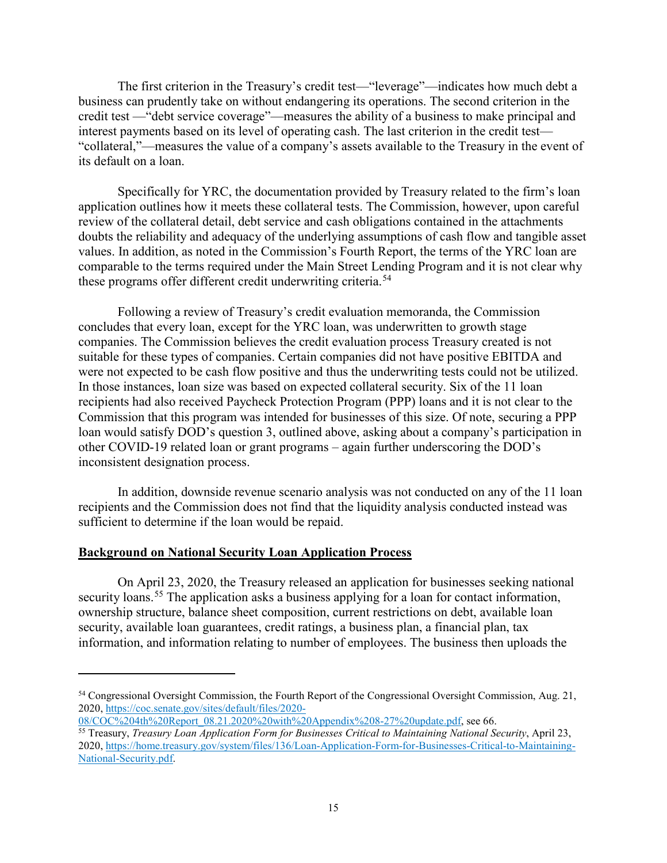The first criterion in the Treasury's credit test—"leverage"—indicates how much debt a business can prudently take on without endangering its operations. The second criterion in the credit test —"debt service coverage"—measures the ability of a business to make principal and interest payments based on its level of operating cash. The last criterion in the credit test— "collateral,"—measures the value of a company's assets available to the Treasury in the event of its default on a loan.

Specifically for YRC, the documentation provided by Treasury related to the firm's loan application outlines how it meets these collateral tests. The Commission, however, upon careful review of the collateral detail, debt service and cash obligations contained in the attachments doubts the reliability and adequacy of the underlying assumptions of cash flow and tangible asset values. In addition, as noted in the Commission's Fourth Report, the terms of the YRC loan are comparable to the terms required under the Main Street Lending Program and it is not clear why these programs offer different credit underwriting criteria.<sup>[54](#page-14-0)</sup>

Following a review of Treasury's credit evaluation memoranda, the Commission concludes that every loan, except for the YRC loan, was underwritten to growth stage companies. The Commission believes the credit evaluation process Treasury created is not suitable for these types of companies. Certain companies did not have positive EBITDA and were not expected to be cash flow positive and thus the underwriting tests could not be utilized. In those instances, loan size was based on expected collateral security. Six of the 11 loan recipients had also received Paycheck Protection Program (PPP) loans and it is not clear to the Commission that this program was intended for businesses of this size. Of note, securing a PPP loan would satisfy DOD's question 3, outlined above, asking about a company's participation in other COVID-19 related loan or grant programs – again further underscoring the DOD's inconsistent designation process.

In addition, downside revenue scenario analysis was not conducted on any of the 11 loan recipients and the Commission does not find that the liquidity analysis conducted instead was sufficient to determine if the loan would be repaid.

#### **Background on National Security Loan Application Process**

 $\overline{a}$ 

On April 23, 2020, the Treasury released an application for businesses seeking national security loans.<sup>[55](#page-14-1)</sup> The application asks a business applying for a loan for contact information, ownership structure, balance sheet composition, current restrictions on debt, available loan security, available loan guarantees, credit ratings, a business plan, a financial plan, tax information, and information relating to number of employees. The business then uploads the

<span id="page-14-0"></span><sup>54</sup> Congressional Oversight Commission, the Fourth Report of the Congressional Oversight Commission, Aug. 21, 2020, [https://coc.senate.gov/sites/default/files/2020-](https://coc.senate.gov/sites/default/files/2020-08/COC%204th%20Report_08.21.2020%20with%20Appendix%208-27%20update.pdf)

[<sup>08/</sup>COC%204th%20Report\\_08.21.2020%20with%20Appendix%208-27%20update.pdf,](https://coc.senate.gov/sites/default/files/2020-08/COC%204th%20Report_08.21.2020%20with%20Appendix%208-27%20update.pdf) see 66.

<span id="page-14-1"></span><sup>55</sup> Treasury, *Treasury Loan Application Form for Businesses Critical to Maintaining National Security*, April 23, 2020, [https://home.treasury.gov/system/files/136/Loan-Application-Form-for-Businesses-Critical-to-Maintaining-](https://home.treasury.gov/system/files/136/Loan-Application-Form-for-Businesses-Critical-to-Maintaining-National-Security.pdf)[National-Security.pdf.](https://home.treasury.gov/system/files/136/Loan-Application-Form-for-Businesses-Critical-to-Maintaining-National-Security.pdf)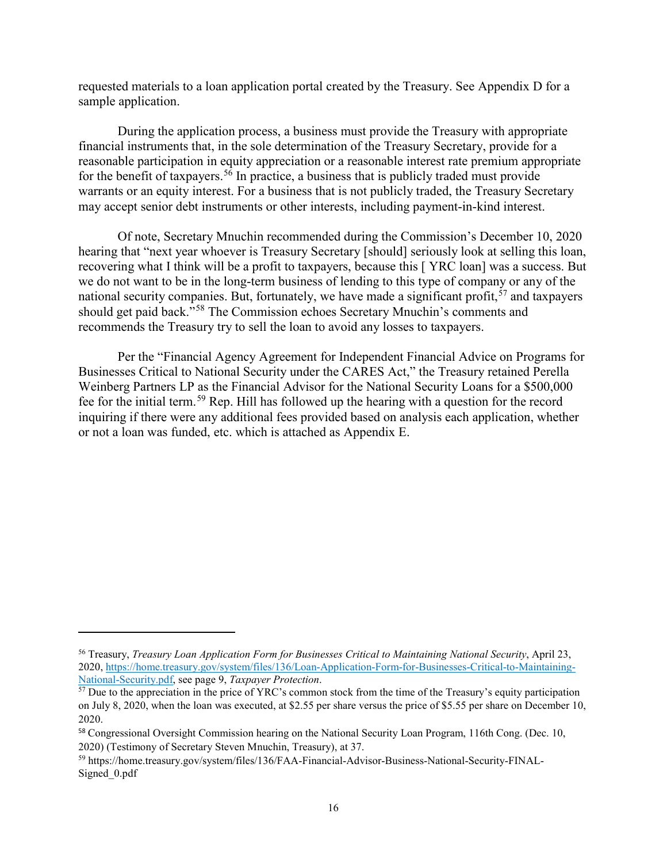requested materials to a loan application portal created by the Treasury. See Appendix D for a sample application.

During the application process, a business must provide the Treasury with appropriate financial instruments that, in the sole determination of the Treasury Secretary, provide for a reasonable participation in equity appreciation or a reasonable interest rate premium appropriate for the benefit of taxpayers.<sup>[56](#page-15-0)</sup> In practice, a business that is publicly traded must provide warrants or an equity interest. For a business that is not publicly traded, the Treasury Secretary may accept senior debt instruments or other interests, including payment-in-kind interest.

Of note, Secretary Mnuchin recommended during the Commission's December 10, 2020 hearing that "next year whoever is Treasury Secretary [should] seriously look at selling this loan, recovering what I think will be a profit to taxpayers, because this [ YRC loan] was a success. But we do not want to be in the long-term business of lending to this type of company or any of the national security companies. But, fortunately, we have made a significant profit,  $57$  and taxpayers should get paid back."[58](#page-15-2) The Commission echoes Secretary Mnuchin's comments and recommends the Treasury try to sell the loan to avoid any losses to taxpayers.

Per the "Financial Agency Agreement for Independent Financial Advice on Programs for Businesses Critical to National Security under the CARES Act," the Treasury retained Perella Weinberg Partners LP as the Financial Advisor for the National Security Loans for a \$500,000 fee for the initial term.[59](#page-15-3) Rep. Hill has followed up the hearing with a question for the record inquiring if there were any additional fees provided based on analysis each application, whether or not a loan was funded, etc. which is attached as Appendix E.

 $\overline{a}$ 

<span id="page-15-0"></span><sup>56</sup> Treasury, *Treasury Loan Application Form for Businesses Critical to Maintaining National Security*, April 23, 2020, [https://home.treasury.gov/system/files/136/Loan-Application-Form-for-Businesses-Critical-to-Maintaining-](https://home.treasury.gov/system/files/136/Loan-Application-Form-for-Businesses-Critical-to-Maintaining-National-Security.pdf)[National-Security.pdf,](https://home.treasury.gov/system/files/136/Loan-Application-Form-for-Businesses-Critical-to-Maintaining-National-Security.pdf) see page 9, *Taxpayer Protection*.

<span id="page-15-1"></span> $\frac{57}{2}$  Due to the appreciation in the price of YRC's common stock from the time of the Treasury's equity participation on July 8, 2020, when the loan was executed, at \$2.55 per share versus the price of \$5.55 per share on December 10, 2020.

<span id="page-15-2"></span><sup>58</sup> Congressional Oversight Commission hearing on the National Security Loan Program, 116th Cong. (Dec. 10, 2020) (Testimony of Secretary Steven Mnuchin, Treasury), at 37.

<span id="page-15-3"></span><sup>59</sup> https://home.treasury.gov/system/files/136/FAA-Financial-Advisor-Business-National-Security-FINAL-Signed\_0.pdf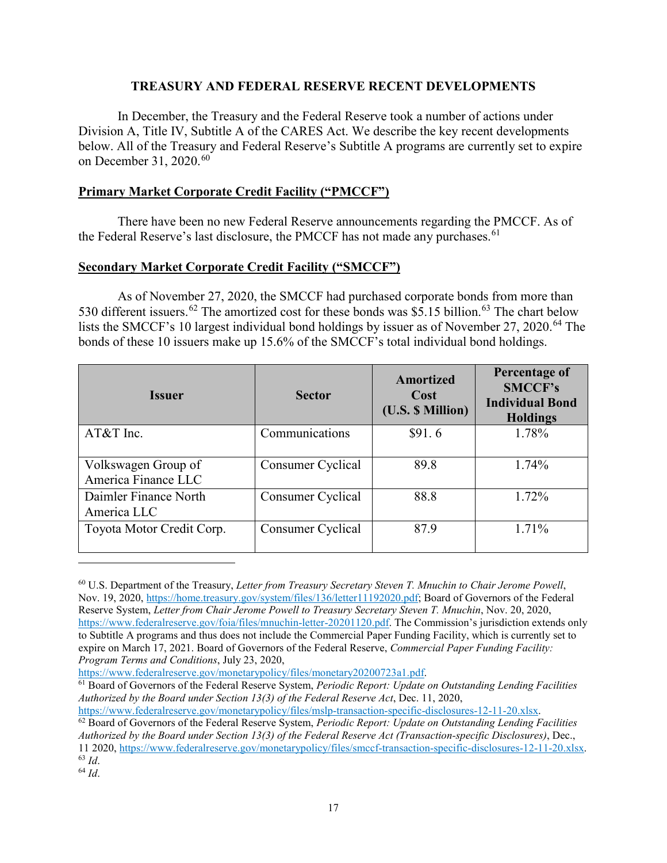# **TREASURY AND FEDERAL RESERVE RECENT DEVELOPMENTS**

In December, the Treasury and the Federal Reserve took a number of actions under Division A, Title IV, Subtitle A of the CARES Act. We describe the key recent developments below. All of the Treasury and Federal Reserve's Subtitle A programs are currently set to expire on December 31, 2020.<sup>[60](#page-16-0)</sup>

# **Primary Market Corporate Credit Facility ("PMCCF")**

There have been no new Federal Reserve announcements regarding the PMCCF. As of the Federal Reserve's last disclosure, the PMCCF has not made any purchases.<sup>[61](#page-16-1)</sup>

# **Secondary Market Corporate Credit Facility ("SMCCF")**

As of November 27, 2020, the SMCCF had purchased corporate bonds from more than 530 different issuers.<sup>[62](#page-16-2)</sup> The amortized cost for these bonds was  $\overline{$5.15$}$  billion.<sup>[63](#page-16-3)</sup> The chart below lists the SMCCF's 10 largest individual bond holdings by issuer as of November 27, 2020. [64](#page-16-4) The bonds of these 10 issuers make up 15.6% of the SMCCF's total individual bond holdings.

| <b>Issuer</b>                              | <b>Sector</b>     | <b>Amortized</b><br>Cost<br>(U.S. \$ Million) | Percentage of<br><b>SMCCF's</b><br><b>Individual Bond</b><br><b>Holdings</b> |  |
|--------------------------------------------|-------------------|-----------------------------------------------|------------------------------------------------------------------------------|--|
| $AT&T$ Inc.                                | Communications    | \$91.6                                        | 1.78%                                                                        |  |
| Volkswagen Group of<br>America Finance LLC | Consumer Cyclical | 89.8                                          | 1.74%                                                                        |  |
| Daimler Finance North<br>America LLC       | Consumer Cyclical | 88.8                                          | 1.72%                                                                        |  |
| Toyota Motor Credit Corp.                  | Consumer Cyclical | 87.9                                          | $1.71\%$                                                                     |  |

<span id="page-16-0"></span><sup>60</sup> U.S. Department of the Treasury, *Letter from Treasury Secretary Steven T. Mnuchin to Chair Jerome Powell*, Nov. 19, 2020, [https://home.treasury.gov/system/files/136/letter11192020.pdf;](https://home.treasury.gov/system/files/136/letter11192020.pdf) Board of Governors of the Federal Reserve System, *Letter from Chair Jerome Powell to Treasury Secretary Steven T. Mnuchin*, Nov. 20, 2020, [https://www.federalreserve.gov/foia/files/mnuchin-letter-20201120.pdf.](https://www.federalreserve.gov/foia/files/mnuchin-letter-20201120.pdf) The Commission's jurisdiction extends only to Subtitle A programs and thus does not include the Commercial Paper Funding Facility, which is currently set to expire on March 17, 2021. Board of Governors of the Federal Reserve, *Commercial Paper Funding Facility: Program Terms and Conditions*, July 23, 2020,

 $\overline{a}$ 

<span id="page-16-1"></span><sup>&</sup>lt;sup>61</sup> Board of Governors of the Federal Reserve System, *Periodic Report: Update on Outstanding Lending Facilities Authorized by the Board under Section 13(3) of the Federal Reserve Act*, Dec. 11, 2020,<br>https://www.federalreserve.gov/monetarypolicy/files/mslp-transaction-specific-disclosures-12-11-20.xlsx.

<span id="page-16-2"></span><sup>&</sup>lt;sup>62</sup> Board of Governors of the Federal Reserve System, *Periodic Report: Update on Outstanding Lending Facilities Authorized by the Board under Section 13(3) of the Federal Reserve Act (Transaction-specific Disclosures)*, Dec., 11 2020[, https://www.federalreserve.gov/monetarypolicy/files/smccf-transaction-specific-disclosures-12-11-20.xlsx.](https://www.federalreserve.gov/monetarypolicy/files/smccf-transaction-specific-disclosures-12-11-20.xlsx) <sup>63</sup> *Id*.

<span id="page-16-4"></span><span id="page-16-3"></span><sup>64</sup> *Id*.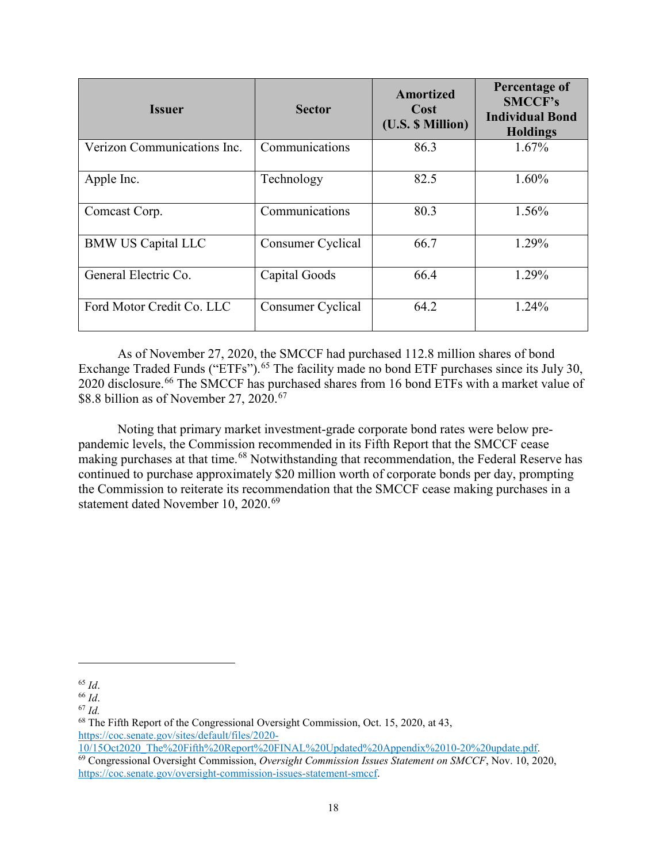| <b>Issuer</b>               | <b>Sector</b>     | <b>Amortized</b><br>Cost<br>(U.S. \$ Million) | Percentage of<br><b>SMCCF's</b><br><b>Individual Bond</b><br><b>Holdings</b> |
|-----------------------------|-------------------|-----------------------------------------------|------------------------------------------------------------------------------|
| Verizon Communications Inc. | Communications    | 86.3                                          | $1.67\%$                                                                     |
| Apple Inc.                  | Technology        | 82.5                                          | $1.60\%$                                                                     |
| Comcast Corp.               | Communications    | 80.3                                          | 1.56%                                                                        |
| <b>BMW US Capital LLC</b>   | Consumer Cyclical | 66.7                                          | 1.29%                                                                        |
| General Electric Co.        | Capital Goods     | 66.4                                          | 1.29%                                                                        |
| Ford Motor Credit Co. LLC   | Consumer Cyclical | 64.2                                          | 1.24%                                                                        |

As of November 27, 2020, the SMCCF had purchased 112.8 million shares of bond Exchange Traded Funds ("ETFs").<sup>[65](#page-17-0)</sup> The facility made no bond ETF purchases since its July 30, 2020 disclosure.<sup>[66](#page-17-1)</sup> The SMCCF has purchased shares from 16 bond ETFs with a market value of \$8.8 billion as of November 27, 2020. [67](#page-17-2)

Noting that primary market investment-grade corporate bond rates were below prepandemic levels, the Commission recommended in its Fifth Report that the SMCCF cease making purchases at that time.<sup>[68](#page-17-3)</sup> Notwithstanding that recommendation, the Federal Reserve has continued to purchase approximately \$20 million worth of corporate bonds per day, prompting the Commission to reiterate its recommendation that the SMCCF cease making purchases in a statement dated November 10, 2020.<sup>[69](#page-17-4)</sup>

l

<span id="page-17-0"></span><sup>65</sup> *Id*.

<span id="page-17-1"></span><sup>66</sup> *Id*.

<span id="page-17-2"></span><sup>67</sup> *Id.* 

<span id="page-17-3"></span><sup>68</sup> The Fifth Report of the Congressional Oversight Commission, Oct. 15, 2020, at 43, [https://coc.senate.gov/sites/default/files/2020-](https://coc.senate.gov/sites/default/files/2020-10/15Oct2020_The%20Fifth%20Report%20FINAL%20Updated%20Appendix%2010-20%20update.pdf)

<span id="page-17-4"></span>[<sup>10/15</sup>Oct2020\\_The%20Fifth%20Report%20FINAL%20Updated%20Appendix%2010-20%20update.pdf.](https://coc.senate.gov/sites/default/files/2020-10/15Oct2020_The%20Fifth%20Report%20FINAL%20Updated%20Appendix%2010-20%20update.pdf) <sup>69</sup> Congressional Oversight Commission, *Oversight Commission Issues Statement on SMCCF*, Nov. 10, 2020, [https://coc.senate.gov/oversight-commission-issues-statement-smccf.](https://coc.senate.gov/oversight-commission-issues-statement-smccf)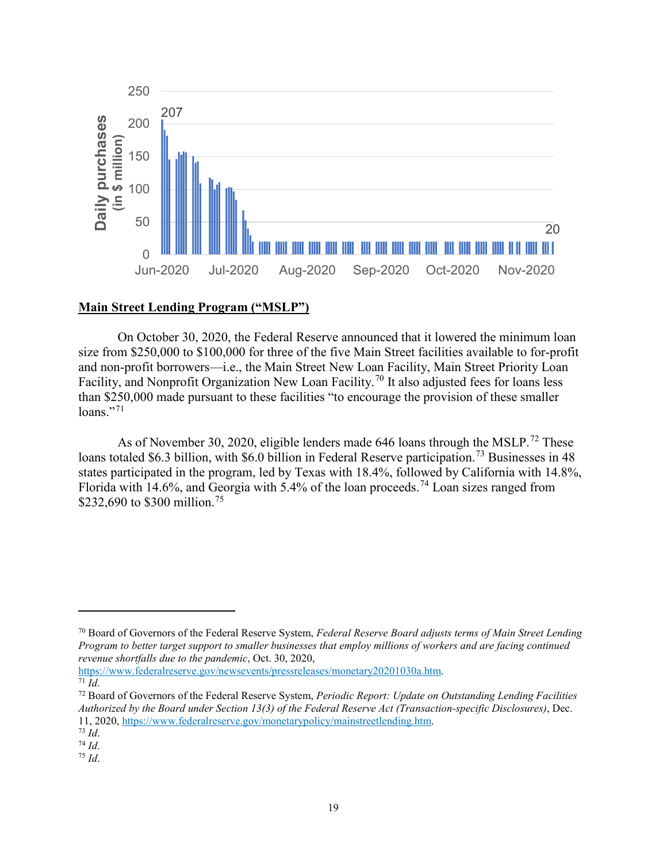

# **Main Street Lending Program ("MSLP")**

On October 30, 2020, the Federal Reserve announced that it lowered the minimum loan size from \$250,000 to \$100,000 for three of the five Main Street facilities available to for-profit and non-profit borrowers—i.e., the Main Street New Loan Facility, Main Street Priority Loan Facility, and Nonprofit Organization New Loan Facility.<sup>[70](#page-18-0)</sup> It also adjusted fees for loans less than \$250,000 made pursuant to these facilities "to encourage the provision of these smaller  $loans.$ "<sup>[71](#page-18-1)</sup>

As of November 30, 2020, eligible lenders made 646 loans through the MSLP.<sup>[72](#page-18-2)</sup> These loans totaled \$6.3 billion, with \$6.0 billion in Federal Reserve participation.<sup>[73](#page-18-3)</sup> Businesses in 48 states participated in the program, led by Texas with 18.4%, followed by California with 14.8%, Florida with 14.6%, and Georgia with 5.4% of the loan proceeds.<sup>[74](#page-18-4)</sup> Loan sizes ranged from \$232,690 to \$300 million.<sup>[75](#page-18-5)</sup>

[https://www.federalreserve.gov/newsevents/pressreleases/monetary20201030a.htm.](https://www.federalreserve.gov/newsevents/pressreleases/monetary20201030a.htm)  $\overline{71}$  *Id.* 

l

<span id="page-18-5"></span><sup>75</sup> *Id*.

<span id="page-18-0"></span><sup>70</sup> Board of Governors of the Federal Reserve System, *Federal Reserve Board adjusts terms of Main Street Lending Program to better target support to smaller businesses that employ millions of workers and are facing continued revenue shortfalls due to the pandemic*, Oct. 30, 2020,

<span id="page-18-2"></span><span id="page-18-1"></span><sup>72</sup> Board of Governors of the Federal Reserve System, *Periodic Report: Update on Outstanding Lending Facilities Authorized by the Board under Section 13(3) of the Federal Reserve Act (Transaction-specific Disclosures)*, Dec. 11, 2020, [https://www.federalreserve.gov/monetarypolicy/mainstreetlending.htm.](https://www.federalreserve.gov/monetarypolicy/mainstreetlending.htm) 73 *Id*.

<span id="page-18-4"></span><span id="page-18-3"></span><sup>74</sup> *Id*.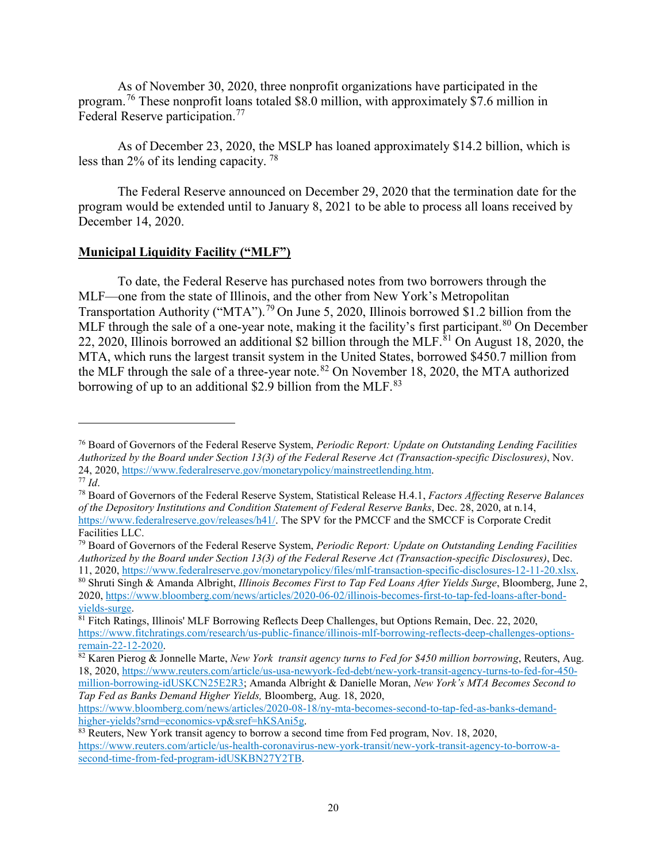As of November 30, 2020, three nonprofit organizations have participated in the program.[76](#page-19-0) These nonprofit loans totaled \$8.0 million, with approximately \$7.6 million in Federal Reserve participation.<sup>[77](#page-19-1)</sup>

As of December 23, 2020, the MSLP has loaned approximately \$14.2 billion, which is less than 2% of its lending capacity. [78](#page-19-2)

The Federal Reserve announced on December 29, 2020 that the termination date for the program would be extended until to January 8, 2021 to be able to process all loans received by December 14, 2020.

### **Municipal Liquidity Facility ("MLF")**

 $\overline{\phantom{a}}$ 

To date, the Federal Reserve has purchased notes from two borrowers through the MLF—one from the state of Illinois, and the other from New York's Metropolitan Transportation Authority ("MTA").<sup>[79](#page-19-3)</sup> On June 5, 2020, Illinois borrowed \$1.2 billion from the MLF through the sale of a one-year note, making it the facility's first participant.<sup>[80](#page-19-4)</sup> On December 22, 2020, Illinois borrowed an additional \$2 billion through the MLF.<sup>[81](#page-19-5)</sup> On August 18, 2020, the MTA, which runs the largest transit system in the United States, borrowed \$450.7 million from the MLF through the sale of a three-year note.<sup>[82](#page-19-6)</sup> On November 18, 2020, the MTA authorized borrowing of up to an additional \$2.9 billion from the MLF. $83$ 

<span id="page-19-0"></span><sup>76</sup> Board of Governors of the Federal Reserve System, *Periodic Report: Update on Outstanding Lending Facilities Authorized by the Board under Section 13(3) of the Federal Reserve Act (Transaction-specific Disclosures)*, Nov. 24, 2020, [https://www.federalreserve.gov/monetarypolicy/mainstreetlending.htm.](https://www.federalreserve.gov/monetarypolicy/mainstreetlending.htm) <sup>77</sup> *Id*.

<span id="page-19-2"></span><span id="page-19-1"></span><sup>78</sup> Board of Governors of the Federal Reserve System, Statistical Release H.4.1, *Factors Affecting Reserve Balances of the Depository Institutions and Condition Statement of Federal Reserve Banks*, Dec. 28, 2020, at n.14, https://www.federalreserve.gov/releases/h41/. The SPV for the PMCCF and the SMCCF is Corporate Credit Facilities LLC.

<span id="page-19-3"></span><sup>79</sup> Board of Governors of the Federal Reserve System, *Periodic Report: Update on Outstanding Lending Facilities Authorized by the Board under Section 13(3) of the Federal Reserve Act (Transaction-specific Disclosures)*, Dec. 11, 2020, https://www.federalreserve.gov/monetarypolicy/files/mlf-transaction-specific-disclosures-12-11-20.xlsx.

<span id="page-19-4"></span><sup>80</sup> Shruti Singh & Amanda Albright, *Illinois Becomes First to Tap Fed Loans After Yields Surge*, Bloomberg, June 2, 2020, [https://www.bloomberg.com/news/articles/2020-06-02/illinois-becomes-first-to-tap-fed-loans-after-bond](https://www.bloomberg.com/news/articles/2020-06-02/illinois-becomes-first-to-tap-fed-loans-after-bond-yields-surge)[yields-surge.](https://www.bloomberg.com/news/articles/2020-06-02/illinois-becomes-first-to-tap-fed-loans-after-bond-yields-surge)

<span id="page-19-5"></span><sup>&</sup>lt;sup>81</sup> Fitch Ratings, Illinois' MLF Borrowing Reflects Deep Challenges, but Options Remain, Dec. 22, 2020, [https://www.fitchratings.com/research/us-public-finance/illinois-mlf-borrowing-reflects-deep-challenges-options](https://www.fitchratings.com/research/us-public-finance/illinois-mlf-borrowing-reflects-deep-challenges-options-remain-22-12-2020)[remain-22-12-2020.](https://www.fitchratings.com/research/us-public-finance/illinois-mlf-borrowing-reflects-deep-challenges-options-remain-22-12-2020)

<span id="page-19-6"></span><sup>82</sup> Karen Pierog & Jonnelle Marte, *New York transit agency turns to Fed for \$450 million borrowing*, Reuters, Aug. 18, 2020, [https://www.reuters.com/article/us-usa-newyork-fed-debt/new-york-transit-agency-turns-to-fed-for-450](https://www.reuters.com/article/us-usa-newyork-fed-debt/new-york-transit-agency-turns-to-fed-for-450-million-borrowing-idUSKCN25E2R3) [million-borrowing-idUSKCN25E2R3;](https://www.reuters.com/article/us-usa-newyork-fed-debt/new-york-transit-agency-turns-to-fed-for-450-million-borrowing-idUSKCN25E2R3) Amanda Albright & Danielle Moran, *New York's MTA Becomes Second to* 

*Tap Fed as Banks Demand Higher Yields,* Bloomberg, Aug. 18, 2020, [https://www.bloomberg.com/news/articles/2020-08-18/ny-mta-becomes-second-to-tap-fed-as-banks-demand](https://www.bloomberg.com/news/articles/2020-08-18/ny-mta-becomes-second-to-tap-fed-as-banks-demand-higher-yields?srnd=economics-vp&sref=hKSAni5g)[higher-yields?srnd=economics-vp&sref=hKSAni5g.](https://www.bloomberg.com/news/articles/2020-08-18/ny-mta-becomes-second-to-tap-fed-as-banks-demand-higher-yields?srnd=economics-vp&sref=hKSAni5g)

<span id="page-19-7"></span><sup>83</sup> Reuters, New York transit agency to borrow a second time from Fed program, Nov. 18, 2020, [https://www.reuters.com/article/us-health-coronavirus-new-york-transit/new-york-transit-agency-to-borrow-a](https://www.reuters.com/article/us-health-coronavirus-new-york-transit/new-york-transit-agency-to-borrow-a-second-time-from-fed-program-idUSKBN27Y2TB)[second-time-from-fed-program-idUSKBN27Y2TB.](https://www.reuters.com/article/us-health-coronavirus-new-york-transit/new-york-transit-agency-to-borrow-a-second-time-from-fed-program-idUSKBN27Y2TB)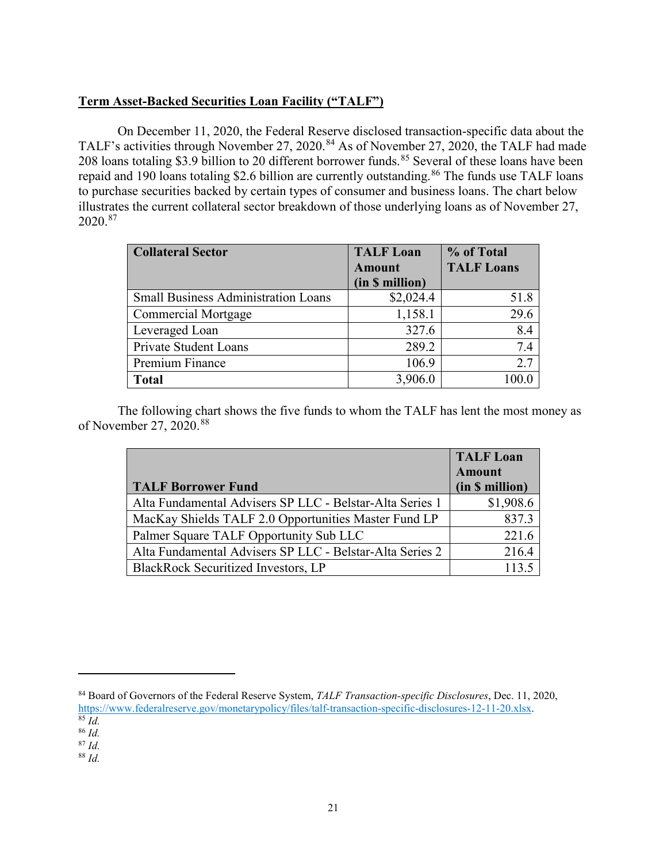# **Term Asset-Backed Securities Loan Facility ("TALF")**

On December 11, 2020, the Federal Reserve disclosed transaction-specific data about the TALF's activities through November 27, 2020.<sup>[84](#page-20-0)</sup> As of November 27, 2020, the TALF had made 208 loans totaling \$3.9 billion to 20 different borrower funds.<sup>[85](#page-20-1)</sup> Several of these loans have been repaid and 190 loans totaling \$2.6 billion are currently outstanding.<sup>[86](#page-20-2)</sup> The funds use TALF loans to purchase securities backed by certain types of consumer and business loans. The chart below illustrates the current collateral sector breakdown of those underlying loans as of November 27, 2020. [87](#page-20-3)

| <b>Collateral Sector</b>                   | <b>TALF Loan</b> | % of Total        |  |
|--------------------------------------------|------------------|-------------------|--|
|                                            | <b>Amount</b>    | <b>TALF Loans</b> |  |
|                                            | (in \$ million)  |                   |  |
| <b>Small Business Administration Loans</b> | \$2,024.4        | 51.8              |  |
| <b>Commercial Mortgage</b>                 | 1,158.1          | 29.6              |  |
| Leveraged Loan                             | 327.6            | 8.4               |  |
| <b>Private Student Loans</b>               | 289.2            | 7.4               |  |
| Premium Finance                            | 106.9            | 2.7               |  |
| <b>Total</b>                               | 3,906.0          | 100.0             |  |

The following chart shows the five funds to whom the TALF has lent the most money as of November 27, 2020.<sup>[88](#page-20-4)</sup>

|                                                          | <b>TALF Loan</b> |
|----------------------------------------------------------|------------------|
|                                                          | <b>Amount</b>    |
| <b>TALF Borrower Fund</b>                                | (in \$ million)  |
| Alta Fundamental Advisers SP LLC - Belstar-Alta Series 1 | \$1,908.6        |
| MacKay Shields TALF 2.0 Opportunities Master Fund LP     | 837.3            |
| Palmer Square TALF Opportunity Sub LLC                   | 221.6            |
| Alta Fundamental Advisers SP LLC - Belstar-Alta Series 2 | 216.4            |
| <b>BlackRock Securitized Investors, LP</b>               |                  |

<span id="page-20-0"></span><sup>84</sup> Board of Governors of the Federal Reserve System, *TALF Transaction-specific Disclosures*, Dec. 11, 2020, [https://www.federalreserve.gov/monetarypolicy/files/talf-transaction-specific-disclosures-12-11-20.xlsx.](https://www.federalreserve.gov/monetarypolicy/files/talf-transaction-specific-disclosures-12-11-20.xlsx)  $\overline{\begin{array}{c} 85 \end{array}}$  *Id.* 

 $\overline{a}$ 

<span id="page-20-4"></span><sup>88</sup> *Id.*

<span id="page-20-1"></span><sup>86</sup> *Id.*

<span id="page-20-3"></span><span id="page-20-2"></span><sup>87</sup> *Id.*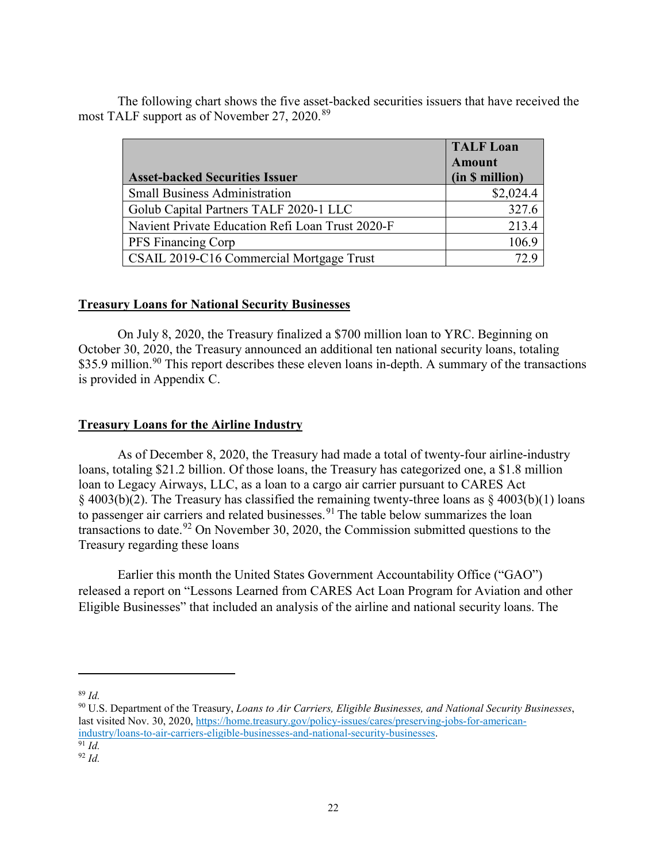The following chart shows the five asset-backed securities issuers that have received the most TALF support as of November 27, 2020.<sup>[89](#page-21-0)</sup>

|                                                  | <b>TALF Loan</b> |
|--------------------------------------------------|------------------|
|                                                  | <b>Amount</b>    |
| <b>Asset-backed Securities Issuer</b>            | (in \$ million)  |
| <b>Small Business Administration</b>             | \$2,024.4        |
| Golub Capital Partners TALF 2020-1 LLC           | 327.6            |
| Navient Private Education Refi Loan Trust 2020-F | 213.4            |
| PFS Financing Corp                               | 106.9            |
| CSAIL 2019-C16 Commercial Mortgage Trust         |                  |

### **Treasury Loans for National Security Businesses**

On July 8, 2020, the Treasury finalized a \$700 million loan to YRC. Beginning on October 30, 2020, the Treasury announced an additional ten national security loans, totaling \$35.9 million.<sup>[90](#page-21-1)</sup> This report describes these eleven loans in-depth. A summary of the transactions is provided in Appendix C.

#### **Treasury Loans for the Airline Industry**

As of December 8, 2020, the Treasury had made a total of twenty-four airline-industry loans, totaling \$21.2 billion. Of those loans, the Treasury has categorized one, a \$1.8 million loan to Legacy Airways, LLC, as a loan to a cargo air carrier pursuant to CARES Act § 4003(b)(2). The Treasury has classified the remaining twenty-three loans as § 4003(b)(1) loans to passenger air carriers and related businesses.<sup>[91](#page-21-2)</sup> The table below summarizes the loan transactions to date.<sup>[92](#page-21-3)</sup> On November 30, 2020, the Commission submitted questions to the Treasury regarding these loans

Earlier this month the United States Government Accountability Office ("GAO") released a report on "Lessons Learned from CARES Act Loan Program for Aviation and other Eligible Businesses" that included an analysis of the airline and national security loans. The

<span id="page-21-0"></span><sup>89</sup> *Id.*

 $\overline{a}$ 

<span id="page-21-1"></span><sup>90</sup> U.S. Department of the Treasury, *Loans to Air Carriers, Eligible Businesses, and National Security Businesses*, last visited Nov. 30, 2020, [https://home.treasury.gov/policy-issues/cares/preserving-jobs-for-american](https://home.treasury.gov/policy-issues/cares/preserving-jobs-for-american-industry/loans-to-air-carriers-eligible-businesses-and-national-security-businesses)[industry/loans-to-air-carriers-eligible-businesses-and-national-security-businesses.](https://home.treasury.gov/policy-issues/cares/preserving-jobs-for-american-industry/loans-to-air-carriers-eligible-businesses-and-national-security-businesses) <sup>91</sup> *Id.*

<span id="page-21-3"></span><span id="page-21-2"></span><sup>92</sup> *Id.*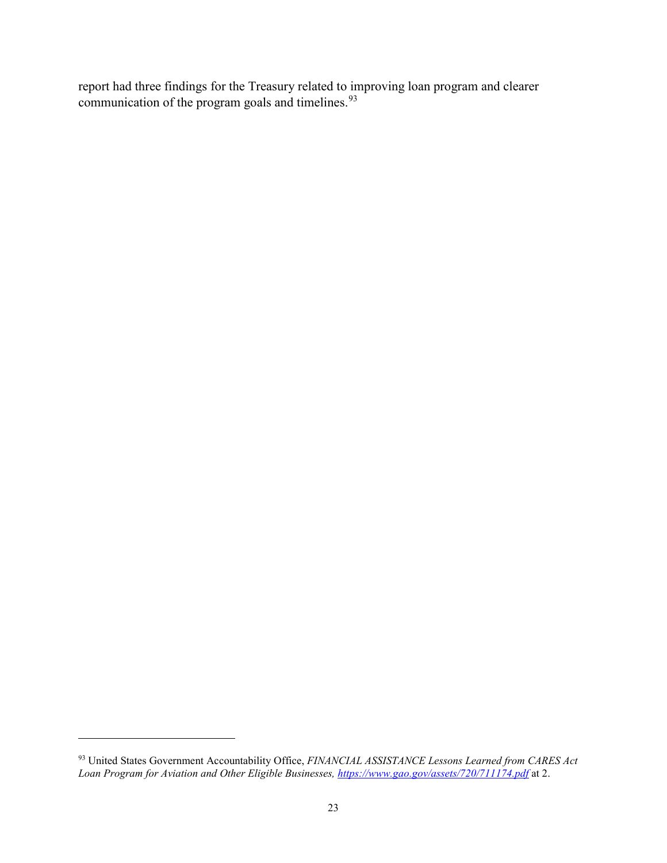report had three findings for the Treasury related to improving loan program and clearer communication of the program goals and timelines.<sup>[93](#page-22-0)</sup>

l

<span id="page-22-0"></span><sup>93</sup> United States Government Accountability Office, *FINANCIAL ASSISTANCE Lessons Learned from CARES Act Loan Program for Aviation and Other Eligible Businesses, <https://www.gao.gov/assets/720/711174.pdf>* at 2.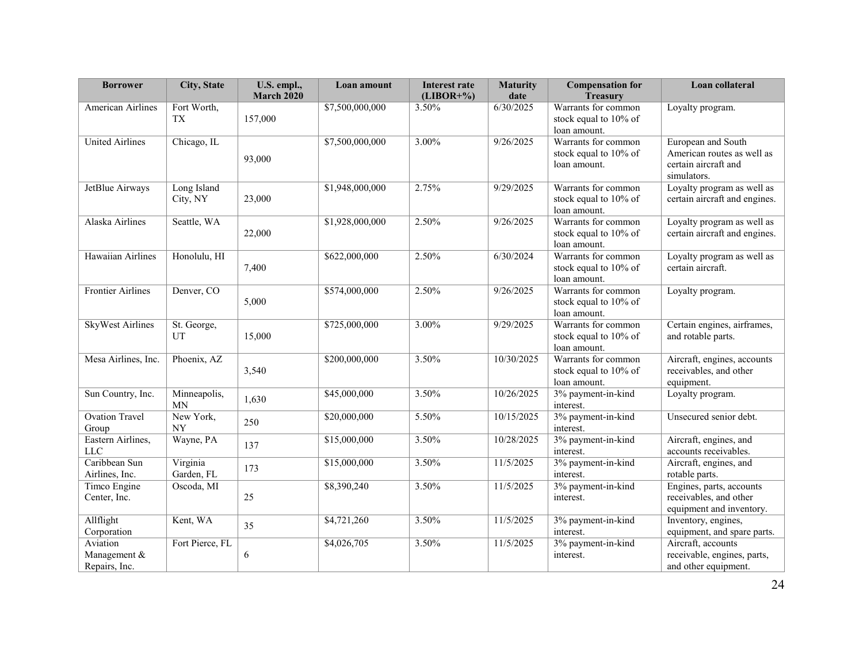| <b>Borrower</b>                           | City, State              | U.S. empl.,<br><b>March 2020</b> | Loan amount     | <b>Interest rate</b><br>$(LIBOR+%$ | <b>Maturity</b><br>date | <b>Compensation for</b><br><b>Treasury</b>                   | Loan collateral                                                                         |
|-------------------------------------------|--------------------------|----------------------------------|-----------------|------------------------------------|-------------------------|--------------------------------------------------------------|-----------------------------------------------------------------------------------------|
| American Airlines                         | Fort Worth,<br><b>TX</b> | 157,000                          | \$7,500,000,000 | 3.50%                              | 6/30/2025               | Warrants for common<br>stock equal to 10% of<br>loan amount. | Loyalty program.                                                                        |
| <b>United Airlines</b>                    | Chicago, IL              | 93,000                           | \$7,500,000,000 | 3.00%                              | 9/26/2025               | Warrants for common<br>stock equal to 10% of<br>loan amount. | European and South<br>American routes as well as<br>certain aircraft and<br>simulators. |
| JetBlue Airways                           | Long Island<br>City, NY  | 23,000                           | \$1,948,000,000 | 2.75%                              | 9/29/2025               | Warrants for common<br>stock equal to 10% of<br>loan amount. | Loyalty program as well as<br>certain aircraft and engines.                             |
| Alaska Airlines                           | Seattle, WA              | 22,000                           | \$1,928,000,000 | 2.50%                              | 9/26/2025               | Warrants for common<br>stock equal to 10% of<br>loan amount. | Loyalty program as well as<br>certain aircraft and engines.                             |
| Hawaiian Airlines                         | Honolulu, HI             | 7,400                            | \$622,000,000   | 2.50%                              | 6/30/2024               | Warrants for common<br>stock equal to 10% of<br>loan amount. | Loyalty program as well as<br>certain aircraft.                                         |
| <b>Frontier Airlines</b>                  | Denver, CO               | 5,000                            | \$574,000,000   | 2.50%                              | 9/26/2025               | Warrants for common<br>stock equal to 10% of<br>loan amount. | Loyalty program.                                                                        |
| <b>SkyWest Airlines</b>                   | St. George,<br>UT        | 15,000                           | \$725,000,000   | 3.00%                              | 9/29/2025               | Warrants for common<br>stock equal to 10% of<br>loan amount. | Certain engines, airframes,<br>and rotable parts.                                       |
| Mesa Airlines, Inc.                       | Phoenix, AZ              | 3,540                            | \$200,000,000   | 3.50%                              | 10/30/2025              | Warrants for common<br>stock equal to 10% of<br>loan amount. | Aircraft, engines, accounts<br>receivables, and other<br>equipment.                     |
| Sun Country, Inc.                         | Minneapolis,<br>MN       | 1,630                            | \$45,000,000    | 3.50%                              | 10/26/2025              | 3% payment-in-kind<br>interest.                              | Loyalty program.                                                                        |
| <b>Ovation Travel</b><br>Group            | New York,<br><b>NY</b>   | 250                              | \$20,000,000    | 5.50%                              | 10/15/2025              | 3% payment-in-kind<br>interest.                              | Unsecured senior debt.                                                                  |
| Eastern Airlines,<br>$_{\rm LLC}$         | Wayne, PA                | 137                              | \$15,000,000    | 3.50%                              | 10/28/2025              | 3% payment-in-kind<br>interest.                              | Aircraft, engines, and<br>accounts receivables.                                         |
| Caribbean Sun<br>Airlines, Inc.           | Virginia<br>Garden, FL   | 173                              | \$15,000,000    | 3.50%                              | 11/5/2025               | 3% payment-in-kind<br>interest.                              | Aircraft, engines, and<br>rotable parts.                                                |
| Timco Engine<br>Center, Inc.              | Oscoda, MI               | 25                               | \$8,390,240     | 3.50%                              | 11/5/2025               | 3% payment-in-kind<br>interest.                              | Engines, parts, accounts<br>receivables, and other<br>equipment and inventory.          |
| Allflight<br>Corporation                  | Kent, WA                 | 35                               | \$4,721,260     | 3.50%                              | 11/5/2025               | 3% payment-in-kind<br>interest.                              | Inventory, engines,<br>equipment, and spare parts.                                      |
| Aviation<br>Management &<br>Repairs, Inc. | Fort Pierce, FL          | 6                                | \$4,026,705     | 3.50%                              | 11/5/2025               | 3% payment-in-kind<br>interest.                              | Aircraft, accounts<br>receivable, engines, parts,<br>and other equipment.               |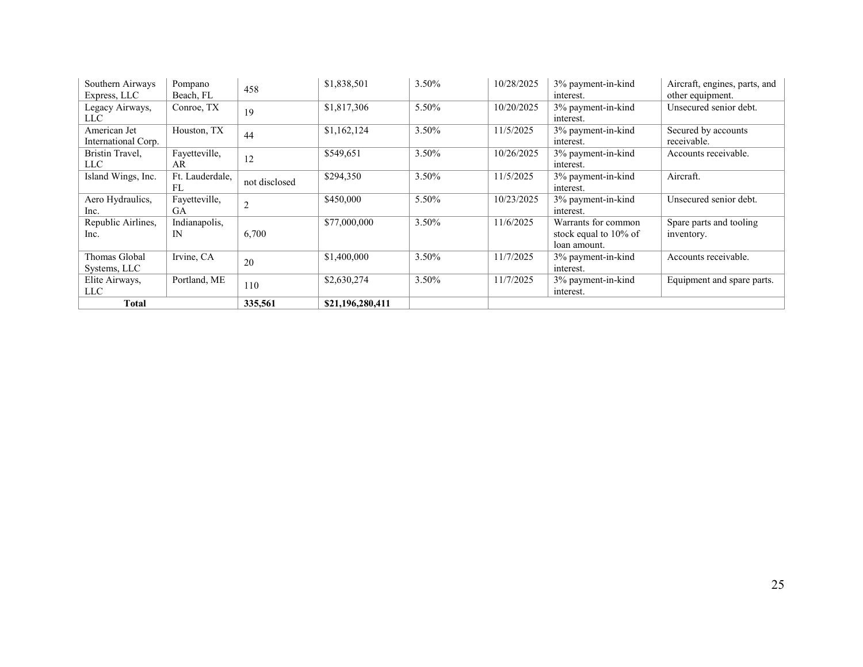| Southern Airways    | Pompano         | 458            | \$1,838,501      | 3.50% | 10/28/2025 | 3% payment-in-kind    | Aircraft, engines, parts, and |
|---------------------|-----------------|----------------|------------------|-------|------------|-----------------------|-------------------------------|
| Express, LLC        | Beach, FL       |                |                  |       |            | interest.             | other equipment.              |
| Legacy Airways,     | Conroe, TX      | 19             | \$1,817,306      | 5.50% | 10/20/2025 | 3% payment-in-kind    | Unsecured senior debt.        |
| LLC -               |                 |                |                  |       |            | interest.             |                               |
| American Jet        | Houston, TX     | 44             | \$1,162,124      | 3.50% | 11/5/2025  | 3% payment-in-kind    | Secured by accounts           |
| International Corp. |                 |                |                  |       |            | interest.             | receivable.                   |
| Bristin Travel,     | Fayetteville,   | 12             | \$549,651        | 3.50% | 10/26/2025 | 3% payment-in-kind    | Accounts receivable.          |
| LLC                 | AR              |                |                  |       |            | interest.             |                               |
| Island Wings, Inc.  | Ft. Lauderdale, | not disclosed  | \$294,350        | 3.50% | 11/5/2025  | 3% payment-in-kind    | Aircraft.                     |
|                     | FL              |                |                  |       |            | interest.             |                               |
| Aero Hydraulics,    | Fayetteville,   | $\overline{2}$ | \$450,000        | 5.50% | 10/23/2025 | 3% payment-in-kind    | Unsecured senior debt.        |
| Inc.                | GA              |                |                  |       |            | interest.             |                               |
| Republic Airlines,  | Indianapolis,   |                | \$77,000,000     | 3.50% | 11/6/2025  | Warrants for common   | Spare parts and tooling       |
| Inc.                | IN              | 6,700          |                  |       |            | stock equal to 10% of | inventory.                    |
|                     |                 |                |                  |       |            | loan amount.          |                               |
| Thomas Global       | Irvine, CA      | 20             | \$1,400,000      | 3.50% | 11/7/2025  | 3% payment-in-kind    | Accounts receivable.          |
| Systems, LLC        |                 |                |                  |       |            | interest.             |                               |
| Elite Airways,      | Portland, ME    | 110            | \$2,630,274      | 3.50% | 11/7/2025  | 3% payment-in-kind    | Equipment and spare parts.    |
| LLC                 |                 |                |                  |       |            | interest.             |                               |
| Total               |                 | 335,561        | \$21,196,280,411 |       |            |                       |                               |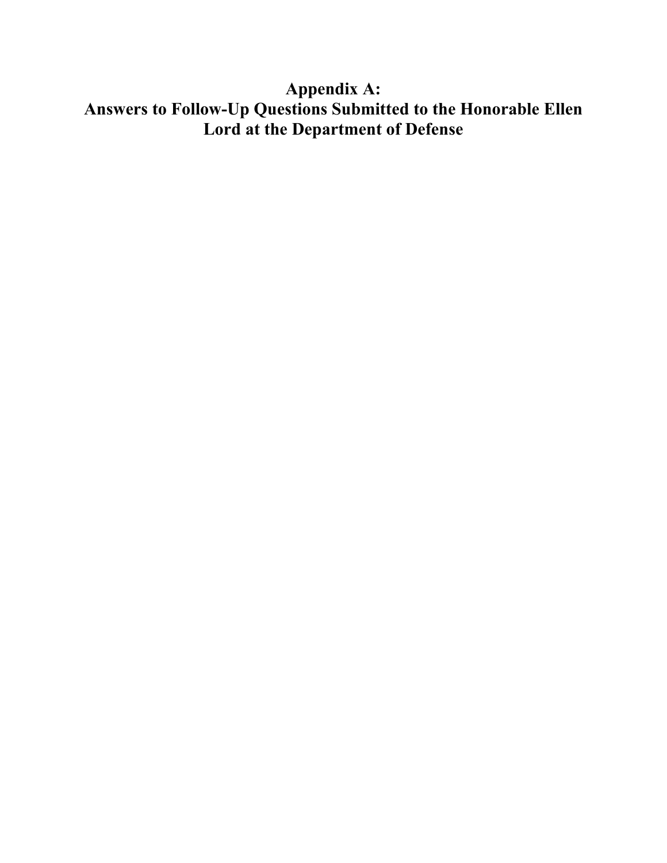# **Appendix A: Answers to Follow-Up Questions Submitted to the Honorable Ellen Lord at the Department of Defense**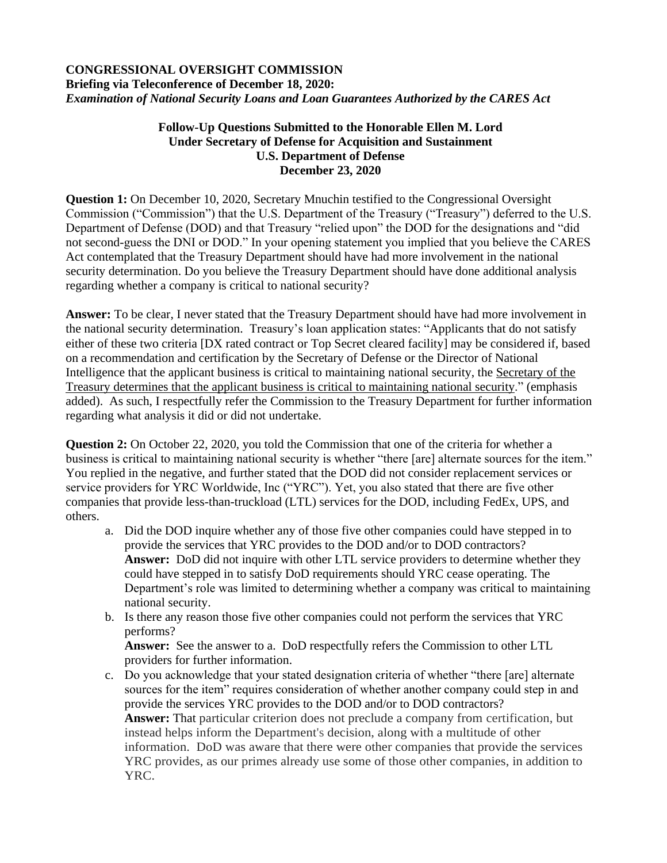# **CONGRESSIONAL OVERSIGHT COMMISSION Briefing via Teleconference of December 18, 2020:**  *Examination of National Security Loans and Loan Guarantees Authorized by the CARES Act*

# **Follow-Up Questions Submitted to the Honorable Ellen M. Lord Under Secretary of Defense for Acquisition and Sustainment U.S. Department of Defense December 23, 2020**

**Question 1:** On December 10, 2020, Secretary Mnuchin testified to the Congressional Oversight Commission ("Commission") that the U.S. Department of the Treasury ("Treasury") deferred to the U.S. Department of Defense (DOD) and that Treasury "relied upon" the DOD for the designations and "did not second-guess the DNI or DOD." In your opening statement you implied that you believe the CARES Act contemplated that the Treasury Department should have had more involvement in the national security determination. Do you believe the Treasury Department should have done additional analysis regarding whether a company is critical to national security?

**Answer:** To be clear, I never stated that the Treasury Department should have had more involvement in the national security determination. Treasury's loan application states: "Applicants that do not satisfy either of these two criteria [DX rated contract or Top Secret cleared facility] may be considered if, based on a recommendation and certification by the Secretary of Defense or the Director of National Intelligence that the applicant business is critical to maintaining national security, the Secretary of the Treasury determines that the applicant business is critical to maintaining national security." (emphasis added). As such, I respectfully refer the Commission to the Treasury Department for further information regarding what analysis it did or did not undertake.

**Question 2:** On October 22, 2020, you told the Commission that one of the criteria for whether a business is critical to maintaining national security is whether "there [are] alternate sources for the item." You replied in the negative, and further stated that the DOD did not consider replacement services or service providers for YRC Worldwide, Inc ("YRC"). Yet, you also stated that there are five other companies that provide less-than-truckload (LTL) services for the DOD, including FedEx, UPS, and others.

- a. Did the DOD inquire whether any of those five other companies could have stepped in to provide the services that YRC provides to the DOD and/or to DOD contractors? **Answer:** DoD did not inquire with other LTL service providers to determine whether they could have stepped in to satisfy DoD requirements should YRC cease operating. The Department's role was limited to determining whether a company was critical to maintaining national security.
- b. Is there any reason those five other companies could not perform the services that YRC performs?

**Answer:** See the answer to a. DoD respectfully refers the Commission to other LTL providers for further information.

c. Do you acknowledge that your stated designation criteria of whether "there [are] alternate sources for the item" requires consideration of whether another company could step in and provide the services YRC provides to the DOD and/or to DOD contractors? **Answer:** That particular criterion does not preclude a company from certification, but instead helps inform the Department's decision, along with a multitude of other information. DoD was aware that there were other companies that provide the services YRC provides, as our primes already use some of those other companies, in addition to YRC.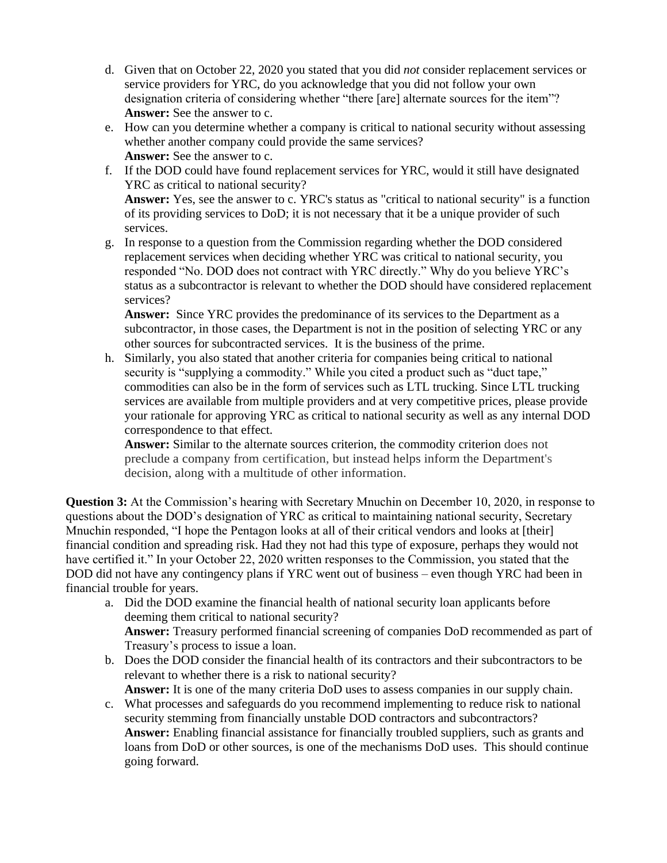- d. Given that on October 22, 2020 you stated that you did *not* consider replacement services or service providers for YRC, do you acknowledge that you did not follow your own designation criteria of considering whether "there [are] alternate sources for the item"? **Answer:** See the answer to c.
- e. How can you determine whether a company is critical to national security without assessing whether another company could provide the same services? **Answer:** See the answer to c.
- f. If the DOD could have found replacement services for YRC, would it still have designated YRC as critical to national security?

**Answer:** Yes, see the answer to c. YRC's status as "critical to national security" is a function of its providing services to DoD; it is not necessary that it be a unique provider of such services.

g. In response to a question from the Commission regarding whether the DOD considered replacement services when deciding whether YRC was critical to national security, you responded "No. DOD does not contract with YRC directly." Why do you believe YRC's status as a subcontractor is relevant to whether the DOD should have considered replacement services?

**Answer:** Since YRC provides the predominance of its services to the Department as a subcontractor, in those cases, the Department is not in the position of selecting YRC or any other sources for subcontracted services. It is the business of the prime.

h. Similarly, you also stated that another criteria for companies being critical to national security is "supplying a commodity." While you cited a product such as "duct tape," commodities can also be in the form of services such as LTL trucking. Since LTL trucking services are available from multiple providers and at very competitive prices, please provide your rationale for approving YRC as critical to national security as well as any internal DOD correspondence to that effect.

**Answer:** Similar to the alternate sources criterion, the commodity criterion does not preclude a company from certification, but instead helps inform the Department's decision, along with a multitude of other information.

**Question 3:** At the Commission's hearing with Secretary Mnuchin on December 10, 2020, in response to questions about the DOD's designation of YRC as critical to maintaining national security, Secretary Mnuchin responded, "I hope the Pentagon looks at all of their critical vendors and looks at [their] financial condition and spreading risk. Had they not had this type of exposure, perhaps they would not have certified it." In your October 22, 2020 written responses to the Commission, you stated that the DOD did not have any contingency plans if YRC went out of business – even though YRC had been in financial trouble for years.

- a. Did the DOD examine the financial health of national security loan applicants before deeming them critical to national security? **Answer:** Treasury performed financial screening of companies DoD recommended as part of Treasury's process to issue a loan.
- b. Does the DOD consider the financial health of its contractors and their subcontractors to be relevant to whether there is a risk to national security? **Answer:** It is one of the many criteria DoD uses to assess companies in our supply chain.
- c. What processes and safeguards do you recommend implementing to reduce risk to national security stemming from financially unstable DOD contractors and subcontractors? **Answer:** Enabling financial assistance for financially troubled suppliers, such as grants and loans from DoD or other sources, is one of the mechanisms DoD uses. This should continue going forward.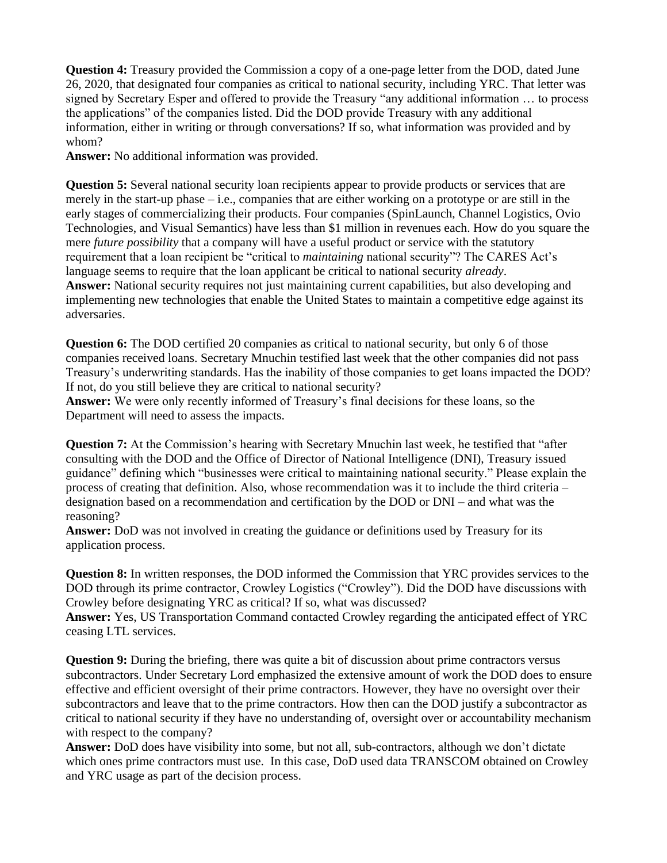**Question 4:** Treasury provided the Commission a copy of a one-page letter from the DOD, dated June 26, 2020, that designated four companies as critical to national security, including YRC. That letter was signed by Secretary Esper and offered to provide the Treasury "any additional information … to process the applications" of the companies listed. Did the DOD provide Treasury with any additional information, either in writing or through conversations? If so, what information was provided and by whom?

**Answer:** No additional information was provided.

**Question 5:** Several national security loan recipients appear to provide products or services that are merely in the start-up phase – i.e., companies that are either working on a prototype or are still in the early stages of commercializing their products. Four companies (SpinLaunch, Channel Logistics, Ovio Technologies, and Visual Semantics) have less than \$1 million in revenues each. How do you square the mere *future possibility* that a company will have a useful product or service with the statutory requirement that a loan recipient be "critical to *maintaining* national security"? The CARES Act's language seems to require that the loan applicant be critical to national security *already*. **Answer:** National security requires not just maintaining current capabilities, but also developing and implementing new technologies that enable the United States to maintain a competitive edge against its adversaries.

**Question 6:** The DOD certified 20 companies as critical to national security, but only 6 of those companies received loans. Secretary Mnuchin testified last week that the other companies did not pass Treasury's underwriting standards. Has the inability of those companies to get loans impacted the DOD? If not, do you still believe they are critical to national security?

**Answer:** We were only recently informed of Treasury's final decisions for these loans, so the Department will need to assess the impacts.

**Question 7:** At the Commission's hearing with Secretary Mnuchin last week, he testified that "after consulting with the DOD and the Office of Director of National Intelligence (DNI), Treasury issued guidance" defining which "businesses were critical to maintaining national security." Please explain the process of creating that definition. Also, whose recommendation was it to include the third criteria – designation based on a recommendation and certification by the DOD or DNI – and what was the reasoning?

**Answer:** DoD was not involved in creating the guidance or definitions used by Treasury for its application process.

**Question 8:** In written responses, the DOD informed the Commission that YRC provides services to the DOD through its prime contractor, Crowley Logistics ("Crowley"). Did the DOD have discussions with Crowley before designating YRC as critical? If so, what was discussed?

**Answer:** Yes, US Transportation Command contacted Crowley regarding the anticipated effect of YRC ceasing LTL services.

**Question 9:** During the briefing, there was quite a bit of discussion about prime contractors versus subcontractors. Under Secretary Lord emphasized the extensive amount of work the DOD does to ensure effective and efficient oversight of their prime contractors. However, they have no oversight over their subcontractors and leave that to the prime contractors. How then can the DOD justify a subcontractor as critical to national security if they have no understanding of, oversight over or accountability mechanism with respect to the company?

**Answer:** DoD does have visibility into some, but not all, sub-contractors, although we don't dictate which ones prime contractors must use. In this case, DoD used data TRANSCOM obtained on Crowley and YRC usage as part of the decision process.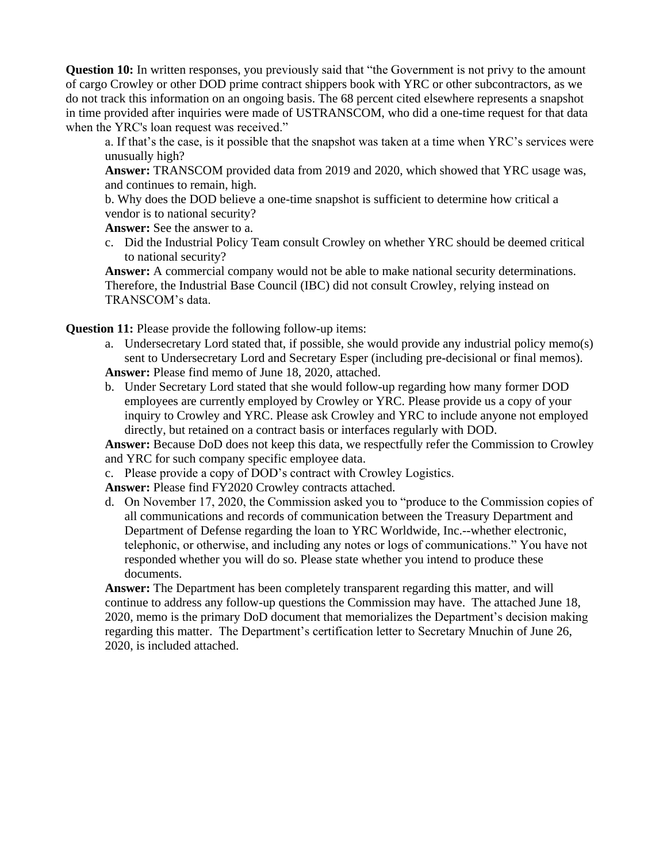**Question 10:** In written responses, you previously said that "the Government is not privy to the amount of cargo Crowley or other DOD prime contract shippers book with YRC or other subcontractors, as we do not track this information on an ongoing basis. The 68 percent cited elsewhere represents a snapshot in time provided after inquiries were made of USTRANSCOM, who did a one-time request for that data when the YRC's loan request was received."

a. If that's the case, is it possible that the snapshot was taken at a time when YRC's services were unusually high?

**Answer:** TRANSCOM provided data from 2019 and 2020, which showed that YRC usage was, and continues to remain, high.

b. Why does the DOD believe a one-time snapshot is sufficient to determine how critical a vendor is to national security?

**Answer:** See the answer to a.

c. Did the Industrial Policy Team consult Crowley on whether YRC should be deemed critical to national security?

**Answer:** A commercial company would not be able to make national security determinations. Therefore, the Industrial Base Council (IBC) did not consult Crowley, relying instead on TRANSCOM's data.

**Question 11:** Please provide the following follow-up items:

- a. Undersecretary Lord stated that, if possible, she would provide any industrial policy memo(s) sent to Undersecretary Lord and Secretary Esper (including pre-decisional or final memos). **Answer:** Please find memo of June 18, 2020, attached.
- b. Under Secretary Lord stated that she would follow-up regarding how many former DOD employees are currently employed by Crowley or YRC. Please provide us a copy of your inquiry to Crowley and YRC. Please ask Crowley and YRC to include anyone not employed directly, but retained on a contract basis or interfaces regularly with DOD.

**Answer:** Because DoD does not keep this data, we respectfully refer the Commission to Crowley and YRC for such company specific employee data.

c. Please provide a copy of DOD's contract with Crowley Logistics.

**Answer:** Please find FY2020 Crowley contracts attached.

d. On November 17, 2020, the Commission asked you to "produce to the Commission copies of all communications and records of communication between the Treasury Department and Department of Defense regarding the loan to YRC Worldwide, Inc.--whether electronic, telephonic, or otherwise, and including any notes or logs of communications." You have not responded whether you will do so. Please state whether you intend to produce these documents.

**Answer:** The Department has been completely transparent regarding this matter, and will continue to address any follow-up questions the Commission may have. The attached June 18, 2020, memo is the primary DoD document that memorializes the Department's decision making regarding this matter. The Department's certification letter to Secretary Mnuchin of June 26, 2020, is included attached.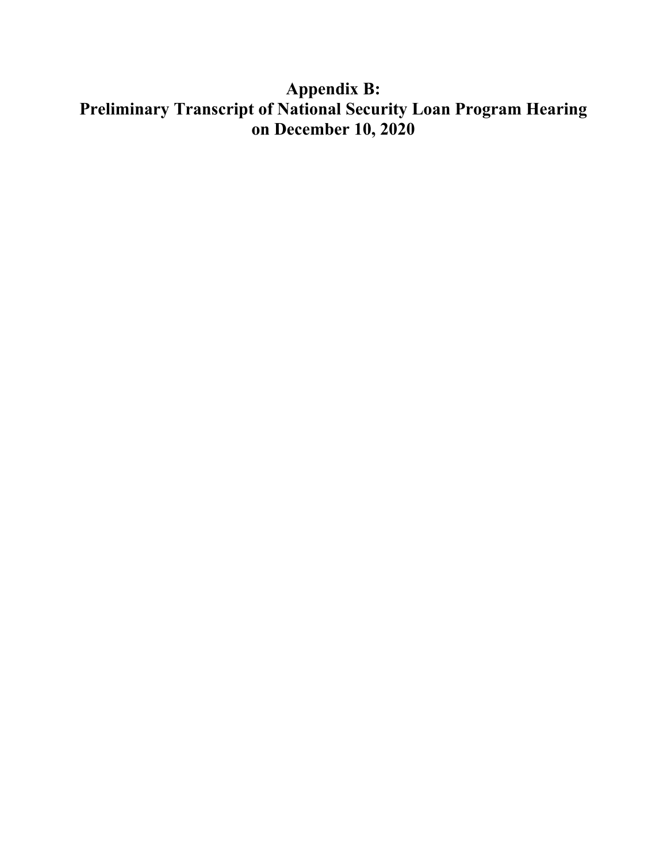# **Appendix B: Preliminary Transcript of National Security Loan Program Hearing on December 10, 2020**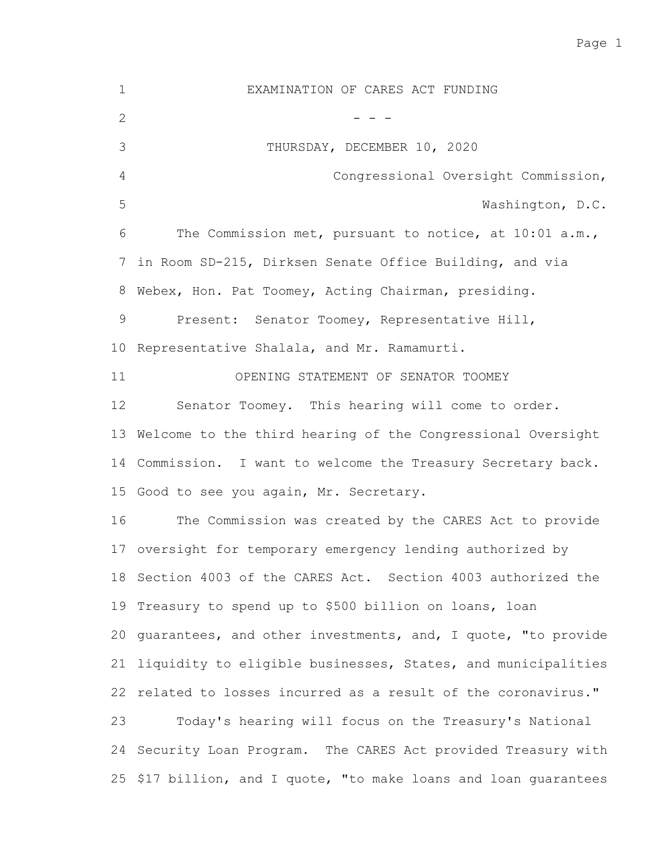Page 1

EXAMINATION OF CARES ACT FUNDING - - - THURSDAY, DECEMBER 10, 2020 Congressional Oversight Commission, Washington, D.C. The Commission met, pursuant to notice, at 10:01 a.m., 7 in Room SD-215, Dirksen Senate Office Building, and via 8 Webex, Hon. Pat Toomey, Acting Chairman, presiding. Present: Senator Toomey, Representative Hill, 10 Representative Shalala, and Mr. Ramamurti. OPENING STATEMENT OF SENATOR TOOMEY Senator Toomey. This hearing will come to order. 13 Welcome to the third hearing of the Congressional Oversight 14 Commission. I want to welcome the Treasury Secretary back. 15 Good to see you again, Mr. Secretary. The Commission was created by the CARES Act to provide 17 oversight for temporary emergency lending authorized by 18 Section 4003 of the CARES Act. Section 4003 authorized the 19 Treasury to spend up to \$500 billion on loans, loan 20 guarantees, and other investments, and, I quote, "to provide 21 liquidity to eligible businesses, States, and municipalities 22 related to losses incurred as a result of the coronavirus." Today's hearing will focus on the Treasury's National 24 Security Loan Program. The CARES Act provided Treasury with 25 \$17 billion, and I quote, "to make loans and loan guarantees 1 2 3 4 5 6 9 11 12 16 23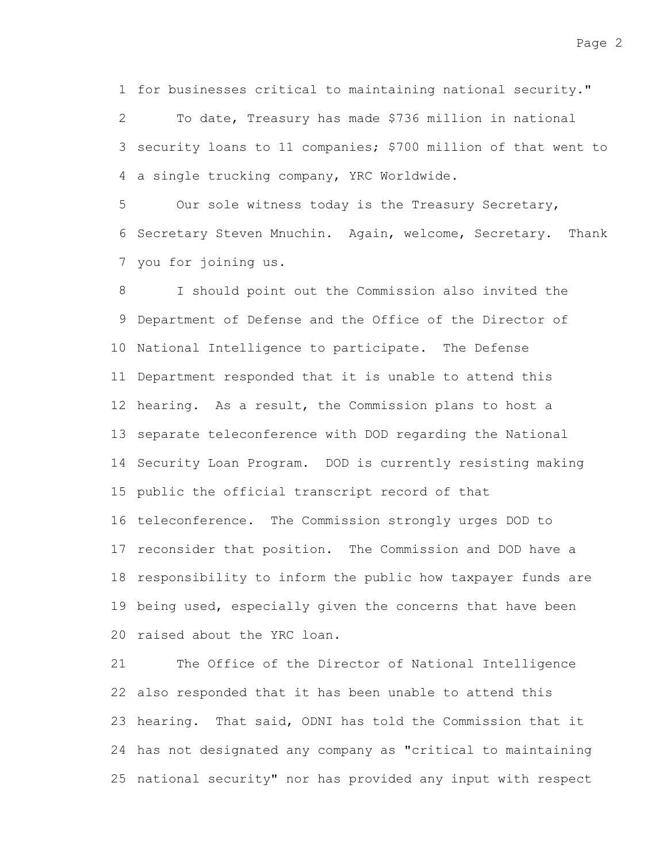1 for businesses critical to maintaining national security."

To date, Treasury has made \$736 million in national 3 security loans to 11 companies; \$700 million of that went to 4 a single trucking company, YRC Worldwide. 2

Our sole witness today is the Treasury Secretary, 6 Secretary Steven Mnuchin. Again, welcome, Secretary. Thank 7 you for joining us. 5

I should point out the Commission also invited the 9 Department of Defense and the Office of the Director of 10 National Intelligence to participate. The Defense 11 Department responded that it is unable to attend this 12 hearing. As a result, the Commission plans to host a 13 separate teleconference with DOD regarding the National 14 Security Loan Program. DOD is currently resisting making 15 public the official transcript record of that 16 teleconference. The Commission strongly urges DOD to 17 reconsider that position. The Commission and DOD have a 18 responsibility to inform the public how taxpayer funds are 19 being used, especially given the concerns that have been 20 raised about the YRC loan. 8

The Office of the Director of National Intelligence also responded that it has been unable to attend this 22 23 hearing. That said, ODNI has told the Commission that it 24 has not designated any company as "critical to maintaining 25 national security" nor has provided any input with respect 21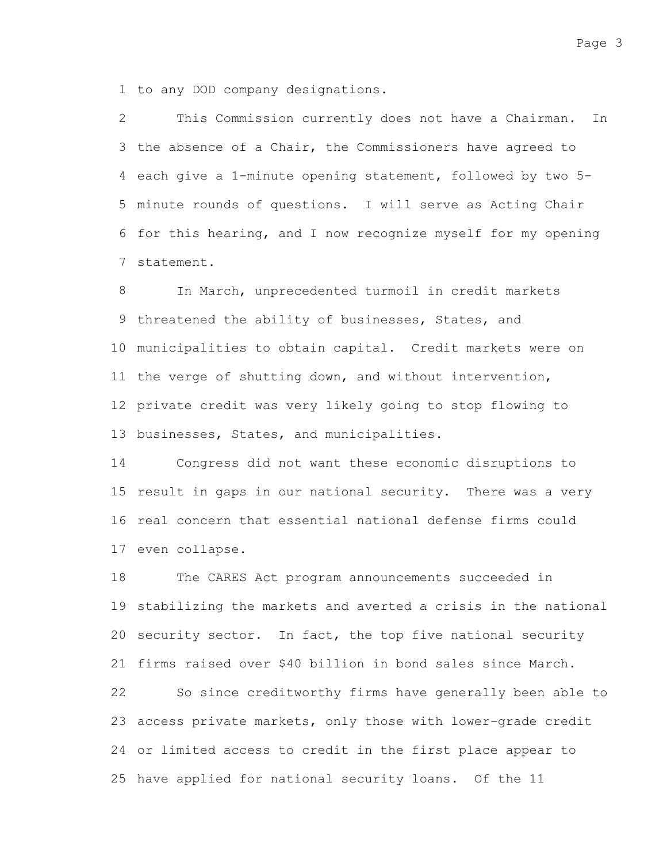1 to any DOD company designations.

This Commission currently does not have a Chairman. In 3 the absence of a Chair, the Commissioners have agreed to 4 each give a 1-minute opening statement, followed by two 5-5 minute rounds of questions. I will serve as Acting Chair 6 for this hearing, and I now recognize myself for my opening 7 statement. 2

In March, unprecedented turmoil in credit markets 9 threatened the ability of businesses, States, and municipalities to obtain capital. Credit markets were on 10 11 the verge of shutting down, and without intervention, 12 private credit was very likely going to stop flowing to 13 businesses, States, and municipalities. 8

Congress did not want these economic disruptions to 15 result in gaps in our national security. There was a very 16 real concern that essential national defense firms could 17 even collapse. 14

The CARES Act program announcements succeeded in 19 stabilizing the markets and averted a crisis in the national 20 security sector. In fact, the top five national security 21 firms raised over \$40 billion in bond sales since March. So since creditworthy firms have generally been able to 23 access private markets, only those with lower-grade credit 24 or limited access to credit in the first place appear to 25 have applied for national security loans. Of the 11 18 22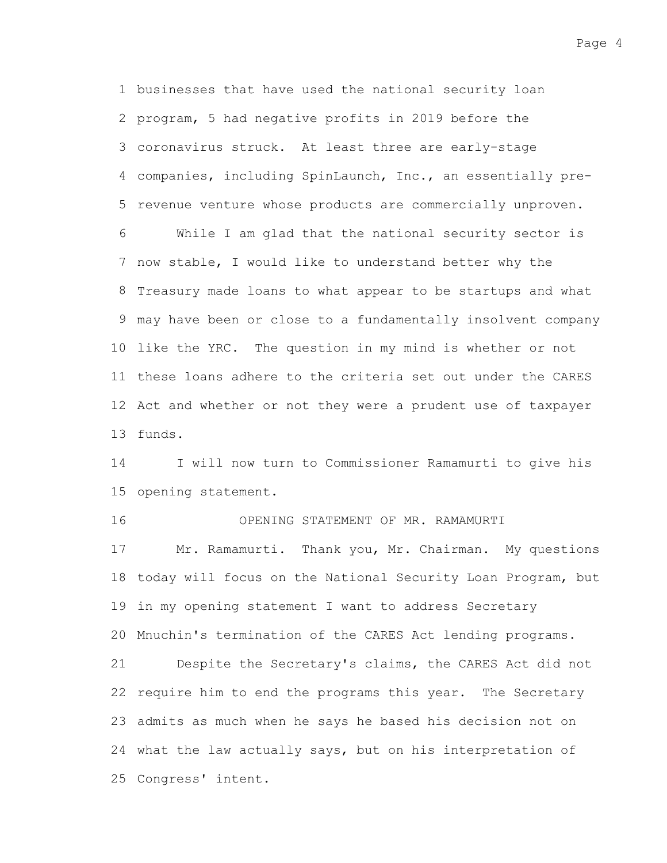1 businesses that have used the national security loan 2 program, 5 had negative profits in 2019 before the coronavirus struck. At least three are early-stage 3 companies, including SpinLaunch, Inc., an essentially pre-4 5 revenue venture whose products are commercially unproven. While I am glad that the national security sector is 7 now stable, I would like to understand better why the 8 Treasury made loans to what appear to be startups and what may have been or close to a fundamentally insolvent company 9 10 like the YRC. The question in my mind is whether or not 6

12 Act and whether or not they were a prudent use of taxpayer 13 funds.

11 these loans adhere to the criteria set out under the CARES

I will now turn to Commissioner Ramamurti to give his 15 opening statement. 14

OPENING STATEMENT OF MR. RAMAMURTI 16

Mr. Ramamurti. Thank you, Mr. Chairman. My questions 18 today will focus on the National Security Loan Program, but 19 in my opening statement I want to address Secretary 20 Mnuchin's termination of the CARES Act lending programs. Despite the Secretary's claims, the CARES Act did not 22 require him to end the programs this year. The Secretary 23 admits as much when he says he based his decision not on 24 what the law actually says, but on his interpretation of 25 Congress' intent. 17 21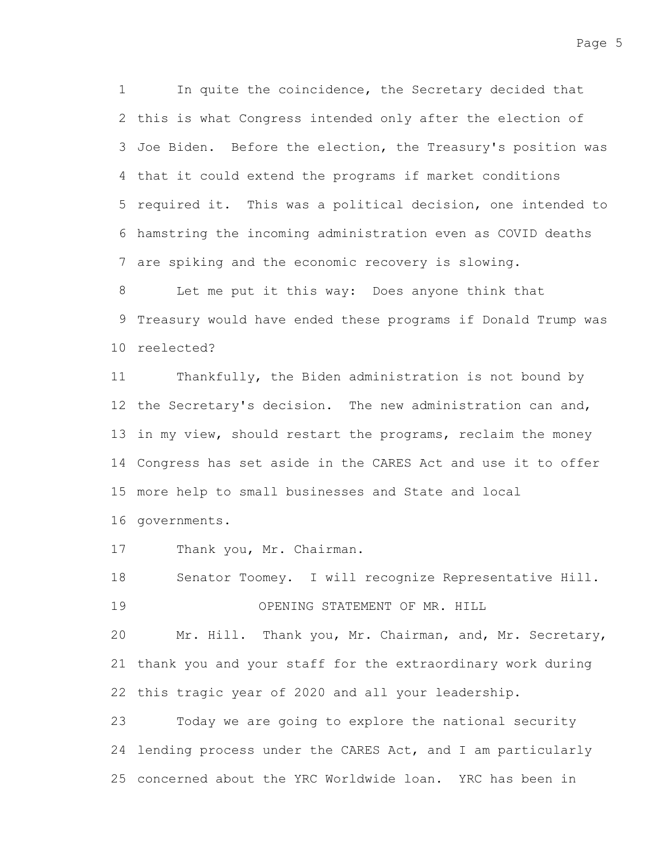In quite the coincidence, the Secretary decided that 2 this is what Congress intended only after the election of 3 Joe Biden. Before the election, the Treasury's position was 4 that it could extend the programs if market conditions 5 required it. This was a political decision, one intended to hamstring the incoming administration even as COVID deaths 6 7 are spiking and the economic recovery is slowing. 1

Let me put it this way: Does anyone think that 9 Treasury would have ended these programs if Donald Trump was 10 reelected? 8

Thankfully, the Biden administration is not bound by 12 the Secretary's decision. The new administration can and, 13 in my view, should restart the programs, reclaim the money 14 Congress has set aside in the CARES Act and use it to offer more help to small businesses and State and local 15 11

16 governments.

Thank you, Mr. Chairman. 17

Senator Toomey. I will recognize Representative Hill. OPENING STATEMENT OF MR. HILL 18 19

Mr. Hill. Thank you, Mr. Chairman, and, Mr. Secretary, 21 thank you and your staff for the extraordinary work during 22 this tragic year of 2020 and all your leadership. 20

Today we are going to explore the national security 24 lending process under the CARES Act, and I am particularly 25 concerned about the YRC Worldwide loan. YRC has been in 23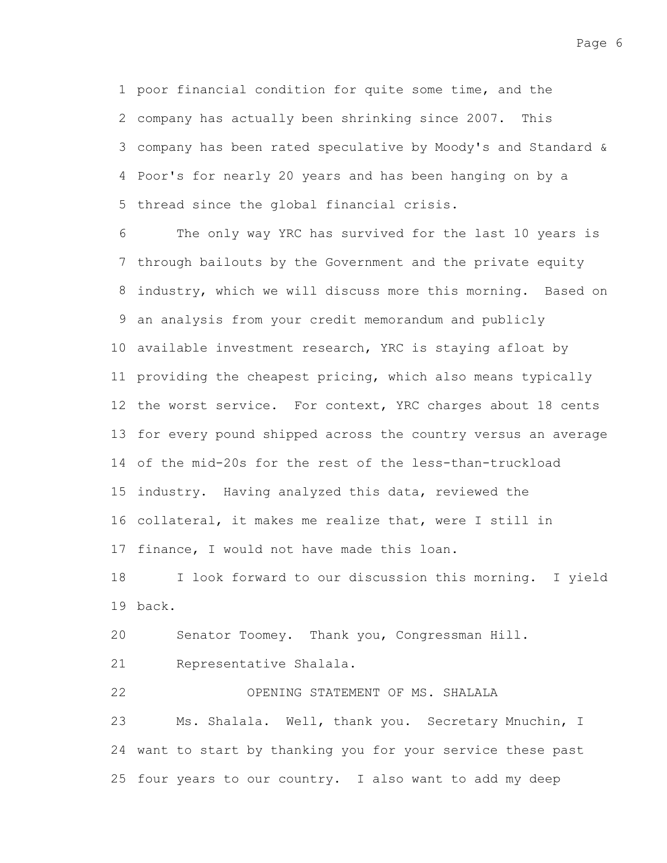Page 6

1 poor financial condition for quite some time, and the 2 company has actually been shrinking since 2007. This company has been rated speculative by Moody's and Standard & 3 Poor's for nearly 20 years and has been hanging on by a 4 5 thread since the global financial crisis.

The only way YRC has survived for the last 10 years is 7 through bailouts by the Government and the private equity 8 industry, which we will discuss more this morning. Based on an analysis from your credit memorandum and publicly 9 10 available investment research, YRC is staying afloat by 11 providing the cheapest pricing, which also means typically 12 the worst service. For context, YRC charges about 18 cents 13 for every pound shipped across the country versus an average of the mid-20s for the rest of the less-than-truckload 14 15 industry. Having analyzed this data, reviewed the 16 collateral, it makes me realize that, were I still in 17 finance, I would not have made this loan. 6

I look forward to our discussion this morning. I yield back. 19 18

Senator Toomey. Thank you, Congressman Hill. 20

Representative Shalala. 21

OPENING STATEMENT OF MS. SHALALA Ms. Shalala. Well, thank you. Secretary Mnuchin, I 24 want to start by thanking you for your service these past 25 four years to our country. I also want to add my deep 22 23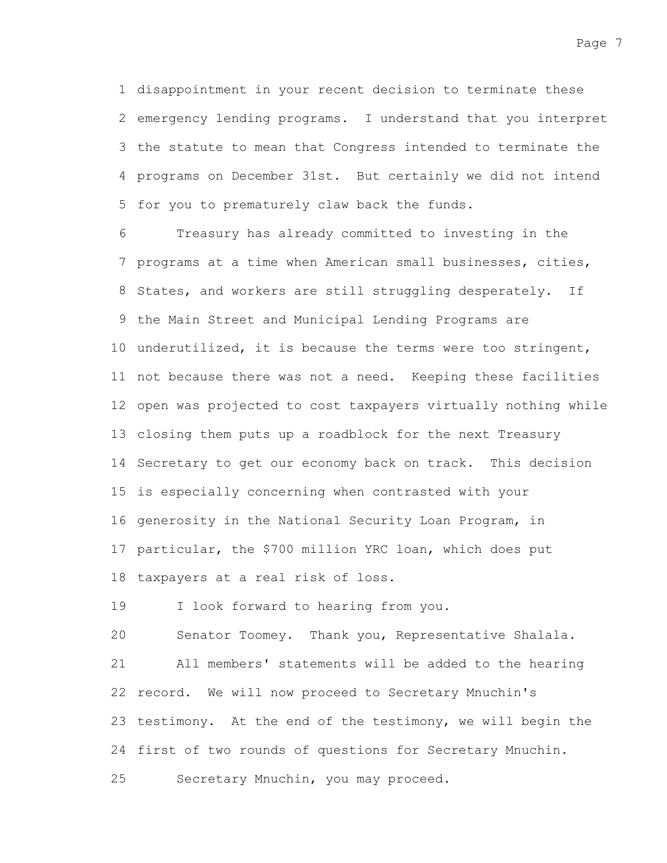1 disappointment in your recent decision to terminate these 2 emergency lending programs. I understand that you interpret 3 the statute to mean that Congress intended to terminate the programs on December 31st. But certainly we did not intend 4 5 for you to prematurely claw back the funds.

Treasury has already committed to investing in the 7 programs at a time when American small businesses, cities, 8 States, and workers are still struggling desperately. If 9 the Main Street and Municipal Lending Programs are 10 underutilized, it is because the terms were too stringent, 11 not because there was not a need. Keeping these facilities 12 open was projected to cost taxpayers virtually nothing while closing them puts up a roadblock for the next Treasury 13 14 Secretary to get our economy back on track. This decision 15 is especially concerning when contrasted with your 16 generosity in the National Security Loan Program, in 17 particular, the \$700 million YRC loan, which does put 18 taxpayers at a real risk of loss. 6

I look forward to hearing from you. 19

20

25

All members' statements will be added to the hearing 22 record. We will now proceed to Secretary Mnuchin's 23 testimony. At the end of the testimony, we will begin the 24 first of two rounds of questions for Secretary Mnuchin. 21

Secretary Mnuchin, you may proceed.

Senator Toomey. Thank you, Representative Shalala.

Page 7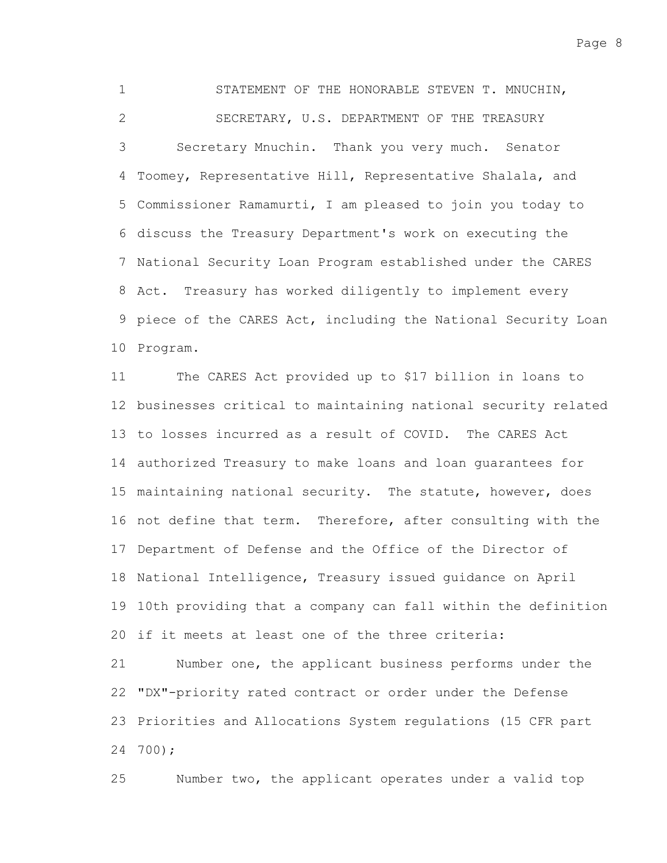STATEMENT OF THE HONORABLE STEVEN T. MNUCHIN, SECRETARY, U.S. DEPARTMENT OF THE TREASURY Secretary Mnuchin. Thank you very much. Senator 4 Toomey, Representative Hill, Representative Shalala, and 5 Commissioner Ramamurti, I am pleased to join you today to 6 discuss the Treasury Department's work on executing the 7 National Security Loan Program established under the CARES Treasury has worked diligently to implement every 9 piece of the CARES Act, including the National Security Loan 10 Program. 1 2 3 8 Act.

The CARES Act provided up to \$17 billion in loans to 12 businesses critical to maintaining national security related 13 to losses incurred as a result of COVID. The CARES Act 14 authorized Treasury to make loans and loan guarantees for 15 maintaining national security. The statute, however, does 16 not define that term. Therefore, after consulting with the 17 Department of Defense and the Office of the Director of 18 National Intelligence, Treasury issued guidance on April 19 10th providing that a company can fall within the definition 20 if it meets at least one of the three criteria: Number one, the applicant business performs under the 11 21

"DX"-priority rated contract or order under the Defense 22 23 Priorities and Allocations System regulations (15 CFR part 700); 24

Number two, the applicant operates under a valid top 25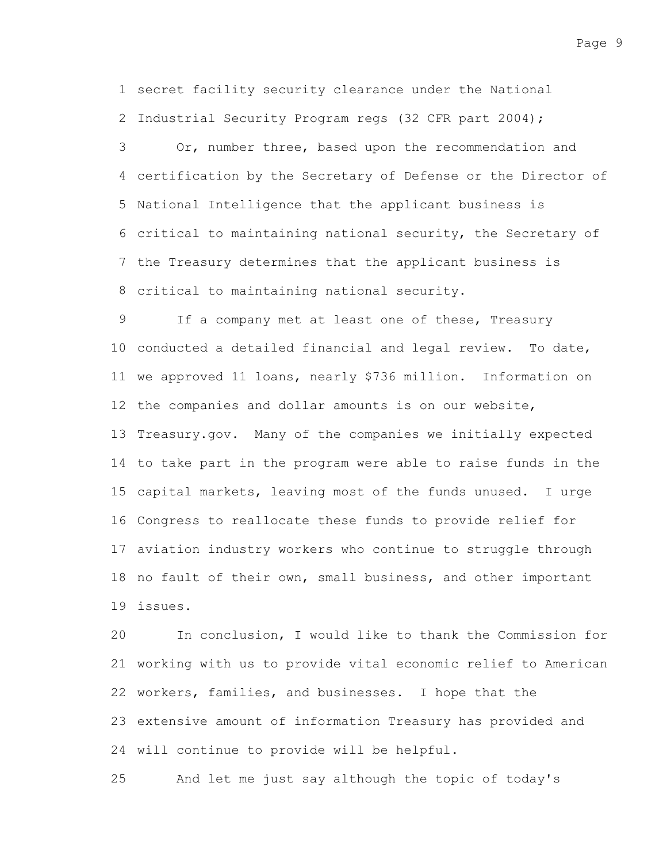1 secret facility security clearance under the National 2 Industrial Security Program regs (32 CFR part 2004);

Or, number three, based upon the recommendation and certification by the Secretary of Defense or the Director of 4 5 National Intelligence that the applicant business is 6 critical to maintaining national security, the Secretary of 7 the Treasury determines that the applicant business is 8 critical to maintaining national security. 3

If a company met at least one of these, Treasury 10 conducted a detailed financial and legal review. To date, 11 we approved 11 loans, nearly \$736 million. Information on 12 the companies and dollar amounts is on our website, 13 Treasury.gov. Many of the companies we initially expected 14 to take part in the program were able to raise funds in the 15 capital markets, leaving most of the funds unused. I urge 16 Congress to reallocate these funds to provide relief for 17 aviation industry workers who continue to struggle through 18 no fault of their own, small business, and other important issues. 19 9

In conclusion, I would like to thank the Commission for 21 working with us to provide vital economic relief to American 22 workers, families, and businesses. I hope that the 23 extensive amount of information Treasury has provided and 24 will continue to provide will be helpful. 20

And let me just say although the topic of today's 25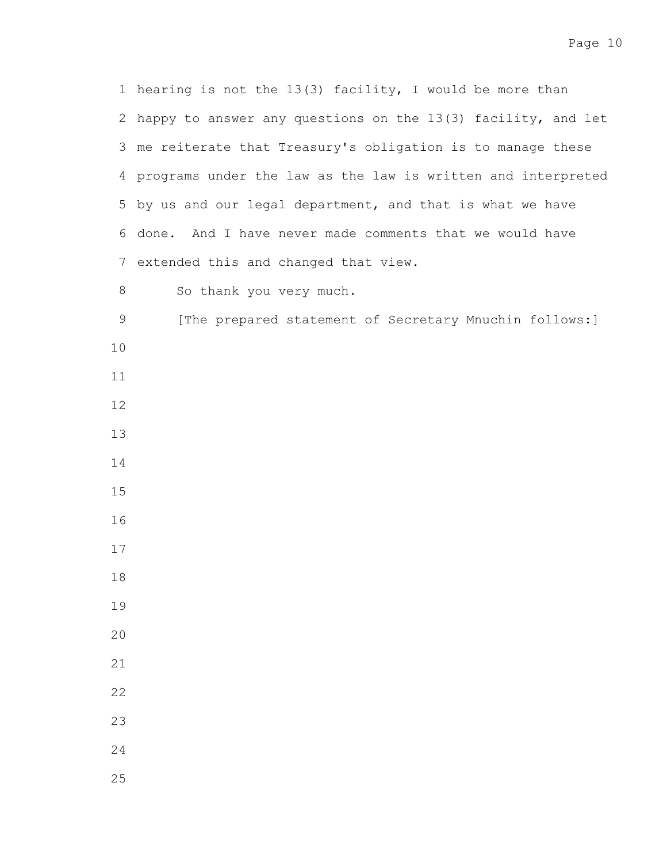1 hearing is not the 13(3) facility, I would be more than 2 happy to answer any questions on the 13(3) facility, and let 3 me reiterate that Treasury's obligation is to manage these programs under the law as the law is written and interpreted 5 by us and our legal department, and that is what we have 6 done. And I have never made comments that we would have 7 extended this and changed that view.

So thank you very much. 

[The prepared statement of Secretary Mnuchin follows:] 

- 
- 
- 
- 
- 
- 
- 
- 
- 
- 
- 
- 
- 
- 
- 
-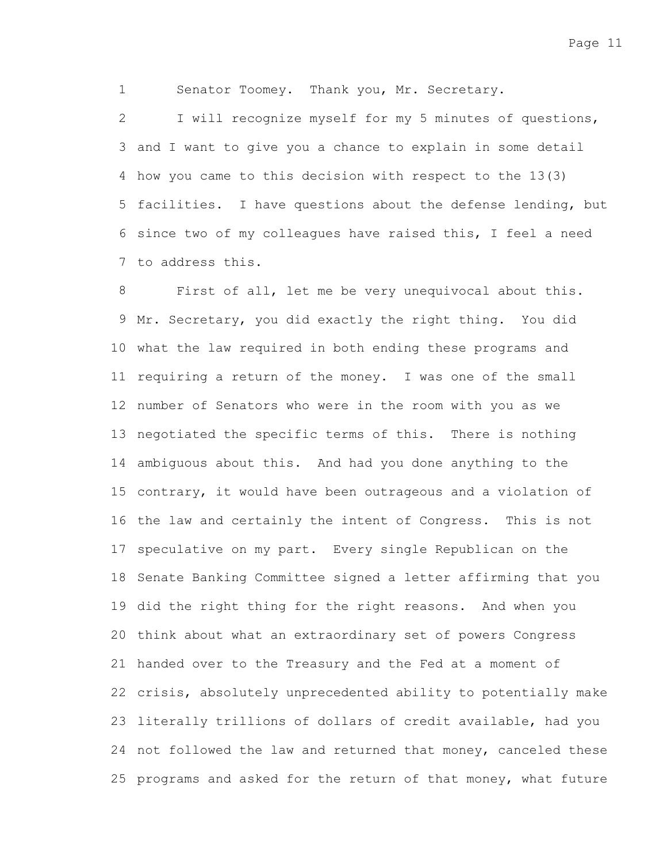Senator Toomey. Thank you, Mr. Secretary.

1

I will recognize myself for my 5 minutes of questions, 3 and I want to give you a chance to explain in some detail 4 how you came to this decision with respect to the 13(3) 5 facilities. I have questions about the defense lending, but 6 since two of my colleagues have raised this, I feel a need 7 to address this. 2

First of all, let me be very unequivocal about this. 9 Mr. Secretary, you did exactly the right thing. You did 10 what the law required in both ending these programs and 11 requiring a return of the money. I was one of the small 12 number of Senators who were in the room with you as we 13 negotiated the specific terms of this. There is nothing 14 ambiguous about this. And had you done anything to the 15 contrary, it would have been outrageous and a violation of 16 the law and certainly the intent of Congress. This is not 17 speculative on my part. Every single Republican on the 18 Senate Banking Committee signed a letter affirming that you 19 did the right thing for the right reasons. And when you 20 think about what an extraordinary set of powers Congress 21 handed over to the Treasury and the Fed at a moment of 22 crisis, absolutely unprecedented ability to potentially make 23 literally trillions of dollars of credit available, had you 24 not followed the law and returned that money, canceled these 25 programs and asked for the return of that money, what future 8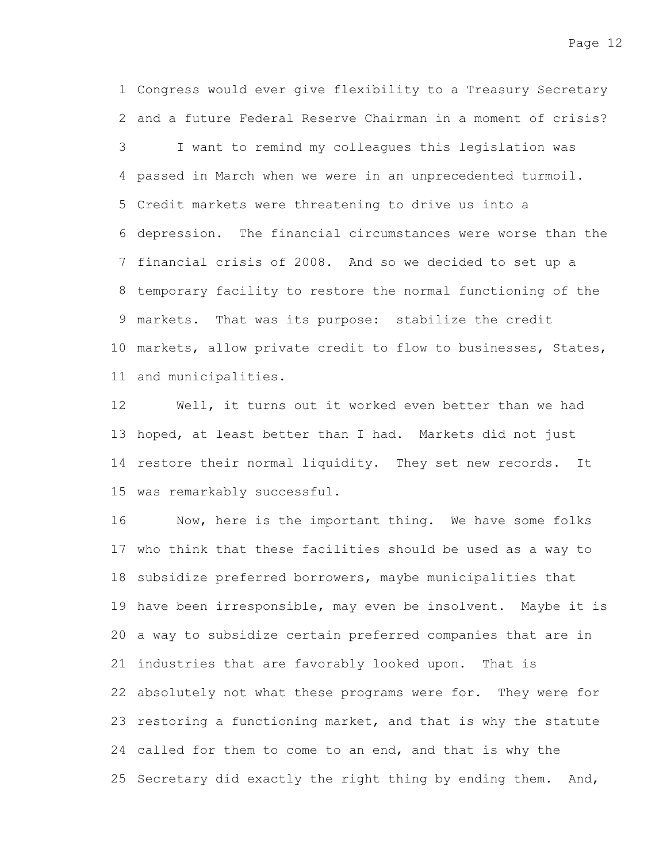Congress would ever give flexibility to a Treasury Secretary 1 2 and a future Federal Reserve Chairman in a moment of crisis? I want to remind my colleagues this legislation was passed in March when we were in an unprecedented turmoil. 4 Credit markets were threatening to drive us into a 5 6 depression. The financial circumstances were worse than the 7 financial crisis of 2008. And so we decided to set up a 8 temporary facility to restore the normal functioning of the 9 markets. That was its purpose: stabilize the credit 10 markets, allow private credit to flow to businesses, States, and municipalities. 11 3

Well, it turns out it worked even better than we had 13 hoped, at least better than I had. Markets did not just 14 restore their normal liquidity. They set new records. It 15 was remarkably successful. 12

Now, here is the important thing. We have some folks 17 who think that these facilities should be used as a way to 18 subsidize preferred borrowers, maybe municipalities that 19 have been irresponsible, may even be insolvent. Maybe it is 20 a way to subsidize certain preferred companies that are in 21 industries that are favorably looked upon. That is 22 absolutely not what these programs were for. They were for 23 restoring a functioning market, and that is why the statute 24 called for them to come to an end, and that is why the 25 Secretary did exactly the right thing by ending them. And, 16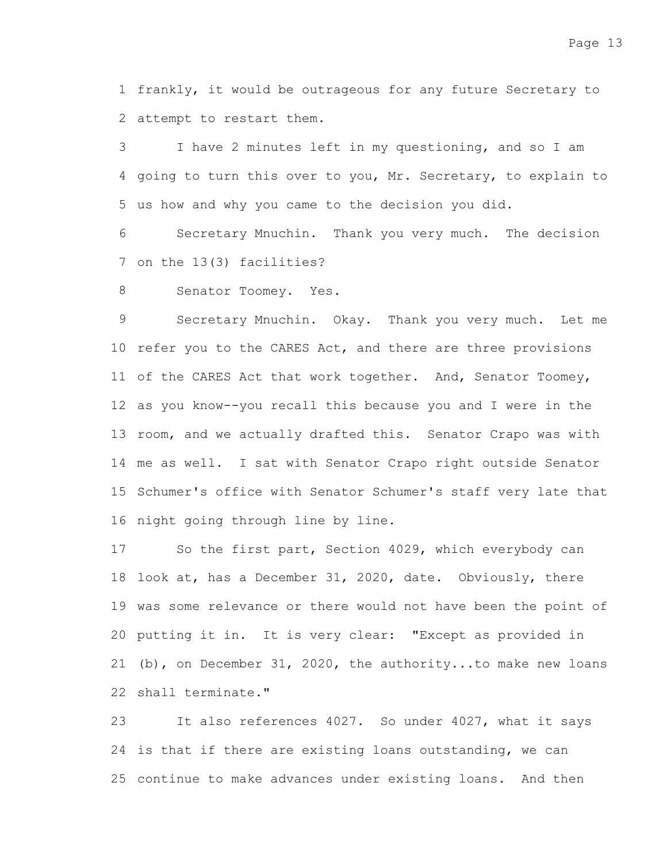1 frankly, it would be outrageous for any future Secretary to 2 attempt to restart them.

I have 2 minutes left in my questioning, and so I am 4 going to turn this over to you, Mr. Secretary, to explain to 5 us how and why you came to the decision you did. 3

Secretary Mnuchin. Thank you very much. The decision 7 on the 13(3) facilities? 6

Senator Toomey. Yes. 8

Secretary Mnuchin. Okay. Thank you very much. Let me 10 refer you to the CARES Act, and there are three provisions 11 of the CARES Act that work together. And, Senator Toomey, 12 as you know--you recall this because you and I were in the 13 room, and we actually drafted this. Senator Crapo was with 14 me as well. I sat with Senator Crapo right outside Senator 15 Schumer's office with Senator Schumer's staff very late that 16 night going through line by line. 9

So the first part, Section 4029, which everybody can 18 look at, has a December 31, 2020, date. Obviously, there 19 was some relevance or there would not have been the point of 20 putting it in. It is very clear: "Except as provided in 21 (b), on December 31, 2020, the authority...to make new loans 22 shall terminate." 17

It also references 4027. So under 4027, what it says 24 is that if there are existing loans outstanding, we can 25 continue to make advances under existing loans. And then 23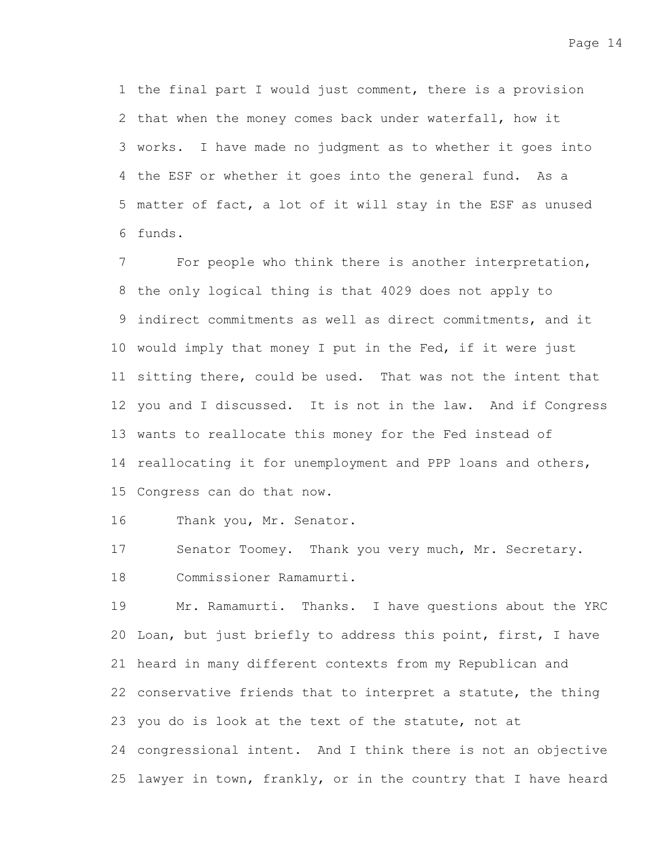1 the final part I would just comment, there is a provision 2 that when the money comes back under waterfall, how it 3 works. I have made no judgment as to whether it goes into 4 the ESF or whether it goes into the general fund. As a 5 matter of fact, a lot of it will stay in the ESF as unused funds. 6

For people who think there is another interpretation, 8 the only logical thing is that 4029 does not apply to 9 indirect commitments as well as direct commitments, and it 10 would imply that money I put in the Fed, if it were just 11 sitting there, could be used. That was not the intent that 12 you and I discussed. It is not in the law. And if Congress 13 wants to reallocate this money for the Fed instead of 14 reallocating it for unemployment and PPP loans and others, 15 Congress can do that now. 7

Thank you, Mr. Senator. 16

Senator Toomey. Thank you very much, Mr. Secretary. Commissioner Ramamurti. 17 18

Mr. Ramamurti. Thanks. I have questions about the YRC 20 Loan, but just briefly to address this point, first, I have 21 heard in many different contexts from my Republican and 22 conservative friends that to interpret a statute, the thing 23 you do is look at the text of the statute, not at 24 congressional intent. And I think there is not an objective 25 lawyer in town, frankly, or in the country that I have heard 19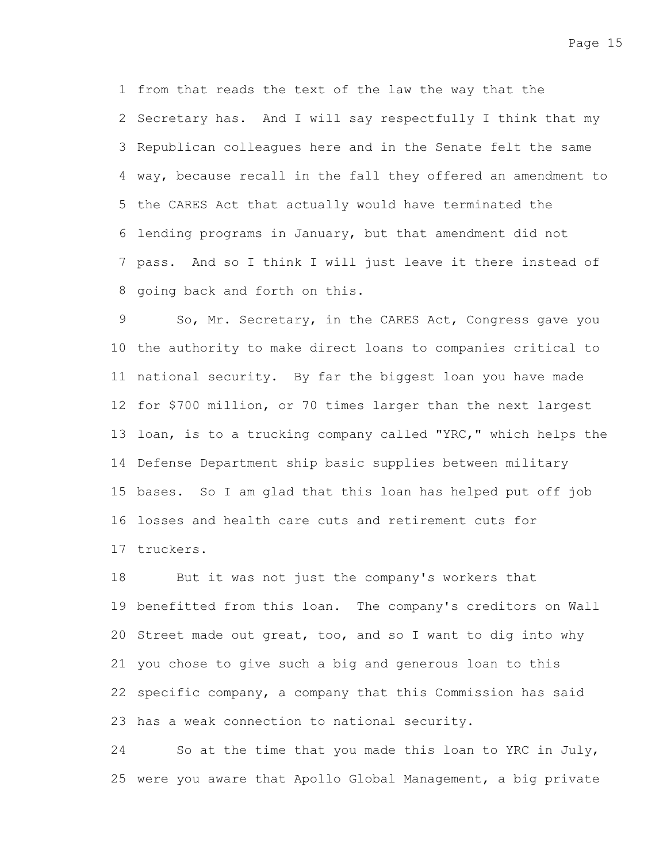1 from that reads the text of the law the way that the 2 Secretary has. And I will say respectfully I think that my 3 Republican colleagues here and in the Senate felt the same 4 way, because recall in the fall they offered an amendment to 5 the CARES Act that actually would have terminated the lending programs in January, but that amendment did not 6 7 pass. And so I think I will just leave it there instead of 8 going back and forth on this.

So, Mr. Secretary, in the CARES Act, Congress gave you 10 the authority to make direct loans to companies critical to 11 national security. By far the biggest loan you have made 12 for \$700 million, or 70 times larger than the next largest 13 loan, is to a trucking company called "YRC," which helps the 14 Defense Department ship basic supplies between military 15 bases. So I am glad that this loan has helped put off job 16 losses and health care cuts and retirement cuts for 17 truckers. 9

But it was not just the company's workers that 19 benefitted from this loan. The company's creditors on Wall 20 Street made out great, too, and so I want to dig into why 21 you chose to give such a big and generous loan to this 22 specific company, a company that this Commission has said 23 has a weak connection to national security. 18

So at the time that you made this loan to YRC in July, 25 were you aware that Apollo Global Management, a big private 24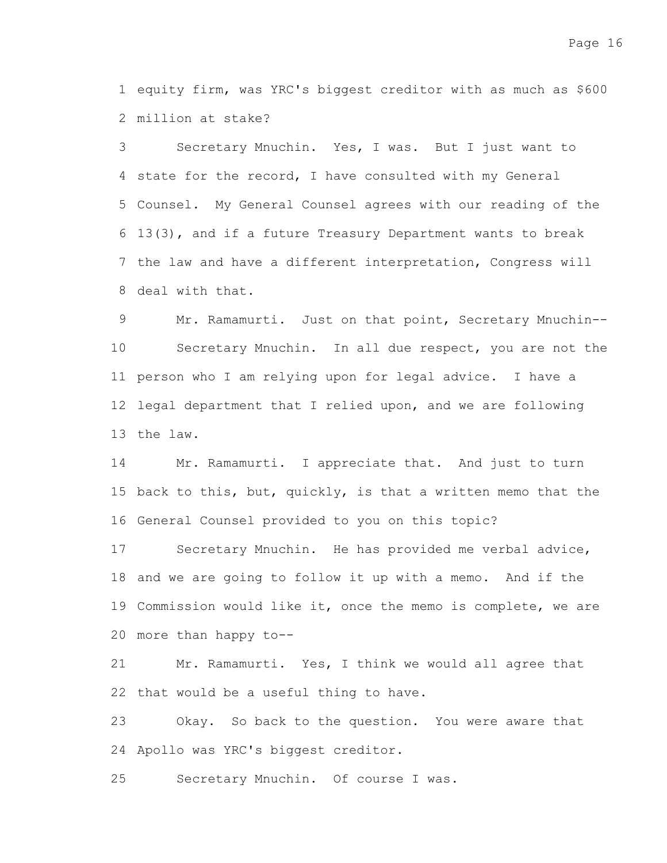1 equity firm, was YRC's biggest creditor with as much as \$600 million at stake? 2

Secretary Mnuchin. Yes, I was. But I just want to 4 state for the record, I have consulted with my General 5 Counsel. My General Counsel agrees with our reading of the 13(3), and if a future Treasury Department wants to break 6 7 the law and have a different interpretation, Congress will 8 deal with that. 3

Mr. Ramamurti. Just on that point, Secretary Mnuchin-- Secretary Mnuchin. In all due respect, you are not the 11 person who I am relying upon for legal advice. I have a 12 legal department that I relied upon, and we are following 13 the law. 9 10

Mr. Ramamurti. I appreciate that. And just to turn 15 back to this, but, quickly, is that a written memo that the 16 General Counsel provided to you on this topic? 14

Secretary Mnuchin. He has provided me verbal advice, 18 and we are going to follow it up with a memo. And if the 19 Commission would like it, once the memo is complete, we are more than happy to-- 20 17

Mr. Ramamurti. Yes, I think we would all agree that 22 that would be a useful thing to have. 21

Okay. So back to the question. You were aware that 24 Apollo was YRC's biggest creditor. 23

Secretary Mnuchin. Of course I was. 25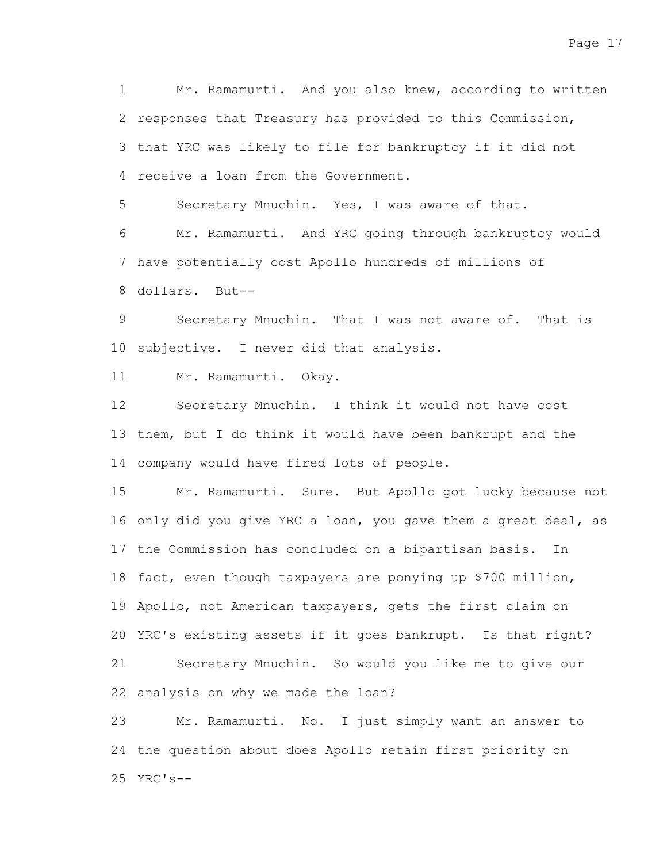Mr. Ramamurti. And you also knew, according to written 2 responses that Treasury has provided to this Commission, 3 that YRC was likely to file for bankruptcy if it did not 4 receive a loan from the Government. 1

Secretary Mnuchin. Yes, I was aware of that. 5

Mr. Ramamurti. And YRC going through bankruptcy would 7 have potentially cost Apollo hundreds of millions of 8 dollars. But--6

Secretary Mnuchin. That I was not aware of. That is 10 subjective. I never did that analysis. 9

Mr. Ramamurti. Okay. 11

Secretary Mnuchin. I think it would not have cost 13 them, but I do think it would have been bankrupt and the 14 company would have fired lots of people. 12

Mr. Ramamurti. Sure. But Apollo got lucky because not 16 only did you give YRC a loan, you gave them a great deal, as 17 the Commission has concluded on a bipartisan basis. In 18 fact, even though taxpayers are ponying up \$700 million, 19 Apollo, not American taxpayers, gets the first claim on 20 YRC's existing assets if it goes bankrupt. Is that right? Secretary Mnuchin. So would you like me to give our 22 analysis on why we made the loan? 15 21

Mr. Ramamurti. No. I just simply want an answer to 24 the question about does Apollo retain first priority on YRC's-- 2523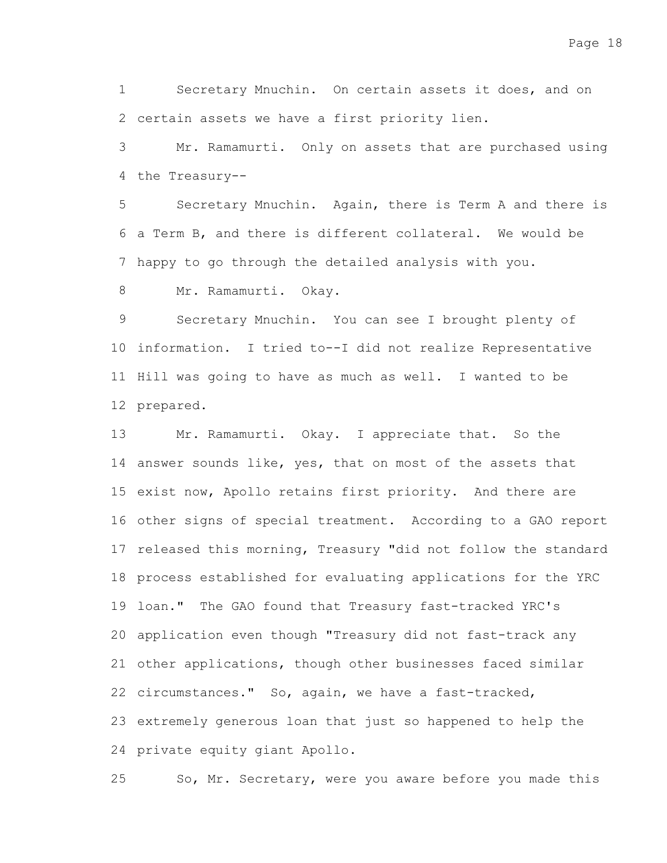Secretary Mnuchin. On certain assets it does, and on 2 certain assets we have a first priority lien. 1

Mr. Ramamurti. Only on assets that are purchased using 4 the Treasury--3

Secretary Mnuchin. Again, there is Term A and there is 6 a Term B, and there is different collateral. We would be 7 happy to go through the detailed analysis with you. 5

Mr. Ramamurti. Okay. 8

Secretary Mnuchin. You can see I brought plenty of 10 information. I tried to--I did not realize Representative 11 Hill was going to have as much as well. I wanted to be 12 prepared. 9

Mr. Ramamurti. Okay. I appreciate that. So the 14 answer sounds like, yes, that on most of the assets that 15 exist now, Apollo retains first priority. And there are 16 other signs of special treatment. According to a GAO report 17 released this morning, Treasury "did not follow the standard 18 process established for evaluating applications for the YRC 19 loan." The GAO found that Treasury fast-tracked YRC's 20 application even though "Treasury did not fast-track any 21 other applications, though other businesses faced similar 22 circumstances." So, again, we have a fast-tracked, 23 extremely generous loan that just so happened to help the 24 private equity giant Apollo. 13

So, Mr. Secretary, were you aware before you made this 25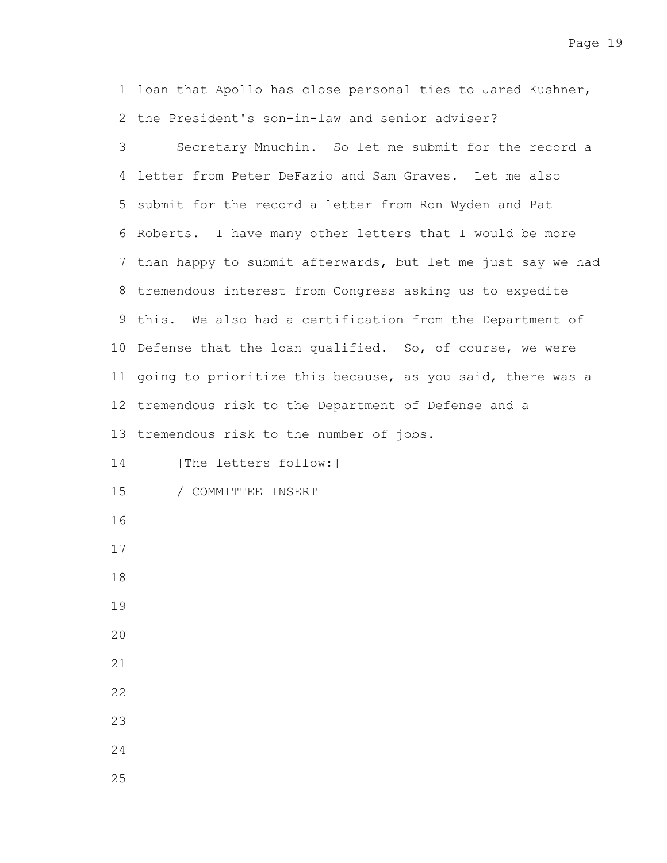1 loan that Apollo has close personal ties to Jared Kushner, 2 the President's son-in-law and senior adviser?

Secretary Mnuchin. So let me submit for the record a 4 letter from Peter DeFazio and Sam Graves. Let me also 5 submit for the record a letter from Ron Wyden and Pat 6 Roberts. I have many other letters that I would be more 7 than happy to submit afterwards, but let me just say we had tremendous interest from Congress asking us to expedite 8 9 this. We also had a certification from the Department of 10 Defense that the loan qualified. So, of course, we were 11 going to prioritize this because, as you said, there was a 12 tremendous risk to the Department of Defense and a 13 tremendous risk to the number of jobs. [The letters follow:] / COMMITTEE INSERT 3 14 15 16 17 18 19 20 21 22 23 24 25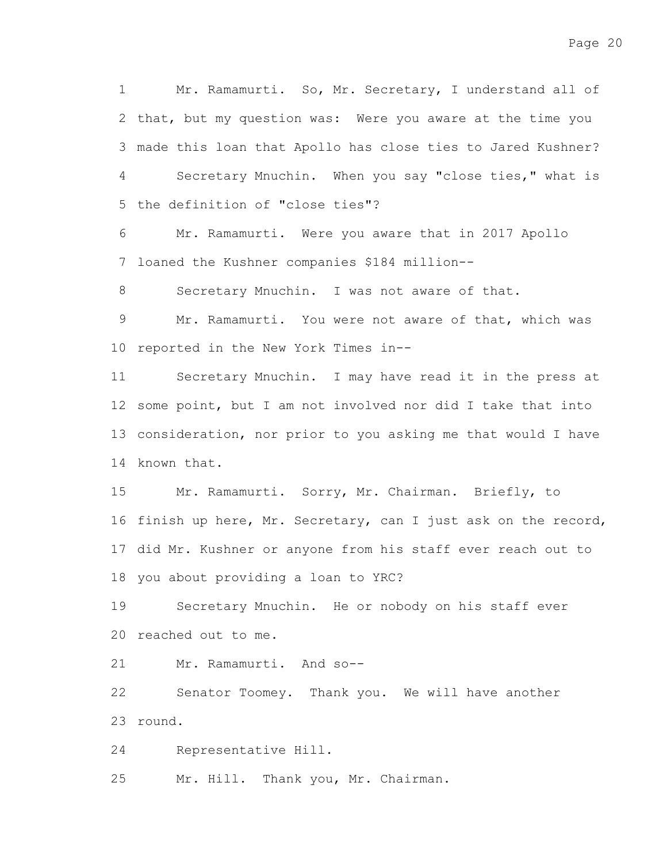Mr. Ramamurti. So, Mr. Secretary, I understand all of 2 that, but my question was: Were you aware at the time you made this loan that Apollo has close ties to Jared Kushner? 3 Secretary Mnuchin. When you say "close ties," what is 5 the definition of "close ties"? 1 4

Mr. Ramamurti. Were you aware that in 2017 Apollo 7 loaned the Kushner companies \$184 million--6

Secretary Mnuchin. I was not aware of that. 8

Mr. Ramamurti. You were not aware of that, which was 10 reported in the New York Times in--9

Secretary Mnuchin. I may have read it in the press at 12 some point, but I am not involved nor did I take that into 13 consideration, nor prior to you asking me that would I have 14 known that. 11

Mr. Ramamurti. Sorry, Mr. Chairman. Briefly, to 16 finish up here, Mr. Secretary, can I just ask on the record, 17 did Mr. Kushner or anyone from his staff ever reach out to 18 you about providing a loan to YRC? 15

Secretary Mnuchin. He or nobody on his staff ever 20 reached out to me. 19

Mr. Ramamurti. And so-- 21

Senator Toomey. Thank you. We will have another round. 23 22

Representative Hill. 24

Mr. Hill. Thank you, Mr. Chairman. 25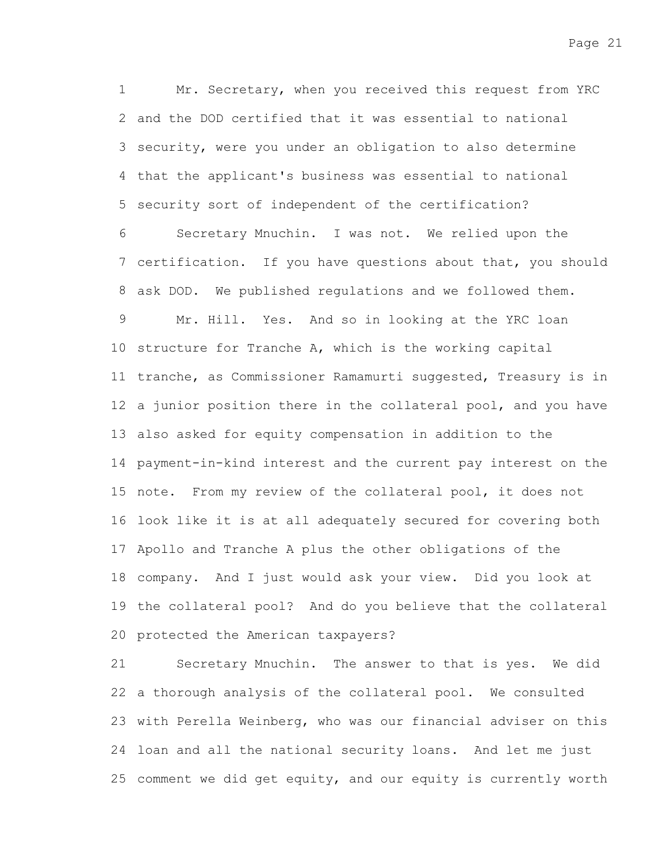Mr. Secretary, when you received this request from YRC 2 and the DOD certified that it was essential to national 3 security, were you under an obligation to also determine 4 that the applicant's business was essential to national 5 security sort of independent of the certification? 1

Secretary Mnuchin. I was not. We relied upon the 7 certification. If you have questions about that, you should ask DOD. We published regulations and we followed them. 8 Mr. Hill. Yes. And so in looking at the YRC loan 10 structure for Tranche A, which is the working capital 11 tranche, as Commissioner Ramamurti suggested, Treasury is in 12 a junior position there in the collateral pool, and you have also asked for equity compensation in addition to the 13 14 payment-in-kind interest and the current pay interest on the 15 note. From my review of the collateral pool, it does not 16 look like it is at all adequately secured for covering both 17 Apollo and Tranche A plus the other obligations of the 18 company. And I just would ask your view. Did you look at 19 the collateral pool? And do you believe that the collateral 20 protected the American taxpayers? 6 9

Secretary Mnuchin. The answer to that is yes. We did 22 a thorough analysis of the collateral pool. We consulted 23 with Perella Weinberg, who was our financial adviser on this 24 loan and all the national security loans. And let me just 25 comment we did get equity, and our equity is currently worth 21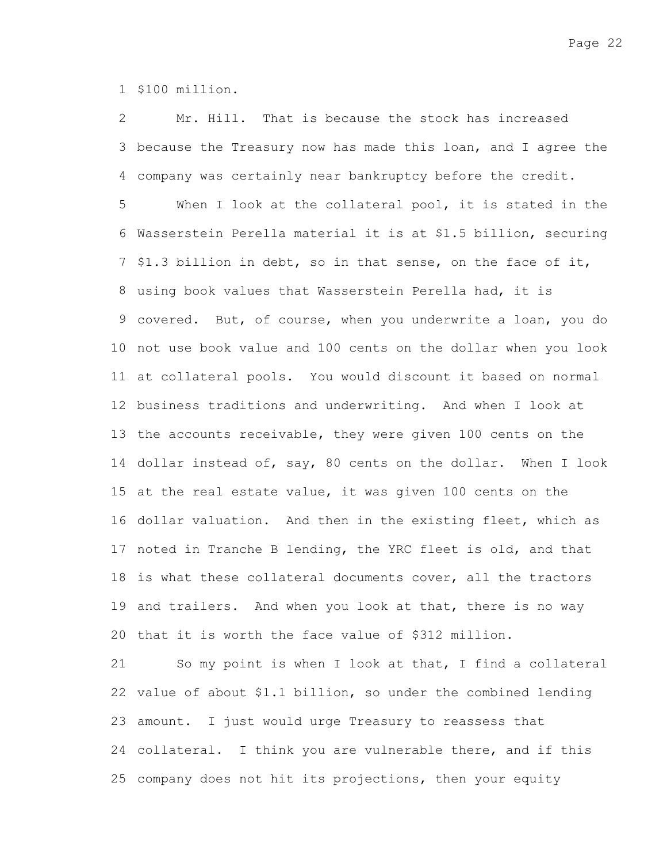1 \$100 million.

Mr. Hill. That is because the stock has increased 3 because the Treasury now has made this loan, and I agree the company was certainly near bankruptcy before the credit. 4 2

When I look at the collateral pool, it is stated in the Wasserstein Perella material it is at \$1.5 billion, securing 6 7 \$1.3 billion in debt, so in that sense, on the face of it, 8 using book values that Wasserstein Perella had, it is 9 covered. But, of course, when you underwrite a loan, you do 10 not use book value and 100 cents on the dollar when you look at collateral pools. You would discount it based on normal 11 12 business traditions and underwriting. And when I look at 13 the accounts receivable, they were given 100 cents on the 14 dollar instead of, say, 80 cents on the dollar. When I look 15 at the real estate value, it was given 100 cents on the 16 dollar valuation. And then in the existing fleet, which as 17 noted in Tranche B lending, the YRC fleet is old, and that 18 is what these collateral documents cover, all the tractors 19 and trailers. And when you look at that, there is no way 20 that it is worth the face value of \$312 million. 5

So my point is when I look at that, I find a collateral 22 value of about \$1.1 billion, so under the combined lending 23 amount. I just would urge Treasury to reassess that 24 collateral. I think you are vulnerable there, and if this 25 company does not hit its projections, then your equity 21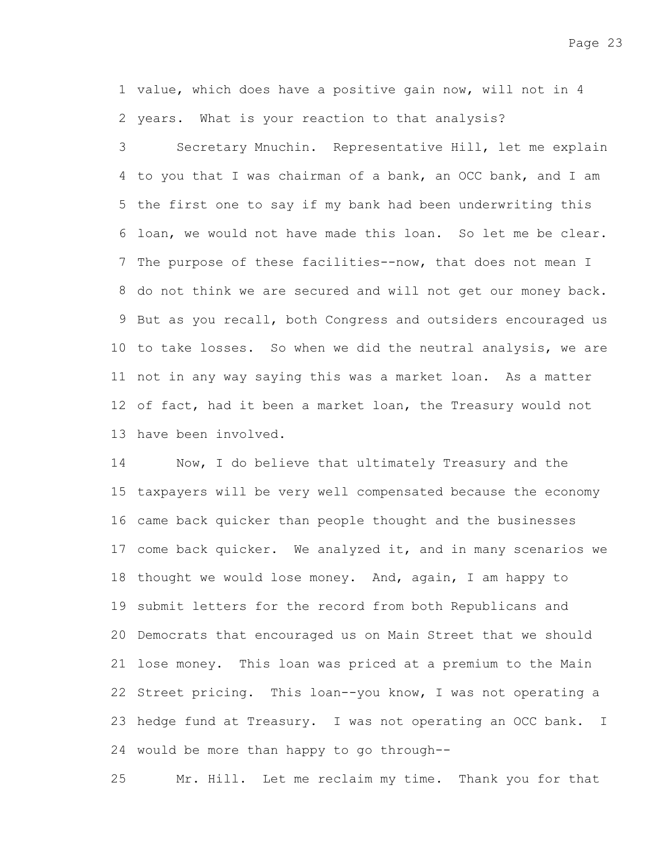1 value, which does have a positive gain now, will not in 4 2 years. What is your reaction to that analysis?

Secretary Mnuchin. Representative Hill, let me explain 4 to you that I was chairman of a bank, an OCC bank, and I am 5 the first one to say if my bank had been underwriting this 6 loan, we would not have made this loan. So let me be clear. 7 The purpose of these facilities--now, that does not mean I 8 do not think we are secured and will not get our money back. 9 But as you recall, both Congress and outsiders encouraged us 10 to take losses. So when we did the neutral analysis, we are 11 not in any way saying this was a market loan. As a matter 12 of fact, had it been a market loan, the Treasury would not 13 have been involved. 3

Now, I do believe that ultimately Treasury and the 15 taxpayers will be very well compensated because the economy 16 came back quicker than people thought and the businesses 17 come back quicker. We analyzed it, and in many scenarios we 18 thought we would lose money. And, again, I am happy to 19 submit letters for the record from both Republicans and 20 Democrats that encouraged us on Main Street that we should 21 lose money. This loan was priced at a premium to the Main 22 Street pricing. This loan--you know, I was not operating a 23 hedge fund at Treasury. I was not operating an OCC bank. I 24 would be more than happy to go through--14

Mr. Hill. Let me reclaim my time. Thank you for that 25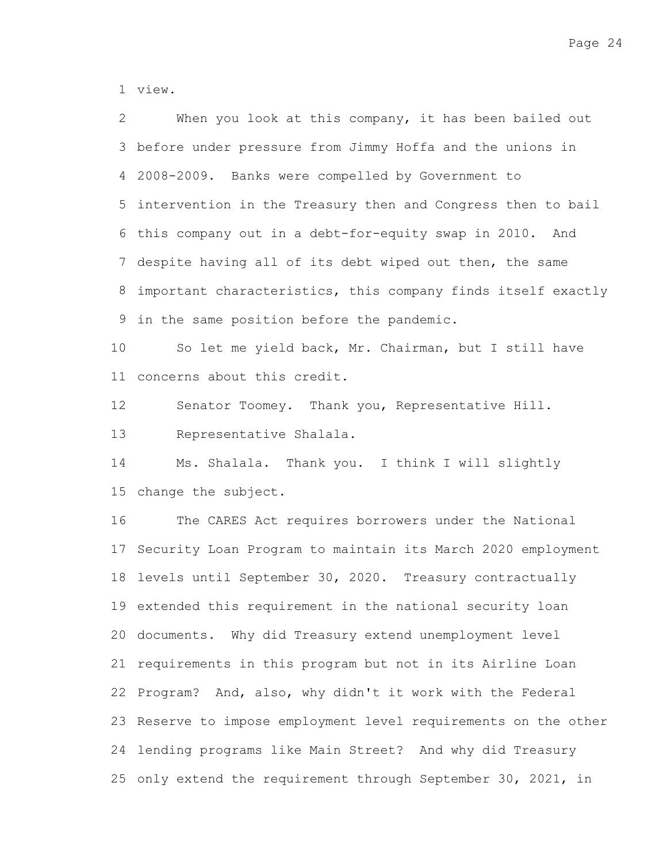view. 1

When you look at this company, it has been bailed out 3 before under pressure from Jimmy Hoffa and the unions in 2008-2009. Banks were compelled by Government to 4 5 intervention in the Treasury then and Congress then to bail 6 this company out in a debt-for-equity swap in 2010. And 7 despite having all of its debt wiped out then, the same important characteristics, this company finds itself exactly 8 9 in the same position before the pandemic. 2

So let me yield back, Mr. Chairman, but I still have 11 concerns about this credit. 10

Senator Toomey. Thank you, Representative Hill. 12

Representative Shalala. 13

Ms. Shalala. Thank you. I think I will slightly 15 change the subject. 14

The CARES Act requires borrowers under the National 17 Security Loan Program to maintain its March 2020 employment 18 levels until September 30, 2020. Treasury contractually 19 extended this requirement in the national security loan 20 documents. Why did Treasury extend unemployment level 21 requirements in this program but not in its Airline Loan 22 Program? And, also, why didn't it work with the Federal 23 Reserve to impose employment level requirements on the other 24 lending programs like Main Street? And why did Treasury 25 only extend the requirement through September 30, 2021, in 16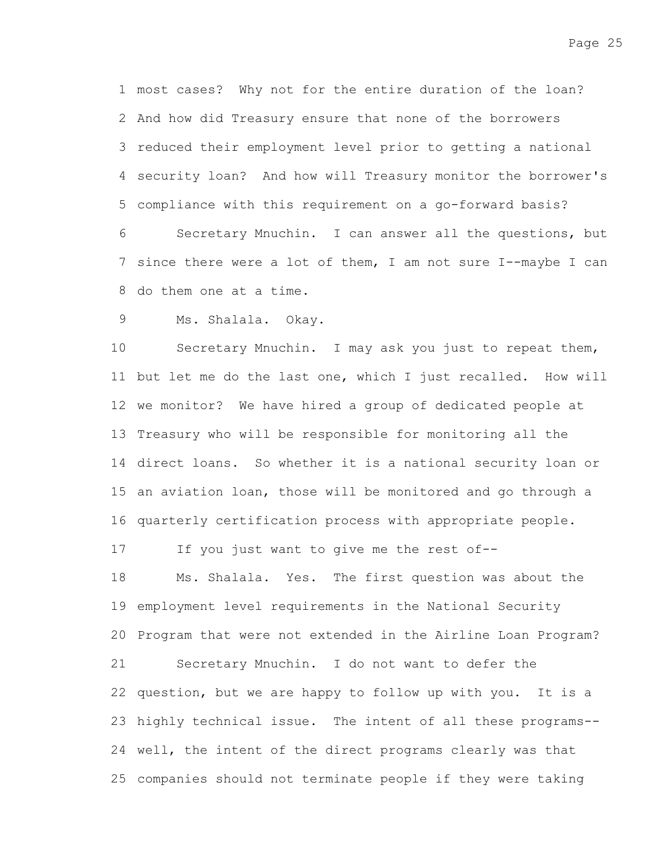most cases? Why not for the entire duration of the loan? 1 2 And how did Treasury ensure that none of the borrowers 3 reduced their employment level prior to getting a national security loan? And how will Treasury monitor the borrower's 4 compliance with this requirement on a go-forward basis? 5 Secretary Mnuchin. I can answer all the questions, but 6

7 since there were a lot of them, I am not sure I--maybe I can do them one at a time. 8

Ms. Shalala. Okay. 9

Secretary Mnuchin. I may ask you just to repeat them, 11 but let me do the last one, which I just recalled. How will 12 we monitor? We have hired a group of dedicated people at 13 Treasury who will be responsible for monitoring all the 14 direct loans. So whether it is a national security loan or 15 an aviation loan, those will be monitored and go through a 16 quarterly certification process with appropriate people. 10

If you just want to give me the rest of-- 17

Ms. Shalala. Yes. The first question was about the 19 employment level requirements in the National Security 20 Program that were not extended in the Airline Loan Program? Secretary Mnuchin. I do not want to defer the 22 question, but we are happy to follow up with you. It is a 23 highly technical issue. The intent of all these programs--24 well, the intent of the direct programs clearly was that 25 companies should not terminate people if they were taking 18 21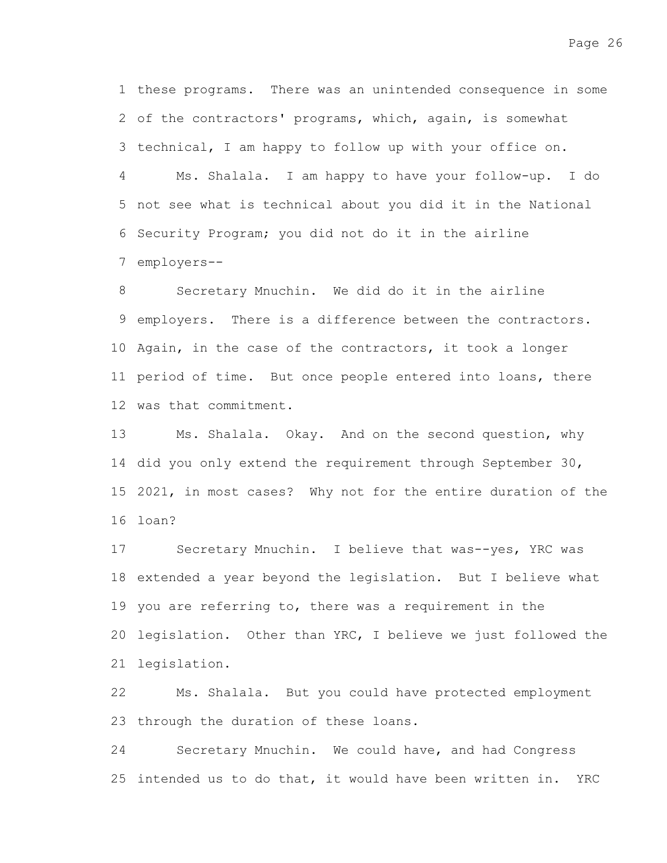1 these programs. There was an unintended consequence in some 2 of the contractors' programs, which, again, is somewhat 3 technical, I am happy to follow up with your office on. Ms. Shalala. I am happy to have your follow-up. I do 5 not see what is technical about you did it in the National 6 Security Program; you did not do it in the airline 7 employers--4

Secretary Mnuchin. We did do it in the airline 9 employers. There is a difference between the contractors. 10 Again, in the case of the contractors, it took a longer 11 period of time. But once people entered into loans, there 12 was that commitment. 8

Ms. Shalala. Okay. And on the second question, why 14 did you only extend the requirement through September 30, 2021, in most cases? Why not for the entire duration of the 15 16 loan? 13

Secretary Mnuchin. I believe that was--yes, YRC was 18 extended a year beyond the legislation. But I believe what 19 you are referring to, there was a requirement in the 20 legislation. Other than YRC, I believe we just followed the 21 legislation. 17

Ms. Shalala. But you could have protected employment 23 through the duration of these loans. 22

Secretary Mnuchin. We could have, and had Congress 25 intended us to do that, it would have been written in. YRC 24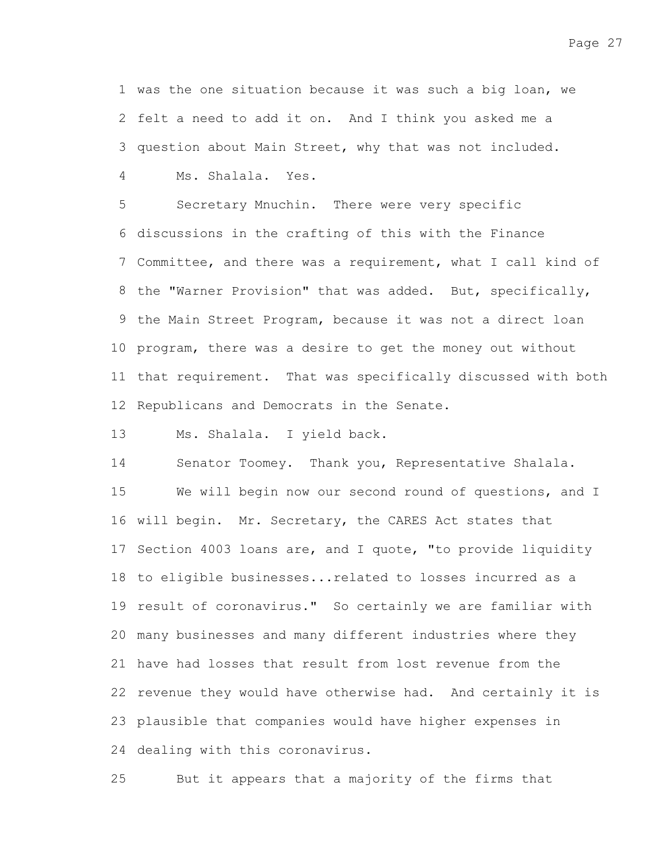1 was the one situation because it was such a big loan, we 2 felt a need to add it on. And I think you asked me a 3 question about Main Street, why that was not included. Ms. Shalala. Yes. 4

Secretary Mnuchin. There were very specific 6 discussions in the crafting of this with the Finance 7 Committee, and there was a requirement, what I call kind of 8 the "Warner Provision" that was added. But, specifically, 9 the Main Street Program, because it was not a direct loan 10 program, there was a desire to get the money out without 11 that requirement. That was specifically discussed with both 12 Republicans and Democrats in the Senate. 5

Ms. Shalala. I yield back. 13

Senator Toomey. Thank you, Representative Shalala. We will begin now our second round of questions, and I 16 will begin. Mr. Secretary, the CARES Act states that 17 Section 4003 loans are, and I quote, "to provide liquidity 18 to eligible businesses... related to losses incurred as a 19 result of coronavirus." So certainly we are familiar with many businesses and many different industries where they 20 21 have had losses that result from lost revenue from the 22 revenue they would have otherwise had. And certainly it is 23 plausible that companies would have higher expenses in 24 dealing with this coronavirus. 14 15

But it appears that a majority of the firms that 25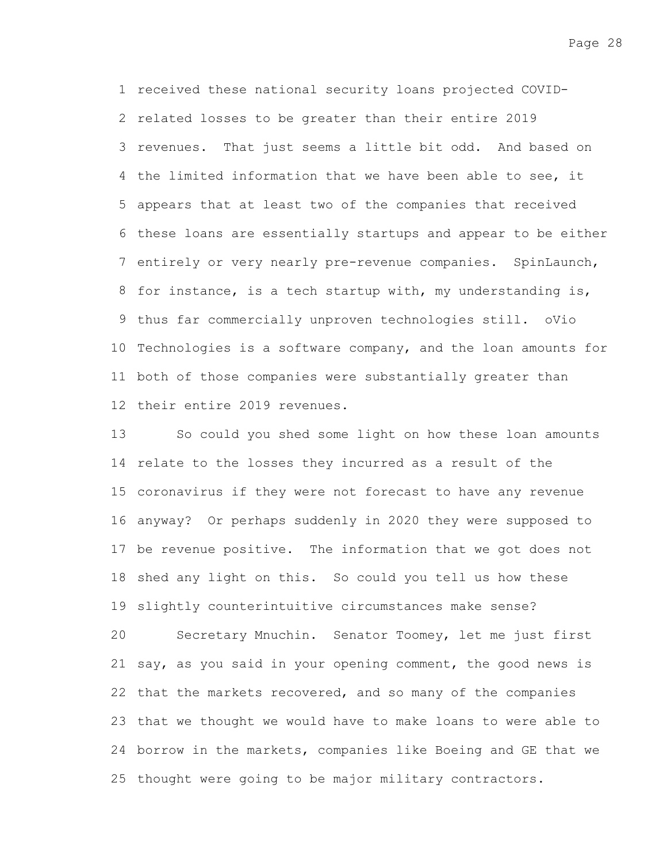1 received these national security loans projected COVID-2 related losses to be greater than their entire 2019 3 revenues. That just seems a little bit odd. And based on 4 the limited information that we have been able to see, it 5 appears that at least two of the companies that received 6 these loans are essentially startups and appear to be either 7 entirely or very nearly pre-revenue companies. SpinLaunch, 8 for instance, is a tech startup with, my understanding is, 9 thus far commercially unproven technologies still. oVio 10 Technologies is a software company, and the loan amounts for 11 both of those companies were substantially greater than 12 their entire 2019 revenues.

So could you shed some light on how these loan amounts 14 relate to the losses they incurred as a result of the 15 coronavirus if they were not forecast to have any revenue 16 anyway? Or perhaps suddenly in 2020 they were supposed to 17 be revenue positive. The information that we got does not 18 shed any light on this. So could you tell us how these 19 slightly counterintuitive circumstances make sense? 13

Secretary Mnuchin. Senator Toomey, let me just first 21 say, as you said in your opening comment, the good news is 22 that the markets recovered, and so many of the companies 23 that we thought we would have to make loans to were able to 24 borrow in the markets, companies like Boeing and GE that we 25 thought were going to be major military contractors. 20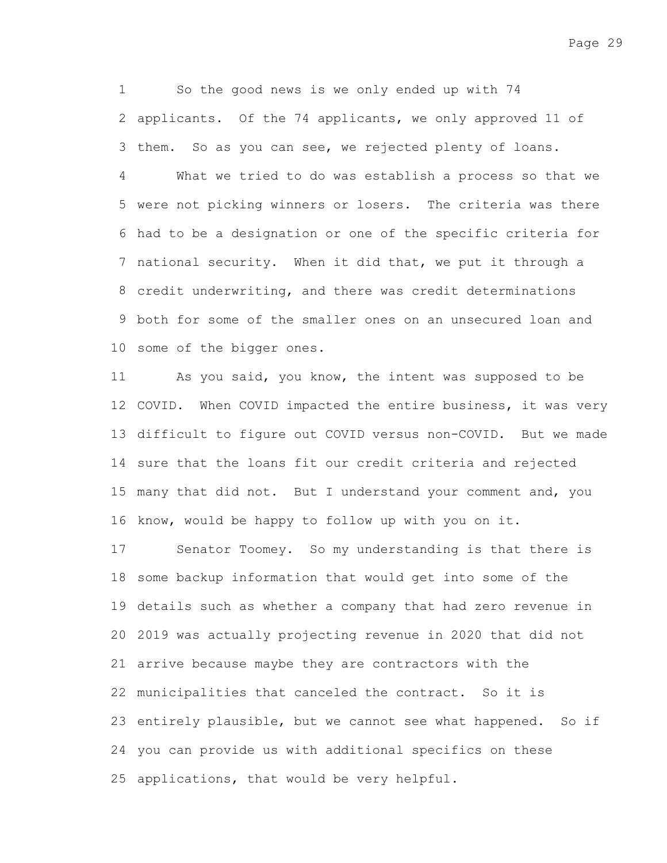So the good news is we only ended up with 74 2 applicants. Of the 74 applicants, we only approved 11 of 3 them. So as you can see, we rejected plenty of loans. 1

What we tried to do was establish a process so that we 5 were not picking winners or losers. The criteria was there 6 had to be a designation or one of the specific criteria for 7 national security. When it did that, we put it through a credit underwriting, and there was credit determinations 8 9 both for some of the smaller ones on an unsecured loan and 10 some of the bigger ones. 4

As you said, you know, the intent was supposed to be 12 COVID. When COVID impacted the entire business, it was very 13 difficult to figure out COVID versus non-COVID. But we made 14 sure that the loans fit our credit criteria and rejected 15 many that did not. But I understand your comment and, you 16 know, would be happy to follow up with you on it. 11

Senator Toomey. So my understanding is that there is 18 some backup information that would get into some of the 19 details such as whether a company that had zero revenue in 2019 was actually projecting revenue in 2020 that did not 20 arrive because maybe they are contractors with the 21 22 municipalities that canceled the contract. So it is 23 entirely plausible, but we cannot see what happened. So if 24 you can provide us with additional specifics on these 25 applications, that would be very helpful. 17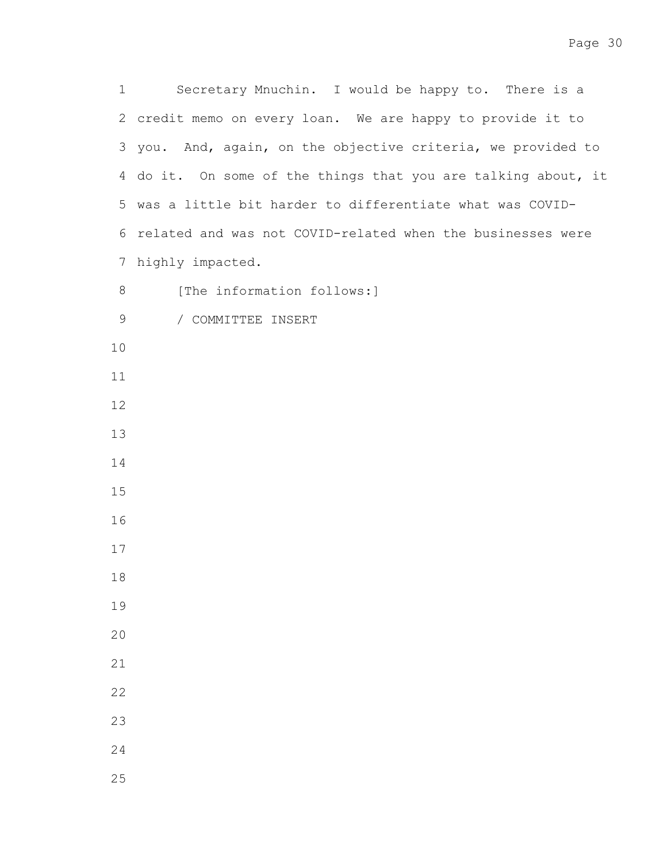Secretary Mnuchin. I would be happy to. There is a 2 credit memo on every loan. We are happy to provide it to 3 you. And, again, on the objective criteria, we provided to 4 do it. On some of the things that you are talking about, it 5 was a little bit harder to differentiate what was COVID-6 related and was not COVID-related when the businesses were 7 highly impacted. [The information follows:] 

/ COMMITTEE INSERT 

- 
- 
- 
- 
- 
- 
- 
- 
- 
- 
- 
- 
- 
- 
- 
- 
- 
-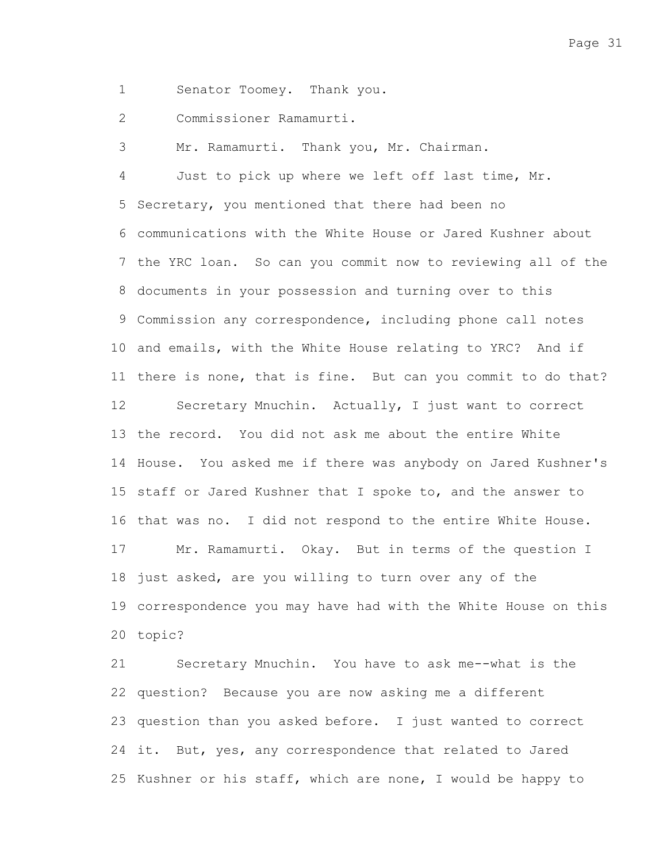Page 31

Senator Toomey. Thank you. 1

Commissioner Ramamurti. 2

Mr. Ramamurti. Thank you, Mr. Chairman. 3

Just to pick up where we left off last time, Mr. 5 Secretary, you mentioned that there had been no communications with the White House or Jared Kushner about 6 7 the YRC loan. So can you commit now to reviewing all of the 8 documents in your possession and turning over to this Commission any correspondence, including phone call notes 9 10 and emails, with the White House relating to YRC? And if 11 there is none, that is fine. But can you commit to do that? Secretary Mnuchin. Actually, I just want to correct 13 the record. You did not ask me about the entire White 14 House. You asked me if there was anybody on Jared Kushner's 15 staff or Jared Kushner that I spoke to, and the answer to 16 that was no. I did not respond to the entire White House. Mr. Ramamurti. Okay. But in terms of the question I 18 just asked, are you willing to turn over any of the 19 correspondence you may have had with the White House on this topic? 20 4 12 17

Secretary Mnuchin. You have to ask me--what is the 22 question? Because you are now asking me a different 23 question than you asked before. I just wanted to correct 24 it. But, yes, any correspondence that related to Jared 25 Kushner or his staff, which are none, I would be happy to 21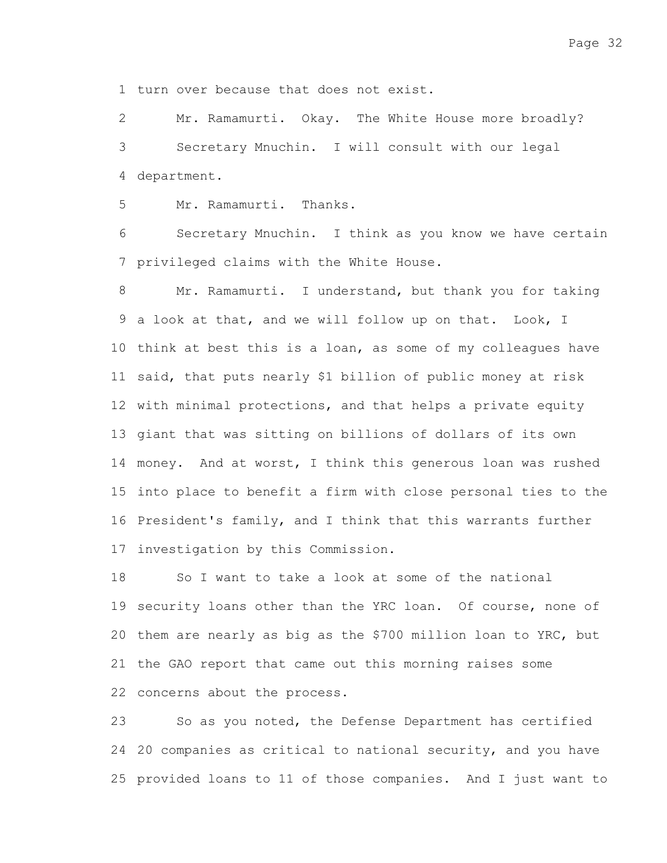1 turn over because that does not exist.

Mr. Ramamurti. Okay. The White House more broadly? Secretary Mnuchin. I will consult with our legal 4 department. 2 3

Mr. Ramamurti. Thanks. 5

Secretary Mnuchin. I think as you know we have certain 7 privileged claims with the White House. 6

Mr. Ramamurti. I understand, but thank you for taking 9 a look at that, and we will follow up on that. Look, I 10 think at best this is a loan, as some of my colleagues have 11 said, that puts nearly \$1 billion of public money at risk 12 with minimal protections, and that helps a private equity 13 giant that was sitting on billions of dollars of its own 14 money. And at worst, I think this generous loan was rushed 15 into place to benefit a firm with close personal ties to the 16 President's family, and I think that this warrants further 17 investigation by this Commission. 8

So I want to take a look at some of the national 19 security loans other than the YRC loan. Of course, none of 20 them are nearly as big as the \$700 million loan to YRC, but 21 the GAO report that came out this morning raises some 22 concerns about the process. 18

So as you noted, the Defense Department has certified 24 20 companies as critical to national security, and you have 25 provided loans to 11 of those companies. And I just want to 23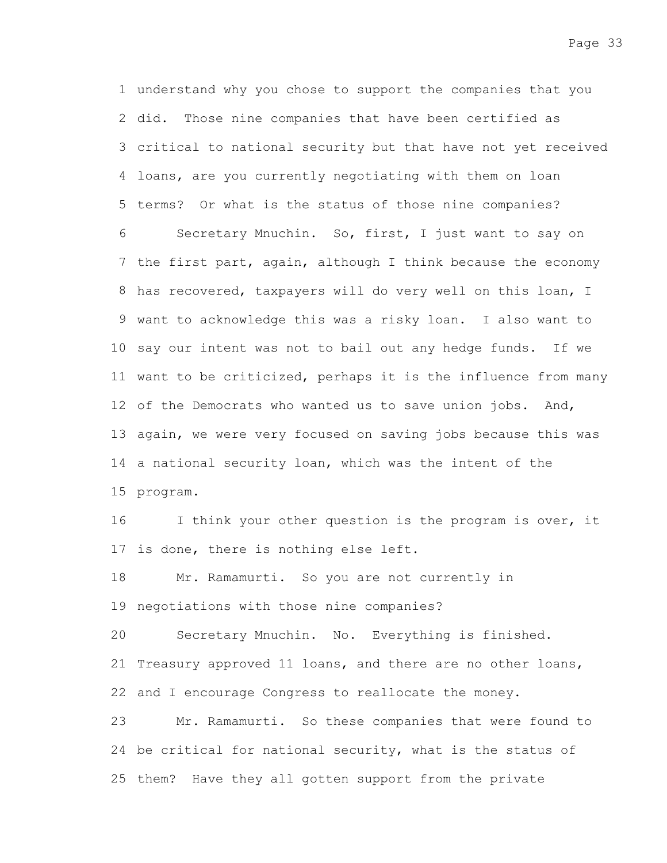understand why you chose to support the companies that you 1 2 did. Those nine companies that have been certified as 3 critical to national security but that have not yet received 4 loans, are you currently negotiating with them on loan 5 terms? Or what is the status of those nine companies?

Secretary Mnuchin. So, first, I just want to say on 7 the first part, again, although I think because the economy 8 has recovered, taxpayers will do very well on this loan, I 9 want to acknowledge this was a risky loan. I also want to 10 say our intent was not to bail out any hedge funds. If we 11 want to be criticized, perhaps it is the influence from many 12 of the Democrats who wanted us to save union jobs. And, 13 again, we were very focused on saving jobs because this was 14 a national security loan, which was the intent of the 15 program. 6

I think your other question is the program is over, it 17 is done, there is nothing else left. 16

Mr. Ramamurti. So you are not currently in 19 negotiations with those nine companies? 18

Secretary Mnuchin. No. Everything is finished. 21 Treasury approved 11 loans, and there are no other loans, 22 and I encourage Congress to reallocate the money. 20

Mr. Ramamurti. So these companies that were found to 24 be critical for national security, what is the status of 25 them? Have they all gotten support from the private 23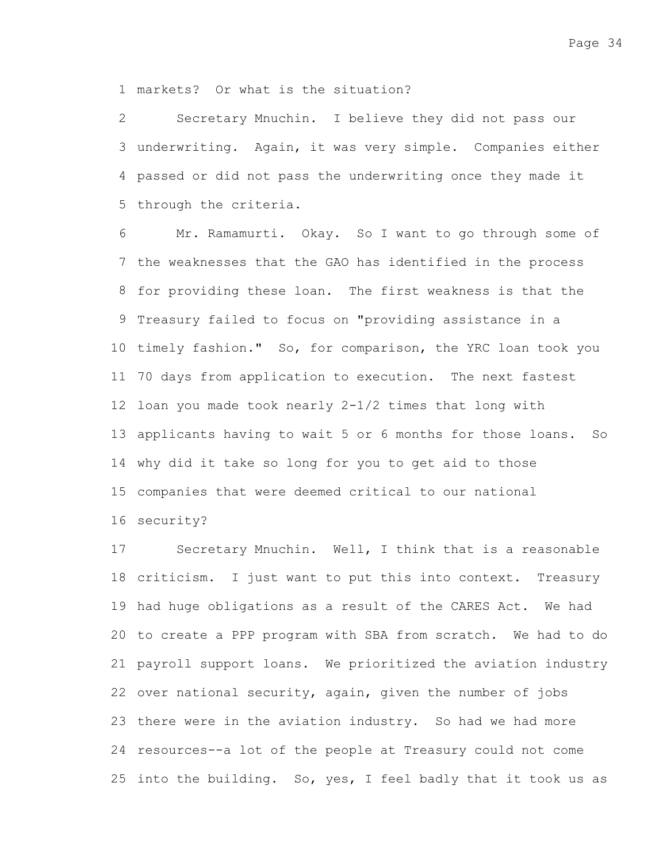markets? Or what is the situation? 1

Secretary Mnuchin. I believe they did not pass our underwriting. Again, it was very simple. Companies either 3 passed or did not pass the underwriting once they made it 4 5 through the criteria. 2

Mr. Ramamurti. Okay. So I want to go through some of 7 the weaknesses that the GAO has identified in the process 8 for providing these loan. The first weakness is that the 9 Treasury failed to focus on "providing assistance in a 10 timely fashion." So, for comparison, the YRC loan took you 11 70 days from application to execution. The next fastest 12 loan you made took nearly 2-1/2 times that long with 13 applicants having to wait 5 or 6 months for those loans. So why did it take so long for you to get aid to those 14 15 companies that were deemed critical to our national 16 security? 6

Secretary Mnuchin. Well, I think that is a reasonable 18 criticism. I just want to put this into context. Treasury 19 had huge obligations as a result of the CARES Act. We had 20 to create a PPP program with SBA from scratch. We had to do 21 payroll support loans. We prioritized the aviation industry 22 over national security, again, given the number of jobs 23 there were in the aviation industry. So had we had more 24 resources--a lot of the people at Treasury could not come 25 into the building. So, yes, I feel badly that it took us as 17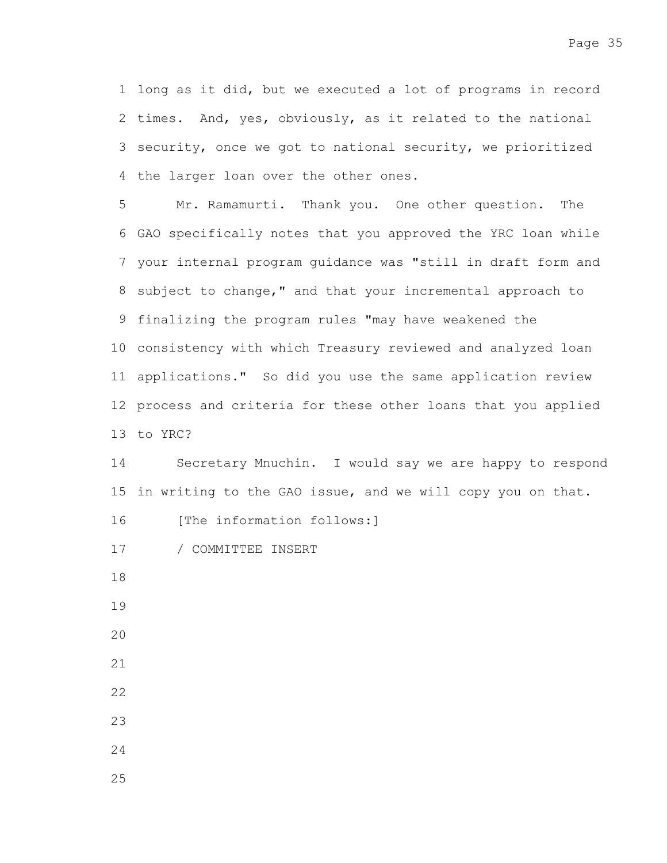1 long as it did, but we executed a lot of programs in record 2 times. And, yes, obviously, as it related to the national 3 security, once we got to national security, we prioritized 4 the larger loan over the other ones.

Mr. Ramamurti. Thank you. One other question. The 6 GAO specifically notes that you approved the YRC loan while 7 your internal program guidance was "still in draft form and 8 subject to change," and that your incremental approach to 9 finalizing the program rules "may have weakened the 10 consistency with which Treasury reviewed and analyzed loan 11 applications." So did you use the same application review 12 process and criteria for these other loans that you applied 13 to YRC? 5

Secretary Mnuchin. I would say we are happy to respond 15 in writing to the GAO issue, and we will copy you on that. 14

[The information follows:] 16

- / COMMITTEE INSERT 17
- 18
- 19
- 20
- 21
- 22
- 23
- 24
- 25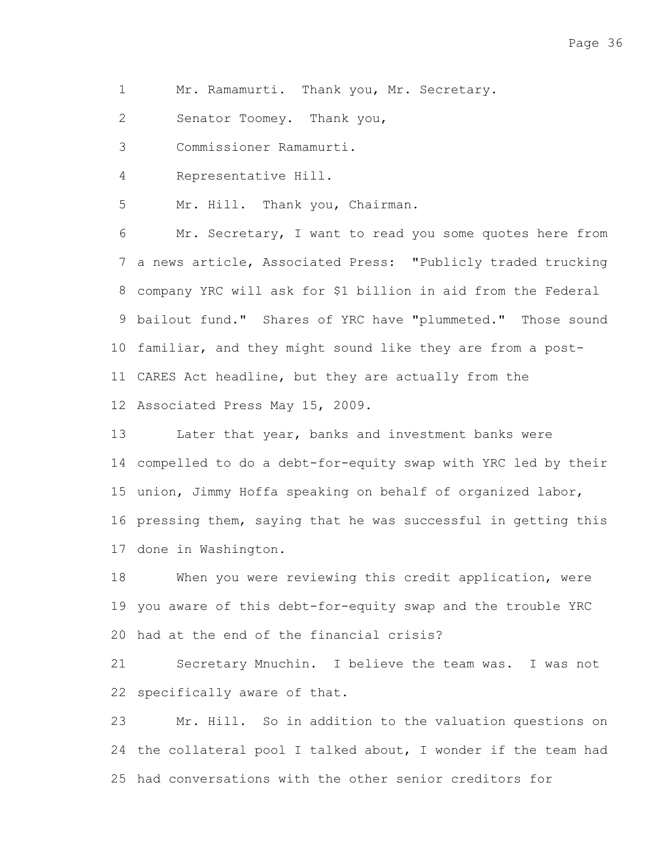Mr. Ramamurti. Thank you, Mr. Secretary. 1

Senator Toomey. Thank you, 2

Commissioner Ramamurti. 3

Representative Hill. 4

Mr. Hill. Thank you, Chairman. 5

Mr. Secretary, I want to read you some quotes here from 7 a news article, Associated Press: "Publicly traded trucking company YRC will ask for \$1 billion in aid from the Federal 8 9 bailout fund." Shares of YRC have "plummeted." Those sound 10 familiar, and they might sound like they are from a post-11 CARES Act headline, but they are actually from the 12 Associated Press May 15, 2009. 6

Later that year, banks and investment banks were compelled to do a debt-for-equity swap with YRC led by their 14 15 union, Jimmy Hoffa speaking on behalf of organized labor, 16 pressing them, saying that he was successful in getting this 17 done in Washington. 13

When you were reviewing this credit application, were 19 you aware of this debt-for-equity swap and the trouble YRC 20 had at the end of the financial crisis? 18

Secretary Mnuchin. I believe the team was. I was not 22 specifically aware of that. 21

Mr. Hill. So in addition to the valuation questions on 24 the collateral pool I talked about, I wonder if the team had 25 had conversations with the other senior creditors for 23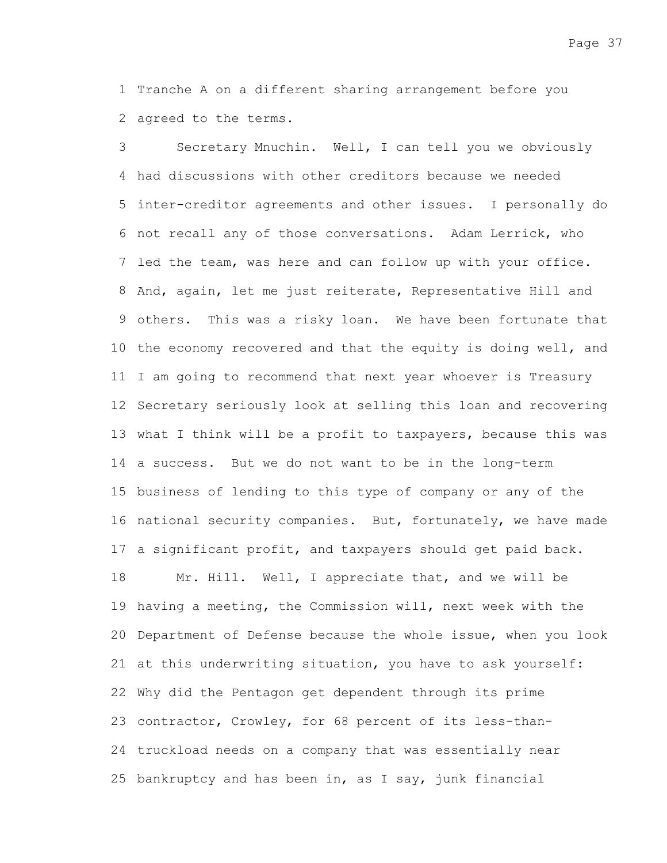1 Tranche A on a different sharing arrangement before you 2 agreed to the terms.

Secretary Mnuchin. Well, I can tell you we obviously had discussions with other creditors because we needed 4 5 inter-creditor agreements and other issues. I personally do 6 not recall any of those conversations. Adam Lerrick, who 7 led the team, was here and can follow up with your office. 8 And, again, let me just reiterate, Representative Hill and 9 others. This was a risky loan. We have been fortunate that 10 the economy recovered and that the equity is doing well, and 11 I am going to recommend that next year whoever is Treasury 12 Secretary seriously look at selling this loan and recovering 13 what I think will be a profit to taxpayers, because this was 14 a success. But we do not want to be in the long-term 15 business of lending to this type of company or any of the 16 national security companies. But, fortunately, we have made 17 a significant profit, and taxpayers should get paid back. Mr. Hill. Well, I appreciate that, and we will be 19 having a meeting, the Commission will, next week with the 20 Department of Defense because the whole issue, when you look 21 at this underwriting situation, you have to ask yourself: 22 Why did the Pentagon get dependent through its prime 23 contractor, Crowley, for 68 percent of its less-than-24 truckload needs on a company that was essentially near 25 bankruptcy and has been in, as I say, junk financial 3 18

Page 37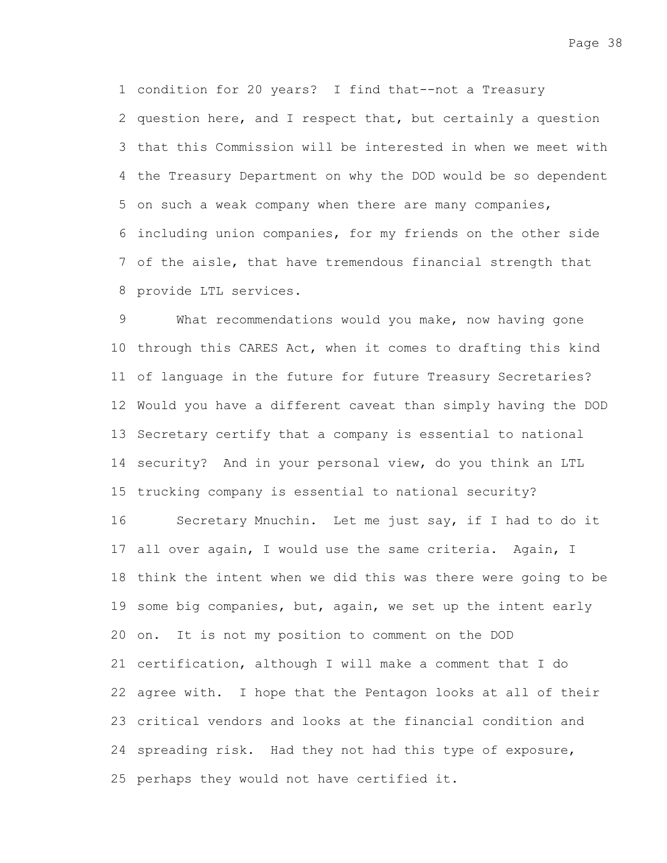condition for 20 years? I find that--not a Treasury 1 2 question here, and I respect that, but certainly a question 3 that this Commission will be interested in when we meet with 4 the Treasury Department on why the DOD would be so dependent 5 on such a weak company when there are many companies, including union companies, for my friends on the other side 6 7 of the aisle, that have tremendous financial strength that provide LTL services. 8

What recommendations would you make, now having gone 10 through this CARES Act, when it comes to drafting this kind of language in the future for future Treasury Secretaries? 11 12 Would you have a different caveat than simply having the DOD 13 Secretary certify that a company is essential to national 14 security? And in your personal view, do you think an LTL 15 trucking company is essential to national security? 9

Secretary Mnuchin. Let me just say, if I had to do it 17 all over again, I would use the same criteria. Again, I 18 think the intent when we did this was there were going to be 19 some big companies, but, again, we set up the intent early 20 on. It is not my position to comment on the DOD 21 certification, although I will make a comment that I do 22 agree with. I hope that the Pentagon looks at all of their 23 critical vendors and looks at the financial condition and 24 spreading risk. Had they not had this type of exposure, 25 perhaps they would not have certified it. 16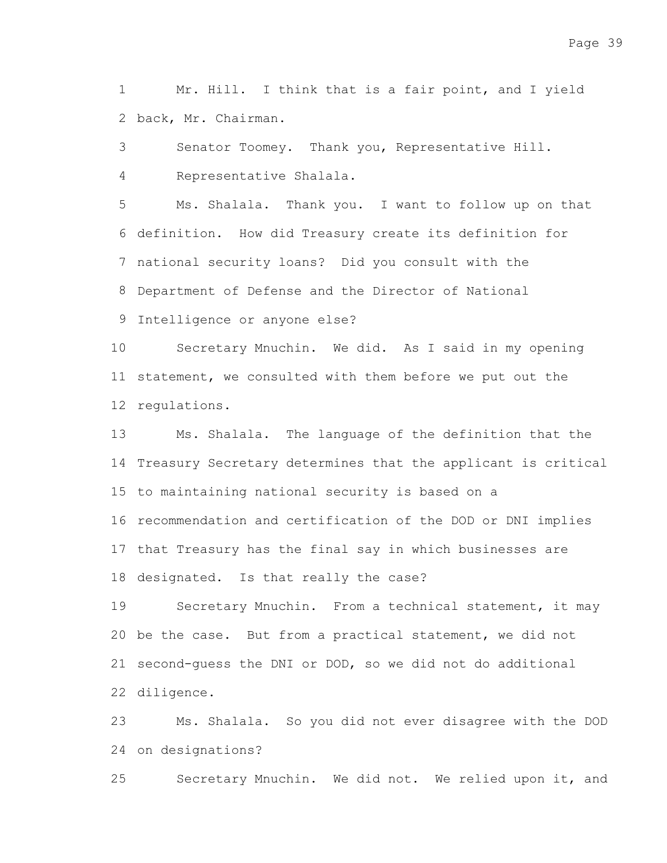Mr. Hill. I think that is a fair point, and I yield back, Mr. Chairman. 2 1

Senator Toomey. Thank you, Representative Hill. Representative Shalala. 3 4

Ms. Shalala. Thank you. I want to follow up on that 6 definition. How did Treasury create its definition for 7 national security loans? Did you consult with the 8 Department of Defense and the Director of National 5

9 Intelligence or anyone else?

Secretary Mnuchin. We did. As I said in my opening 11 statement, we consulted with them before we put out the 12 regulations. 10

Ms. Shalala. The language of the definition that the 14 Treasury Secretary determines that the applicant is critical 15 to maintaining national security is based on a 16 recommendation and certification of the DOD or DNI implies 17 that Treasury has the final say in which businesses are 18 designated. Is that really the case? 13

Secretary Mnuchin. From a technical statement, it may 20 be the case. But from a practical statement, we did not 21 second-guess the DNI or DOD, so we did not do additional diligence. 22 19

Ms. Shalala. So you did not ever disagree with the DOD 24 on designations? 23

Secretary Mnuchin. We did not. We relied upon it, and 25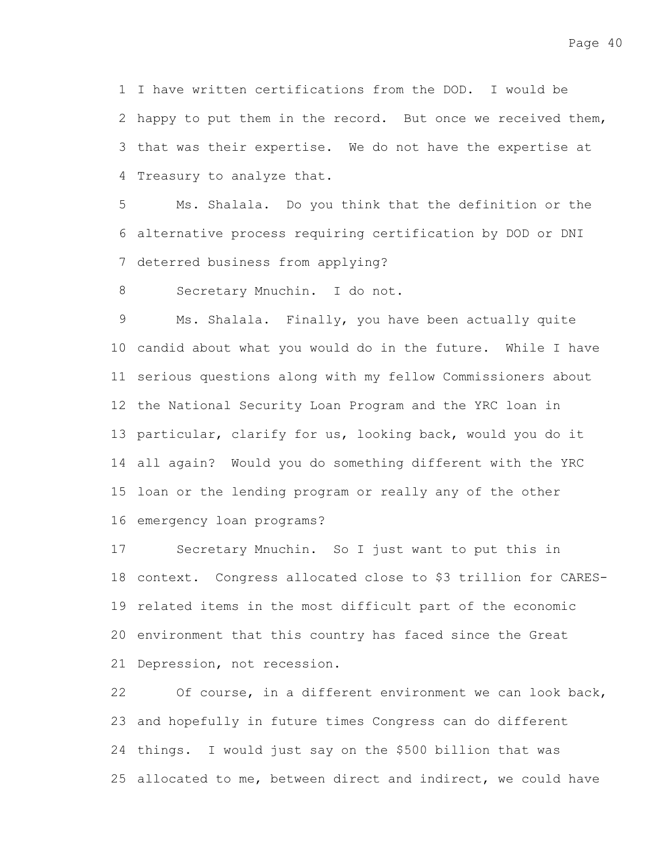I have written certifications from the DOD. I would be 1 2 happy to put them in the record. But once we received them, 3 that was their expertise. We do not have the expertise at 4 Treasury to analyze that.

Ms. Shalala. Do you think that the definition or the alternative process requiring certification by DOD or DNI 6 7 deterred business from applying? 5

Secretary Mnuchin. I do not. 8

Ms. Shalala. Finally, you have been actually quite 10 candid about what you would do in the future. While I have 11 serious questions along with my fellow Commissioners about 12 the National Security Loan Program and the YRC loan in 13 particular, clarify for us, looking back, would you do it all again? Would you do something different with the YRC 14 15 loan or the lending program or really any of the other 16 emergency loan programs? 9

Secretary Mnuchin. So I just want to put this in 18 context. Congress allocated close to \$3 trillion for CARES-19 related items in the most difficult part of the economic 20 environment that this country has faced since the Great 21 Depression, not recession. 17

Of course, in a different environment we can look back, 23 and hopefully in future times Congress can do different 24 things. I would just say on the \$500 billion that was 25 allocated to me, between direct and indirect, we could have 22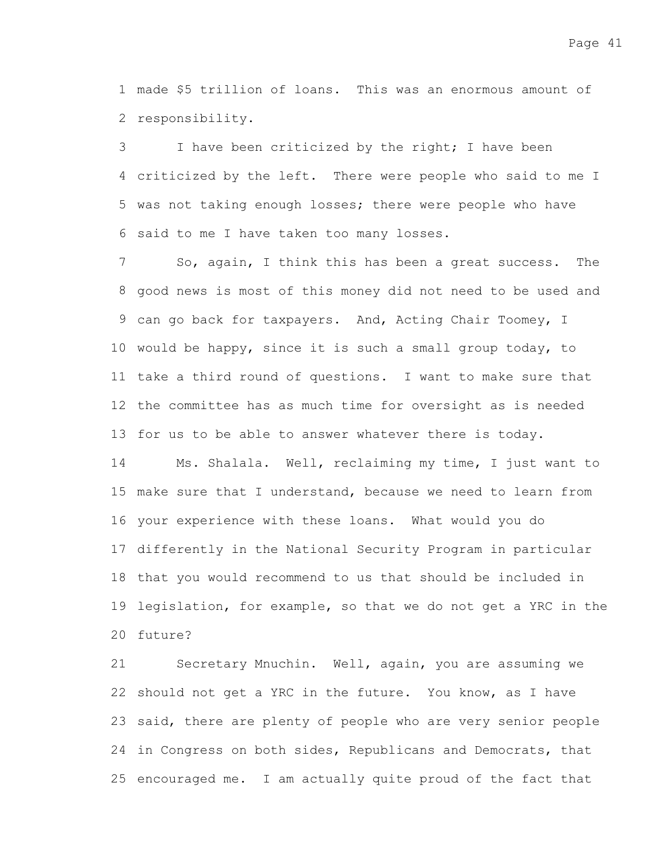made \$5 trillion of loans. This was an enormous amount of 1 2 responsibility.

I have been criticized by the right; I have been criticized by the left. There were people who said to me I 4 5 was not taking enough losses; there were people who have 6 said to me I have taken too many losses. 3

So, again, I think this has been a great success. The 8 good news is most of this money did not need to be used and 9 can go back for taxpayers. And, Acting Chair Toomey, I 10 would be happy, since it is such a small group today, to 11 take a third round of questions. I want to make sure that 12 the committee has as much time for oversight as is needed 13 for us to be able to answer whatever there is today. 7

Ms. Shalala. Well, reclaiming my time, I just want to 15 make sure that I understand, because we need to learn from 16 your experience with these loans. What would you do 17 differently in the National Security Program in particular 18 that you would recommend to us that should be included in 19 legislation, for example, so that we do not get a YRC in the 20 future? 14

Secretary Mnuchin. Well, again, you are assuming we 22 should not get a YRC in the future. You know, as I have 23 said, there are plenty of people who are very senior people 24 in Congress on both sides, Republicans and Democrats, that 25 encouraged me. I am actually quite proud of the fact that 21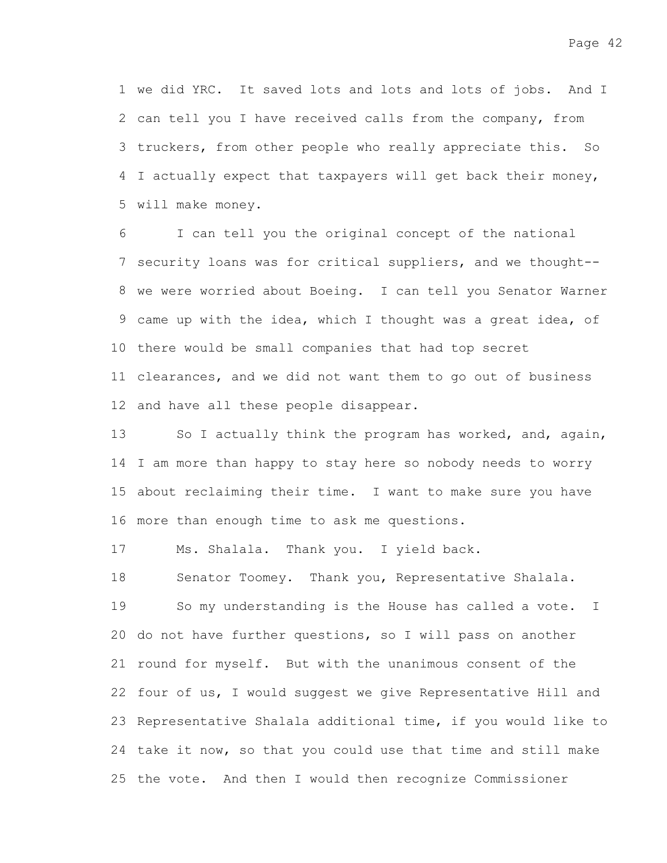1 we did YRC. It saved lots and lots and lots of jobs. And I 2 can tell you I have received calls from the company, from 3 truckers, from other people who really appreciate this. So 4 I actually expect that taxpayers will get back their money, 5 will make money.

I can tell you the original concept of the national 7 security loans was for critical suppliers, and we thought--8 we were worried about Boeing. I can tell you Senator Warner 9 came up with the idea, which I thought was a great idea, of 10 there would be small companies that had top secret 11 clearances, and we did not want them to go out of business 12 and have all these people disappear. 6

So I actually think the program has worked, and, again, 14 I am more than happy to stay here so nobody needs to worry 15 about reclaiming their time. I want to make sure you have 16 more than enough time to ask me questions. 13

Ms. Shalala. Thank you. I yield back. 17

18

Senator Toomey. Thank you, Representative Shalala. So my understanding is the House has called a vote. I 20 do not have further questions, so I will pass on another 21 round for myself. But with the unanimous consent of the 22 four of us, I would suggest we give Representative Hill and 23 Representative Shalala additional time, if you would like to 24 take it now, so that you could use that time and still make 25 the vote. And then I would then recognize Commissioner 19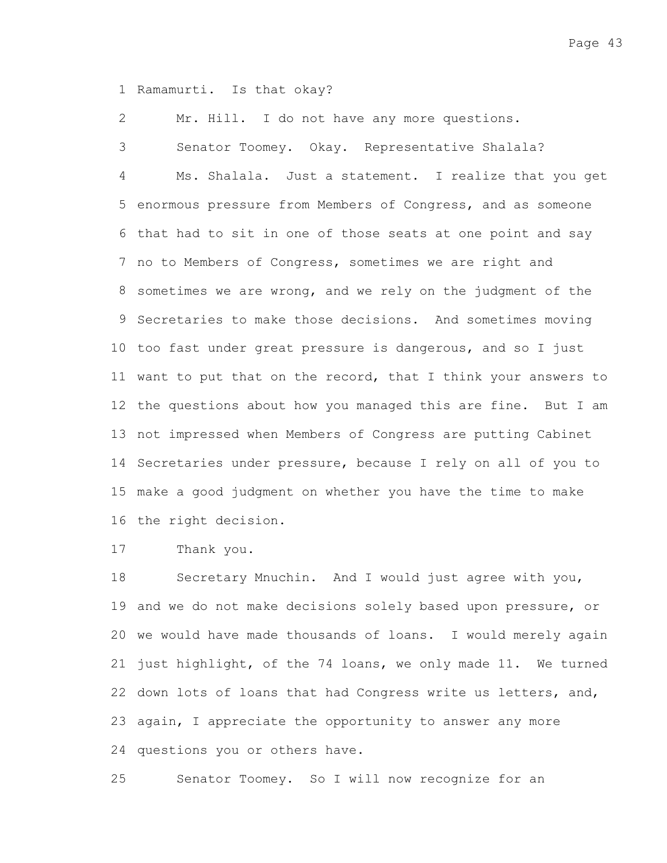1 Ramamurti. Is that okay?

Mr. Hill. I do not have any more questions. 2

Senator Toomey. Okay. Representative Shalala? Ms. Shalala. Just a statement. I realize that you get 5 enormous pressure from Members of Congress, and as someone 6 that had to sit in one of those seats at one point and say 7 no to Members of Congress, sometimes we are right and 8 sometimes we are wrong, and we rely on the judgment of the 9 Secretaries to make those decisions. And sometimes moving 10 too fast under great pressure is dangerous, and so I just 11 want to put that on the record, that I think your answers to 12 the questions about how you managed this are fine. But I am 13 not impressed when Members of Congress are putting Cabinet 14 Secretaries under pressure, because I rely on all of you to make a good judgment on whether you have the time to make 15 16 the right decision. 3 4

Thank you. 17

Secretary Mnuchin. And I would just agree with you, 19 and we do not make decisions solely based upon pressure, or 20 we would have made thousands of loans. I would merely again 21 just highlight, of the 74 loans, we only made 11. We turned 22 down lots of loans that had Congress write us letters, and, 23 again, I appreciate the opportunity to answer any more 24 questions you or others have. 18

Senator Toomey. So I will now recognize for an 25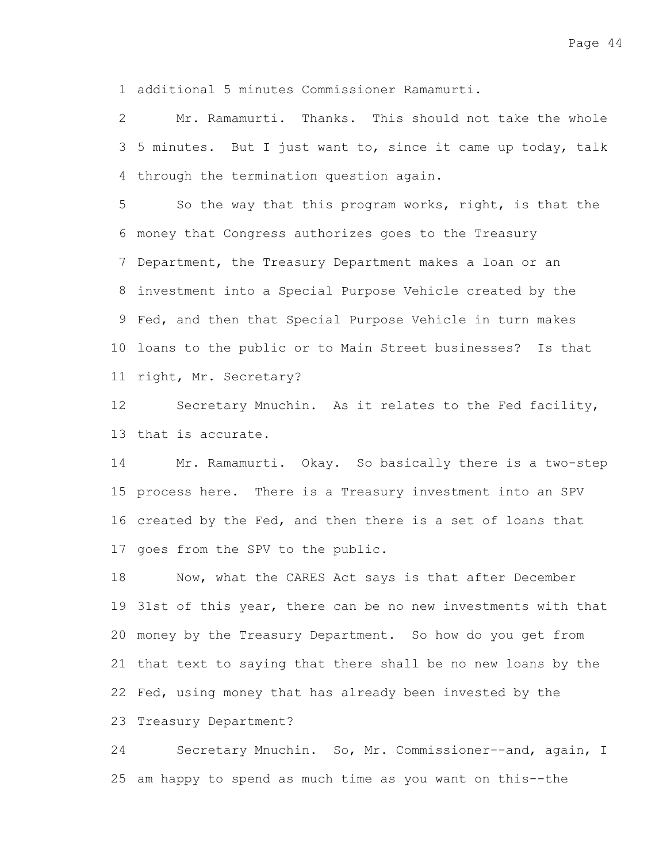additional 5 minutes Commissioner Ramamurti. 1

Mr. Ramamurti. Thanks. This should not take the whole 3 5 minutes. But I just want to, since it came up today, talk 4 through the termination question again. 2

So the way that this program works, right, is that the money that Congress authorizes goes to the Treasury 6 7 Department, the Treasury Department makes a loan or an investment into a Special Purpose Vehicle created by the 8 9 Fed, and then that Special Purpose Vehicle in turn makes 10 loans to the public or to Main Street businesses? Is that 11 right, Mr. Secretary? 5

Secretary Mnuchin. As it relates to the Fed facility, 13 that is accurate. 12

Mr. Ramamurti. Okay. So basically there is a two-step 15 process here. There is a Treasury investment into an SPV 16 created by the Fed, and then there is a set of loans that 17 goes from the SPV to the public. 14

Now, what the CARES Act says is that after December 19 31st of this year, there can be no new investments with that money by the Treasury Department. So how do you get from 20 21 that text to saying that there shall be no new loans by the 22 Fed, using money that has already been invested by the 23 Treasury Department? 18

Secretary Mnuchin. So, Mr. Commissioner--and, again, I 25 am happy to spend as much time as you want on this--the 24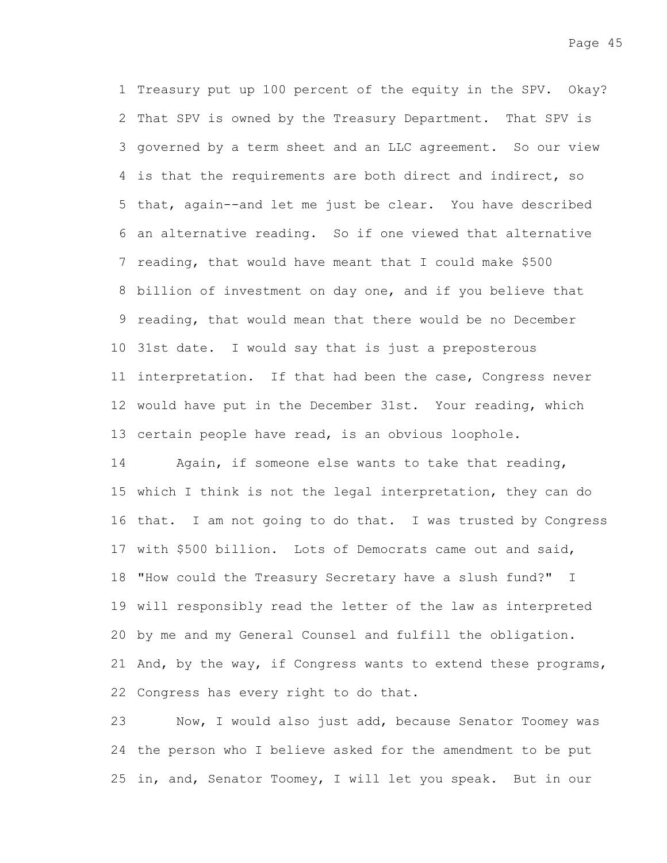1 Treasury put up 100 percent of the equity in the SPV. Okay? 2 That SPV is owned by the Treasury Department. That SPV is 3 governed by a term sheet and an LLC agreement. So our view 4 is that the requirements are both direct and indirect, so 5 that, again--and let me just be clear. You have described an alternative reading. So if one viewed that alternative 6 7 reading, that would have meant that I could make \$500 8 billion of investment on day one, and if you believe that 9 reading, that would mean that there would be no December 31st date. I would say that is just a preposterous 10 11 interpretation. If that had been the case, Congress never 12 would have put in the December 31st. Your reading, which 13 certain people have read, is an obvious loophole.

Again, if someone else wants to take that reading, 15 which I think is not the legal interpretation, they can do 16 that. I am not going to do that. I was trusted by Congress 17 with \$500 billion. Lots of Democrats came out and said, 18 "How could the Treasury Secretary have a slush fund?" I 19 will responsibly read the letter of the law as interpreted 20 by me and my General Counsel and fulfill the obligation. 21 And, by the way, if Congress wants to extend these programs, 22 Congress has every right to do that. 14

Now, I would also just add, because Senator Toomey was 24 the person who I believe asked for the amendment to be put 25 in, and, Senator Toomey, I will let you speak. But in our 23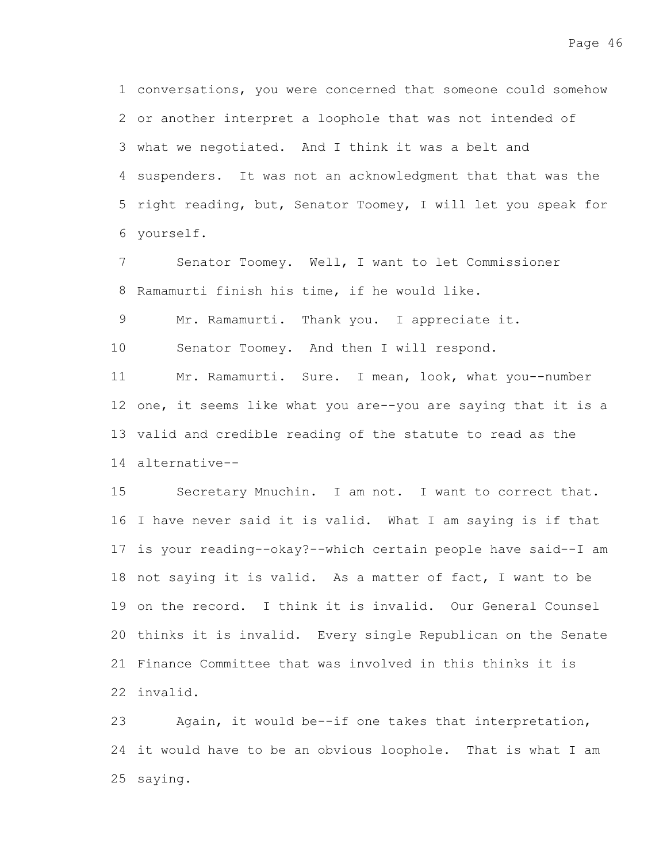conversations, you were concerned that someone could somehow 1 2 or another interpret a loophole that was not intended of 3 what we negotiated. And I think it was a belt and 4 suspenders. It was not an acknowledgment that that was the 5 right reading, but, Senator Toomey, I will let you speak for yourself. 6

Senator Toomey. Well, I want to let Commissioner 8 Ramamurti finish his time, if he would like. 7

Mr. Ramamurti. Thank you. I appreciate it. 9

Senator Toomey. And then I will respond. 10

Mr. Ramamurti. Sure. I mean, look, what you--number 12 one, it seems like what you are--you are saying that it is a 13 valid and credible reading of the statute to read as the alternative-- 14 11

Secretary Mnuchin. I am not. I want to correct that. 16 I have never said it is valid. What I am saying is if that 17 is your reading--okay?--which certain people have said--I am 18 not saying it is valid. As a matter of fact, I want to be 19 on the record. I think it is invalid. Our General Counsel 20 thinks it is invalid. Every single Republican on the Senate 21 Finance Committee that was involved in this thinks it is invalid. 22 15

Again, it would be--if one takes that interpretation, 24 it would have to be an obvious loophole. That is what I am 25 saying. 23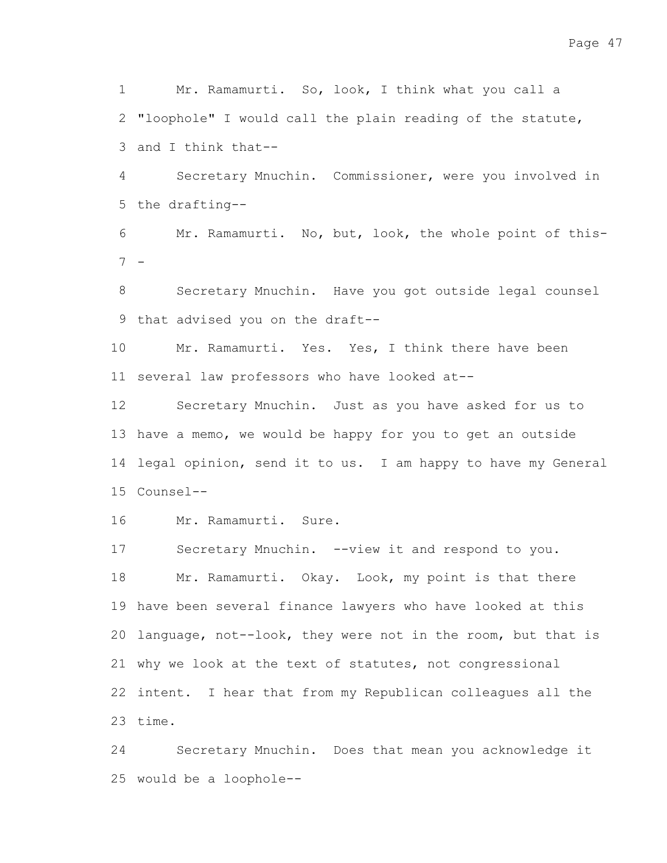Mr. Ramamurti. So, look, I think what you call a 2 "loophole" I would call the plain reading of the statute, 3 and I think that--1

Secretary Mnuchin. Commissioner, were you involved in 5 the drafting--4

Mr. Ramamurti. No, but, look, the whole point of this-- 7 6

Secretary Mnuchin. Have you got outside legal counsel 9 that advised you on the draft--8

Mr. Ramamurti. Yes. Yes, I think there have been 11 several law professors who have looked at--10

Secretary Mnuchin. Just as you have asked for us to 13 have a memo, we would be happy for you to get an outside 14 legal opinion, send it to us. I am happy to have my General Counsel-- 15 12

Mr. Ramamurti. Sure. 16

Secretary Mnuchin. --view it and respond to you. Mr. Ramamurti. Okay. Look, my point is that there 19 have been several finance lawyers who have looked at this 20 language, not--look, they were not in the room, but that is 21 why we look at the text of statutes, not congressional 22 intent. I hear that from my Republican colleagues all the 23 time. 17 18

Secretary Mnuchin. Does that mean you acknowledge it would be a loophole-- 2524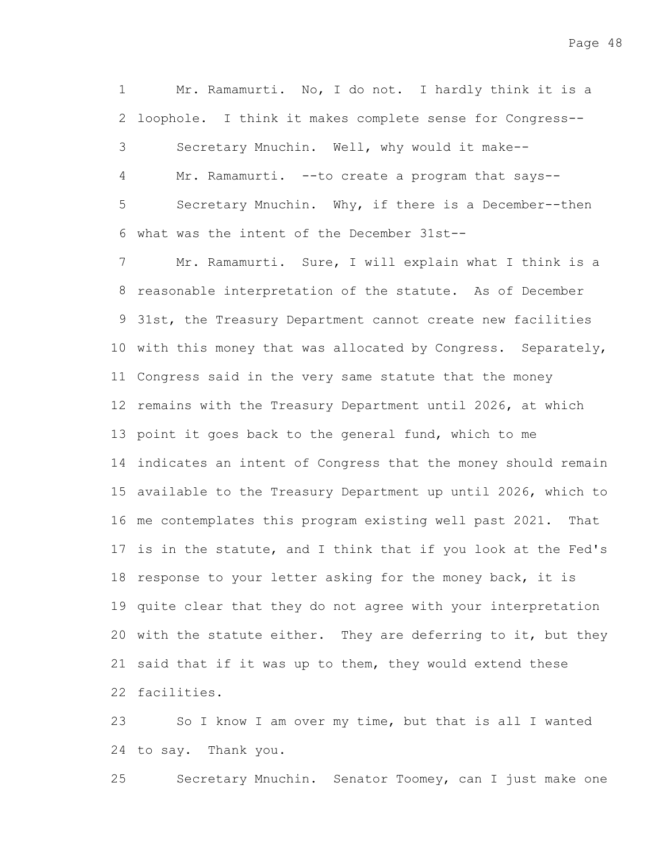Mr. Ramamurti. No, I do not. I hardly think it is a 2 loophole. I think it makes complete sense for Congress--Secretary Mnuchin. Well, why would it make-- Mr. Ramamurti. --to create a program that says--Secretary Mnuchin. Why, if there is a December--then what was the intent of the December 31st-- 6 Mr. Ramamurti. Sure, I will explain what I think is a 8 reasonable interpretation of the statute. As of December 9 31st, the Treasury Department cannot create new facilities 10 with this money that was allocated by Congress. Separately, 1 3 4 5 7

11 Congress said in the very same statute that the money 12 remains with the Treasury Department until 2026, at which 13 point it goes back to the general fund, which to me 14 indicates an intent of Congress that the money should remain 15 available to the Treasury Department up until 2026, which to 16 me contemplates this program existing well past 2021. That 17 is in the statute, and I think that if you look at the Fed's 18 response to your letter asking for the money back, it is 19 quite clear that they do not agree with your interpretation 20 with the statute either. They are deferring to it, but they 21 said that if it was up to them, they would extend these 22 facilities.

So I know I am over my time, but that is all I wanted 24 to say. Thank you. 23

Secretary Mnuchin. Senator Toomey, can I just make one 25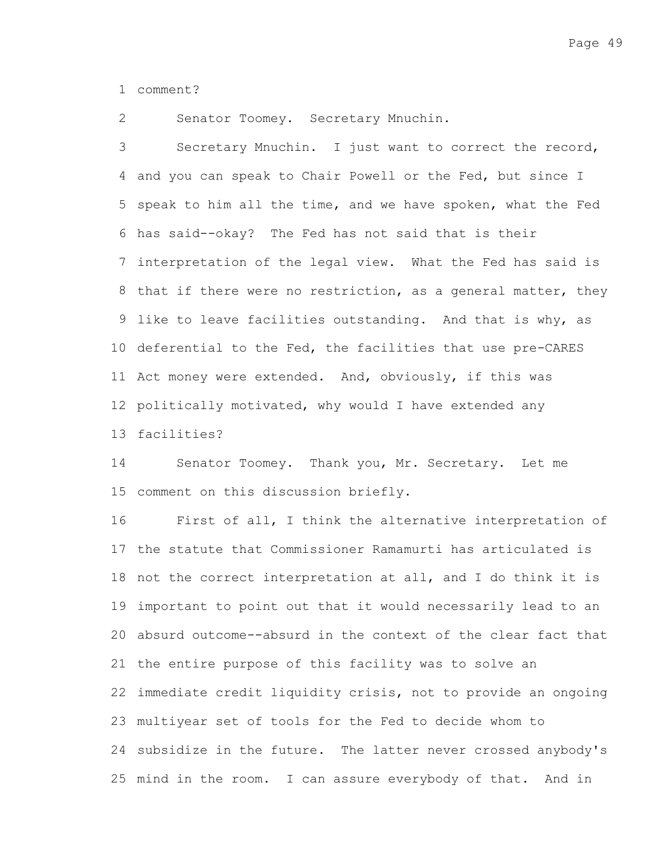comment? 1

Senator Toomey. Secretary Mnuchin. 2

Secretary Mnuchin. I just want to correct the record, 4 and you can speak to Chair Powell or the Fed, but since I 5 speak to him all the time, and we have spoken, what the Fed has said--okay? The Fed has not said that is their 6 7 interpretation of the legal view. What the Fed has said is 8 that if there were no restriction, as a general matter, they 9 like to leave facilities outstanding. And that is why, as 10 deferential to the Fed, the facilities that use pre-CARES 11 Act money were extended. And, obviously, if this was 12 politically motivated, why would I have extended any 13 facilities? 3

Senator Toomey. Thank you, Mr. Secretary. Let me 15 comment on this discussion briefly. 14

First of all, I think the alternative interpretation of 17 the statute that Commissioner Ramamurti has articulated is 18 not the correct interpretation at all, and I do think it is 19 important to point out that it would necessarily lead to an absurd outcome--absurd in the context of the clear fact that 20 21 the entire purpose of this facility was to solve an 22 immediate credit liquidity crisis, not to provide an ongoing multiyear set of tools for the Fed to decide whom to 23 24 subsidize in the future. The latter never crossed anybody's 25 mind in the room. I can assure everybody of that. And in 16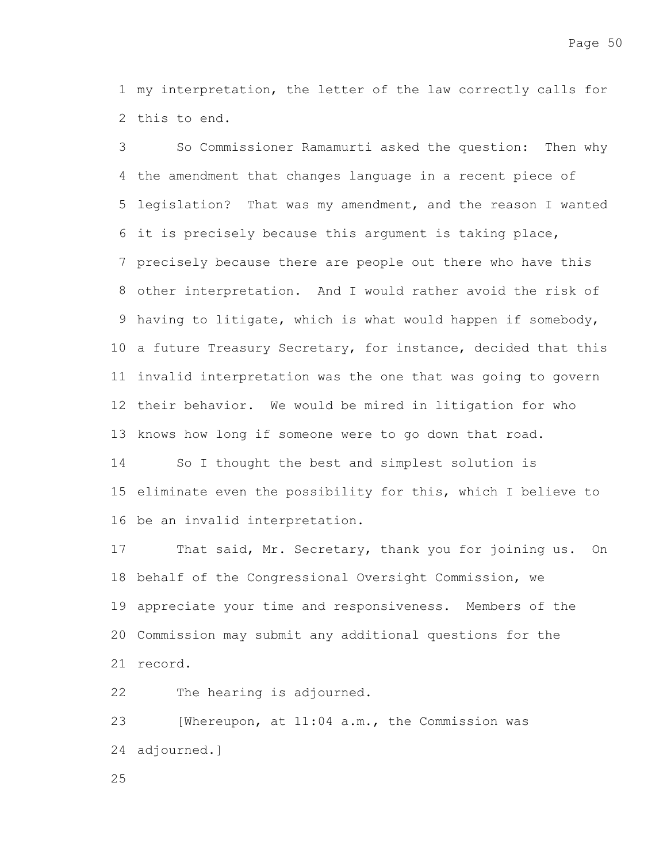1 my interpretation, the letter of the law correctly calls for 2 this to end.

So Commissioner Ramamurti asked the question: Then why 4 the amendment that changes language in a recent piece of 5 legislation? That was my amendment, and the reason I wanted it is precisely because this argument is taking place, 6 7 precisely because there are people out there who have this other interpretation. And I would rather avoid the risk of 8 9 having to litigate, which is what would happen if somebody, 10 a future Treasury Secretary, for instance, decided that this 11 invalid interpretation was the one that was going to govern 12 their behavior. We would be mired in litigation for who 13 knows how long if someone were to go down that road. So I thought the best and simplest solution is 3 14

15 eliminate even the possibility for this, which I believe to 16 be an invalid interpretation.

That said, Mr. Secretary, thank you for joining us. On 18 behalf of the Congressional Oversight Commission, we 19 appreciate your time and responsiveness. Members of the 20 Commission may submit any additional questions for the 21 record. 17

The hearing is adjourned. 22

[Whereupon, at 11:04 a.m., the Commission was 24 adjourned.] 23

25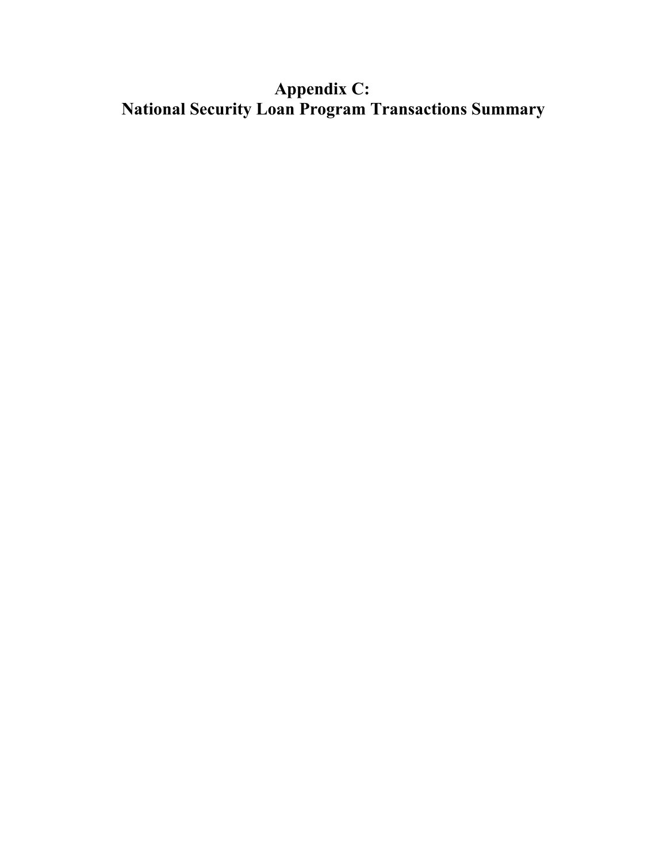# **Appendix C: National Security Loan Program Transactions Summary**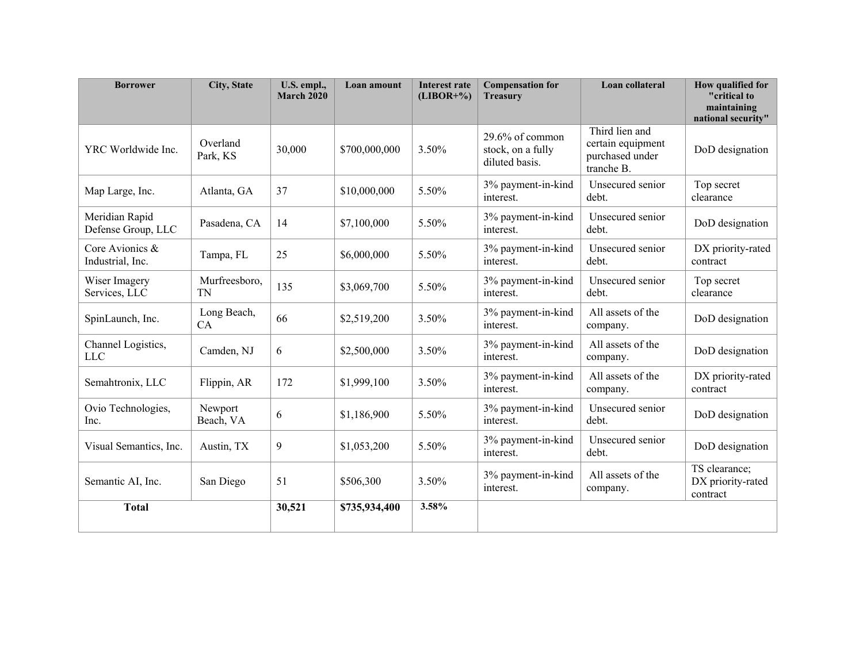| <b>Borrower</b>                      | <b>City, State</b>   | U.S. empl.,<br><b>March 2020</b> | <b>Loan amount</b> | <b>Interest rate</b><br>$(LIBOR+%)$ | <b>Compensation for</b><br><b>Treasury</b>             | Loan collateral                                                      | How qualified for<br>"critical to<br>maintaining<br>national security" |
|--------------------------------------|----------------------|----------------------------------|--------------------|-------------------------------------|--------------------------------------------------------|----------------------------------------------------------------------|------------------------------------------------------------------------|
| YRC Worldwide Inc.                   | Overland<br>Park, KS | 30,000                           | \$700,000,000      | 3.50%                               | 29.6% of common<br>stock, on a fully<br>diluted basis. | Third lien and<br>certain equipment<br>purchased under<br>tranche B. | DoD designation                                                        |
| Map Large, Inc.                      | Atlanta, GA          | 37                               | \$10,000,000       | 5.50%                               | 3% payment-in-kind<br>interest.                        | Unsecured senior<br>debt.                                            | Top secret<br>clearance                                                |
| Meridian Rapid<br>Defense Group, LLC | Pasadena, CA         | 14                               | \$7,100,000        | 5.50%                               | 3% payment-in-kind<br>interest.                        | Unsecured senior<br>debt.                                            | DoD designation                                                        |
| Core Avionics &<br>Industrial, Inc.  | Tampa, FL            | 25                               | \$6,000,000        | 5.50%                               | 3% payment-in-kind<br>interest.                        | Unsecured senior<br>debt.                                            | DX priority-rated<br>contract                                          |
| Wiser Imagery<br>Services, LLC       | Murfreesboro,<br>TN  | 135                              | \$3,069,700        | 5.50%                               | 3% payment-in-kind<br>interest.                        | Unsecured senior<br>debt.                                            | Top secret<br>clearance                                                |
| SpinLaunch, Inc.                     | Long Beach,<br>CA    | 66                               | \$2,519,200        | 3.50%                               | 3% payment-in-kind<br>interest.                        | All assets of the<br>company.                                        | DoD designation                                                        |
| Channel Logistics,<br><b>LLC</b>     | Camden, NJ           | 6                                | \$2,500,000        | 3.50%                               | 3% payment-in-kind<br>interest.                        | All assets of the<br>company.                                        | DoD designation                                                        |
| Semahtronix, LLC                     | Flippin, AR          | 172                              | \$1,999,100        | 3.50%                               | 3% payment-in-kind<br>interest.                        | All assets of the<br>company.                                        | DX priority-rated<br>contract                                          |
| Ovio Technologies,<br>Inc.           | Newport<br>Beach, VA | 6                                | \$1,186,900        | 5.50%                               | 3% payment-in-kind<br>interest.                        | Unsecured senior<br>debt.                                            | DoD designation                                                        |
| Visual Semantics, Inc.               | Austin, TX           | 9                                | \$1,053,200        | 5.50%                               | 3% payment-in-kind<br>interest.                        | Unsecured senior<br>debt.                                            | DoD designation                                                        |
| Semantic AI, Inc.                    | San Diego            | 51                               | \$506,300          | 3.50%                               | 3% payment-in-kind<br>interest.                        | All assets of the<br>company.                                        | TS clearance;<br>DX priority-rated<br>contract                         |
| <b>Total</b>                         |                      | 30,521                           | \$735,934,400      | 3.58%                               |                                                        |                                                                      |                                                                        |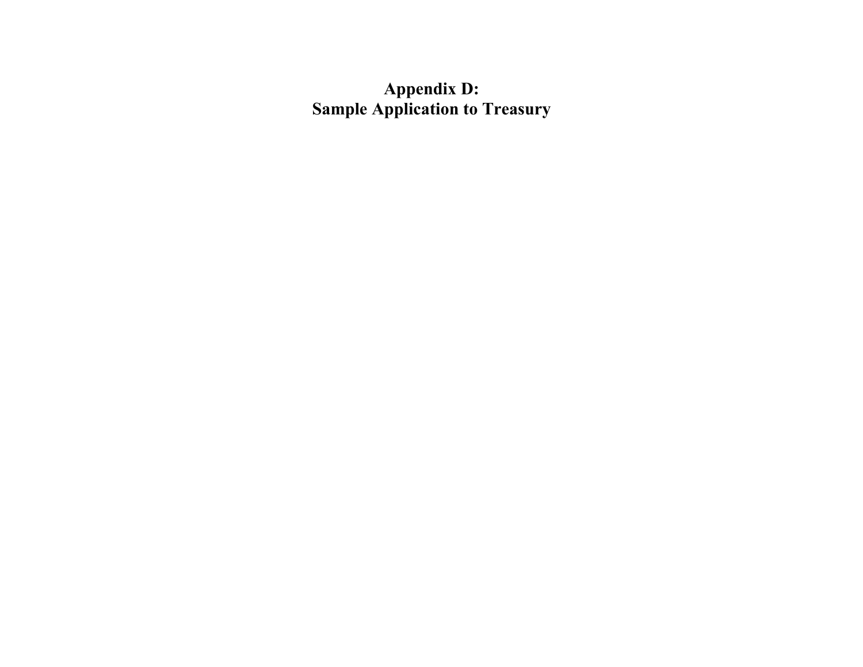**Appendix D: Sample Application to Treasury**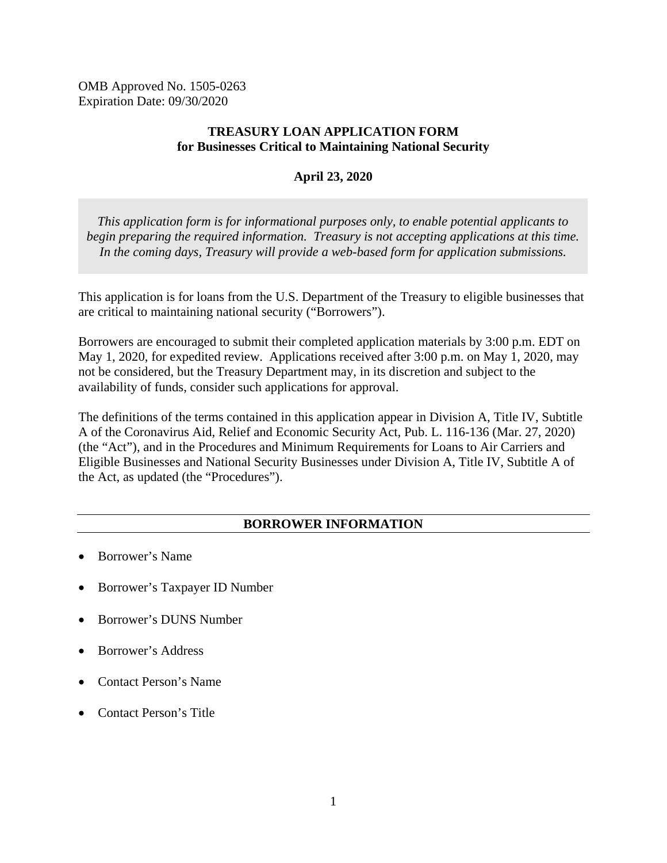OMB Approved No. 1505-0263 Expiration Date: 09/30/2020

#### **TREASURY LOAN APPLICATION FORM for Businesses Critical to Maintaining National Security**

#### **April 23, 2020**

*This application form is for informational purposes only, to enable potential applicants to begin preparing the required information. Treasury is not accepting applications at this time. In the coming days, Treasury will provide a web-based form for application submissions.*

This application is for loans from the U.S. Department of the Treasury to eligible businesses that are critical to maintaining national security ("Borrowers").

Borrowers are encouraged to submit their completed application materials by 3:00 p.m. EDT on May 1, 2020, for expedited review. Applications received after 3:00 p.m. on May 1, 2020, may not be considered, but the Treasury Department may, in its discretion and subject to the availability of funds, consider such applications for approval.

The definitions of the terms contained in this application appear in Division A, Title IV, Subtitle A of the Coronavirus Aid, Relief and Economic Security Act, Pub. L. 116-136 (Mar. 27, 2020) (the "Act"), and in the Procedures and Minimum Requirements for Loans to Air Carriers and Eligible Businesses and National Security Businesses under Division A, Title IV, Subtitle A of the Act, as updated (the "Procedures").

#### **BORROWER INFORMATION**

- Borrower's Name
- Borrower's Taxpayer ID Number
- Borrower's DUNS Number
- Borrower's Address
- Contact Person's Name
- Contact Person's Title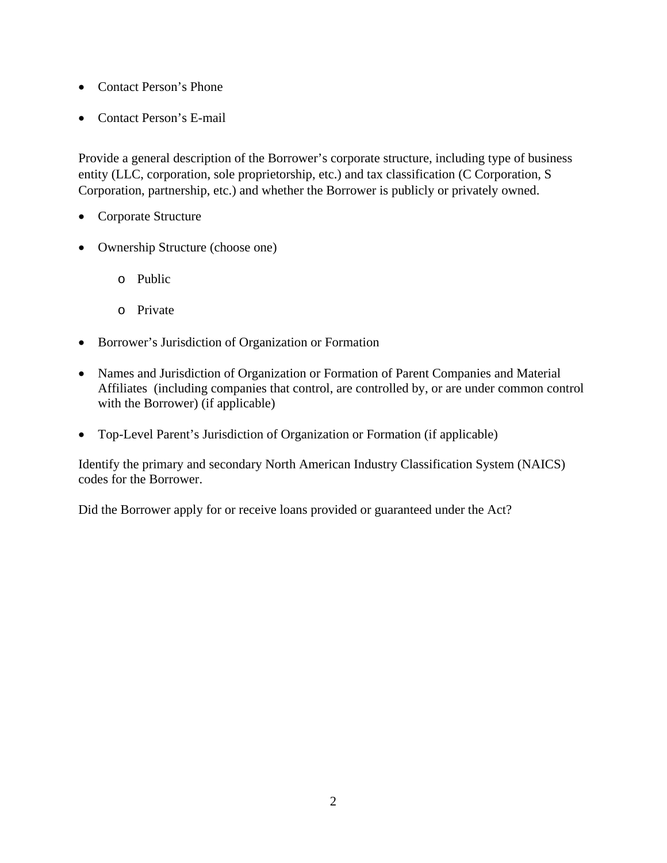- Contact Person's Phone
- Contact Person's E-mail

Provide a general description of the Borrower's corporate structure, including type of business entity (LLC, corporation, sole proprietorship, etc.) and tax classification (C Corporation, S Corporation, partnership, etc.) and whether the Borrower is publicly or privately owned.

- Corporate Structure
- Ownership Structure (choose one)
	- o Public
	- o Private
- Borrower's Jurisdiction of Organization or Formation
- Names and Jurisdiction of Organization or Formation of Parent Companies and Material Affiliates (including companies that control, are controlled by, or are under common control with the Borrower) (if applicable)
- Top-Level Parent's Jurisdiction of Organization or Formation (if applicable)

Identify the primary and secondary North American Industry Classification System (NAICS) codes for the Borrower.

Did the Borrower apply for or receive loans provided or guaranteed under the Act?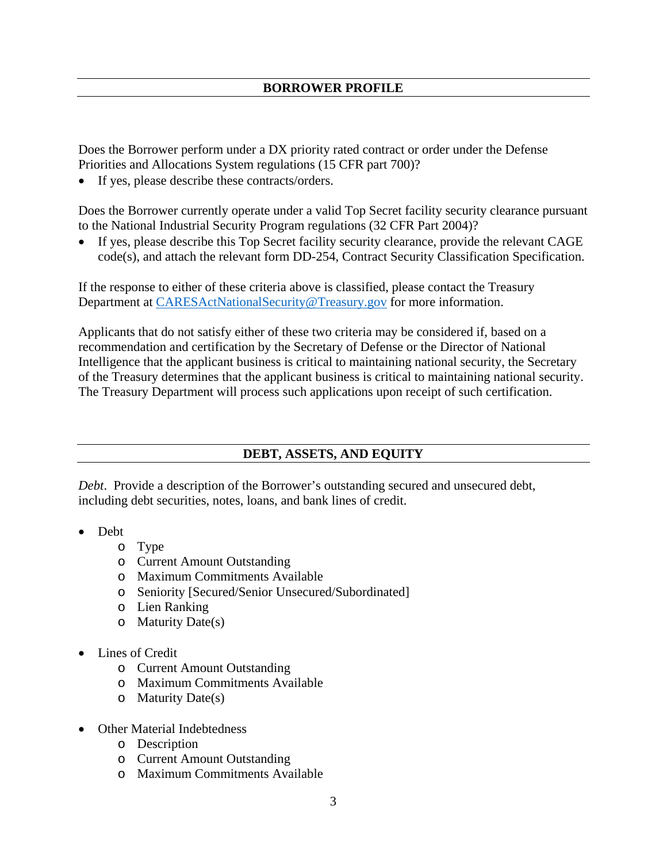Does the Borrower perform under a DX priority rated contract or order under the Defense Priorities and Allocations System regulations (15 CFR part 700)?

• If yes, please describe these contracts/orders.

Does the Borrower currently operate under a valid Top Secret facility security clearance pursuant to the National Industrial Security Program regulations (32 CFR Part 2004)?

• If yes, please describe this Top Secret facility security clearance, provide the relevant CAGE code(s), and attach the relevant form DD-254, Contract Security Classification Specification.

If the response to either of these criteria above is classified, please contact the Treasury Department at [CARESActNationalSecurity@Treasury.gov](mailto:CARESActNationalSecurity@Treasury.gov) for more information.

Applicants that do not satisfy either of these two criteria may be considered if, based on a recommendation and certification by the Secretary of Defense or the Director of National Intelligence that the applicant business is critical to maintaining national security, the Secretary of the Treasury determines that the applicant business is critical to maintaining national security. The Treasury Department will process such applications upon receipt of such certification.

# **DEBT, ASSETS, AND EQUITY**

*Debt*. Provide a description of the Borrower's outstanding secured and unsecured debt, including debt securities, notes, loans, and bank lines of credit.

- Debt
	- o Type
	- o Current Amount Outstanding
	- o Maximum Commitments Available
	- o Seniority [Secured/Senior Unsecured/Subordinated]
	- o Lien Ranking
	- o Maturity Date(s)
- Lines of Credit
	- o Current Amount Outstanding
	- o Maximum Commitments Available
	- o Maturity Date(s)
- Other Material Indebtedness
	- o Description
	- o Current Amount Outstanding
	- o Maximum Commitments Available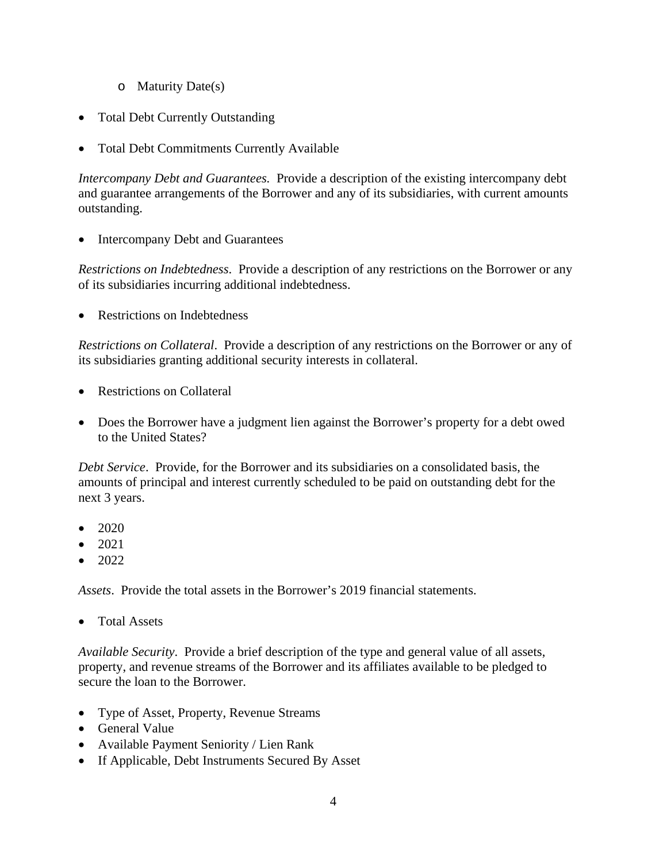- o Maturity Date(s)
- Total Debt Currently Outstanding
- Total Debt Commitments Currently Available

*Intercompany Debt and Guarantees.* Provide a description of the existing intercompany debt and guarantee arrangements of the Borrower and any of its subsidiaries, with current amounts outstanding.

• Intercompany Debt and Guarantees

*Restrictions on Indebtedness*. Provide a description of any restrictions on the Borrower or any of its subsidiaries incurring additional indebtedness.

• Restrictions on Indebtedness

*Restrictions on Collateral*. Provide a description of any restrictions on the Borrower or any of its subsidiaries granting additional security interests in collateral.

- Restrictions on Collateral
- Does the Borrower have a judgment lien against the Borrower's property for a debt owed to the United States?

*Debt Service*. Provide, for the Borrower and its subsidiaries on a consolidated basis, the amounts of principal and interest currently scheduled to be paid on outstanding debt for the next 3 years.

- 2020
- 2021
- $\bullet$  2022

*Assets*. Provide the total assets in the Borrower's 2019 financial statements.

• Total Assets

*Available Security*. Provide a brief description of the type and general value of all assets, property, and revenue streams of the Borrower and its affiliates available to be pledged to secure the loan to the Borrower.

- Type of Asset, Property, Revenue Streams
- General Value
- Available Payment Seniority / Lien Rank
- If Applicable, Debt Instruments Secured By Asset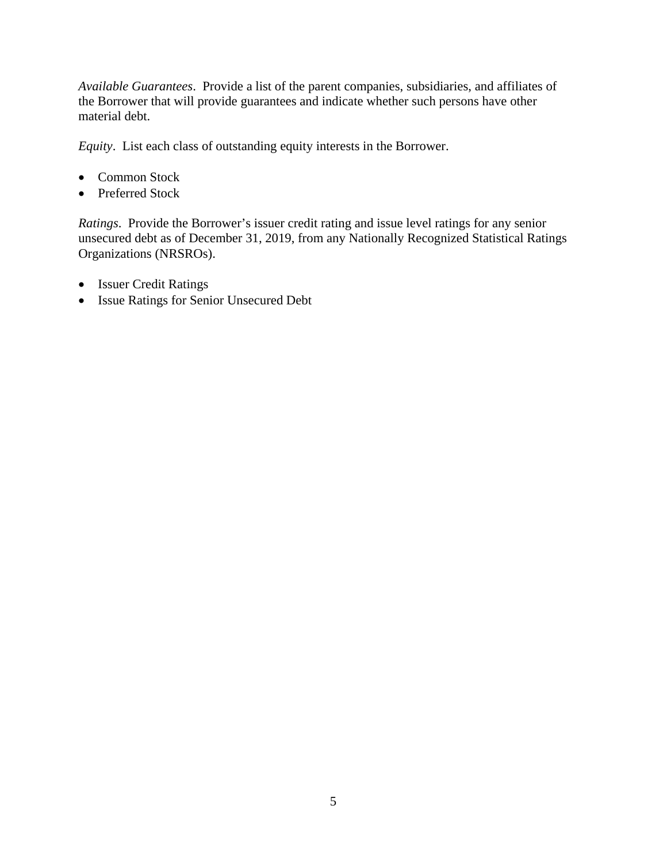*Available Guarantees*. Provide a list of the parent companies, subsidiaries, and affiliates of the Borrower that will provide guarantees and indicate whether such persons have other material debt.

*Equity*. List each class of outstanding equity interests in the Borrower.

- Common Stock
- Preferred Stock

*Ratings*. Provide the Borrower's issuer credit rating and issue level ratings for any senior unsecured debt as of December 31, 2019, from any Nationally Recognized Statistical Ratings Organizations (NRSROs).

- Issuer Credit Ratings
- Issue Ratings for Senior Unsecured Debt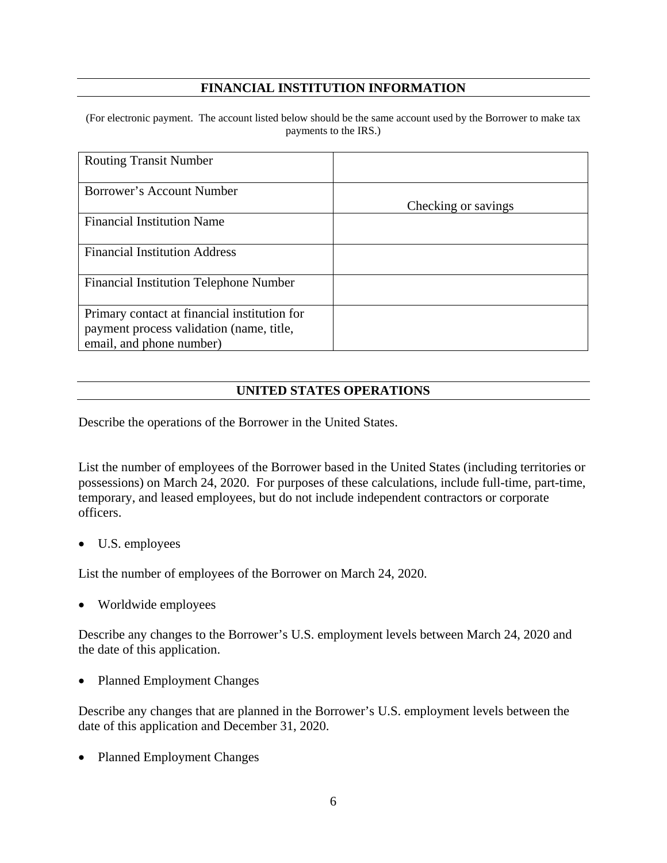# **FINANCIAL INSTITUTION INFORMATION**

(For electronic payment. The account listed below should be the same account used by the Borrower to make tax payments to the IRS.)

| <b>Routing Transit Number</b>                 |                     |
|-----------------------------------------------|---------------------|
| Borrower's Account Number                     |                     |
|                                               | Checking or savings |
| <b>Financial Institution Name</b>             |                     |
| <b>Financial Institution Address</b>          |                     |
| <b>Financial Institution Telephone Number</b> |                     |
| Primary contact at financial institution for  |                     |
| payment process validation (name, title,      |                     |
| email, and phone number)                      |                     |

#### **UNITED STATES OPERATIONS**

Describe the operations of the Borrower in the United States.

List the number of employees of the Borrower based in the United States (including territories or possessions) on March 24, 2020. For purposes of these calculations, include full-time, part-time, temporary, and leased employees, but do not include independent contractors or corporate officers.

• U.S. employees

List the number of employees of the Borrower on March 24, 2020.

• Worldwide employees

Describe any changes to the Borrower's U.S. employment levels between March 24, 2020 and the date of this application.

• Planned Employment Changes

Describe any changes that are planned in the Borrower's U.S. employment levels between the date of this application and December 31, 2020.

• Planned Employment Changes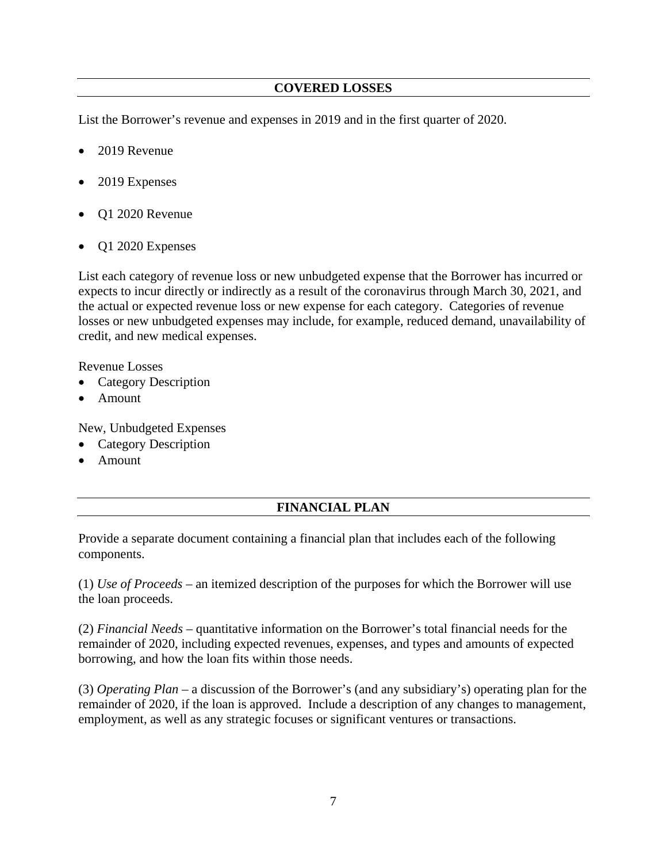# **COVERED LOSSES**

List the Borrower's revenue and expenses in 2019 and in the first quarter of 2020.

- 2019 Revenue
- 2019 Expenses
- Q1 2020 Revenue
- Q1 2020 Expenses

List each category of revenue loss or new unbudgeted expense that the Borrower has incurred or expects to incur directly or indirectly as a result of the coronavirus through March 30, 2021, and the actual or expected revenue loss or new expense for each category. Categories of revenue losses or new unbudgeted expenses may include, for example, reduced demand, unavailability of credit, and new medical expenses.

Revenue Losses

- Category Description
- Amount

New, Unbudgeted Expenses

- Category Description
- Amount

# **FINANCIAL PLAN**

Provide a separate document containing a financial plan that includes each of the following components.

(1) *Use of Proceeds* – an itemized description of the purposes for which the Borrower will use the loan proceeds.

(2) *Financial Needs* – quantitative information on the Borrower's total financial needs for the remainder of 2020, including expected revenues, expenses, and types and amounts of expected borrowing, and how the loan fits within those needs.

(3) *Operating Plan* – a discussion of the Borrower's (and any subsidiary's) operating plan for the remainder of 2020, if the loan is approved. Include a description of any changes to management, employment, as well as any strategic focuses or significant ventures or transactions.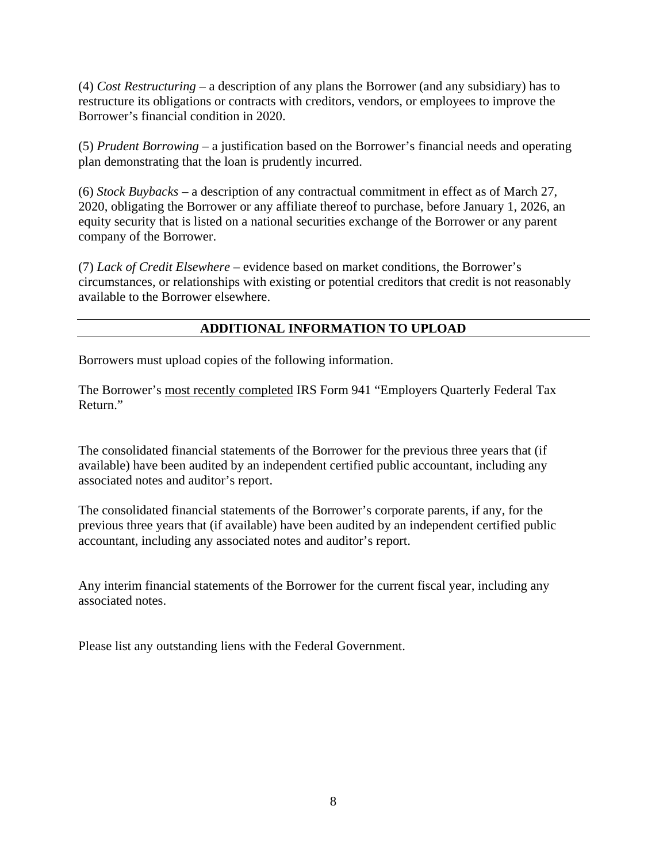(4) *Cost Restructuring* – a description of any plans the Borrower (and any subsidiary) has to restructure its obligations or contracts with creditors, vendors, or employees to improve the Borrower's financial condition in 2020.

(5) *Prudent Borrowing* – a justification based on the Borrower's financial needs and operating plan demonstrating that the loan is prudently incurred.

(6) *Stock Buybacks* – a description of any contractual commitment in effect as of March 27, 2020, obligating the Borrower or any affiliate thereof to purchase, before January 1, 2026, an equity security that is listed on a national securities exchange of the Borrower or any parent company of the Borrower.

(7) *Lack of Credit Elsewhere* – evidence based on market conditions, the Borrower's circumstances, or relationships with existing or potential creditors that credit is not reasonably available to the Borrower elsewhere.

# **ADDITIONAL INFORMATION TO UPLOAD**

Borrowers must upload copies of the following information.

The Borrower's most recently completed IRS Form 941 "Employers Quarterly Federal Tax Return."

The consolidated financial statements of the Borrower for the previous three years that (if available) have been audited by an independent certified public accountant, including any associated notes and auditor's report.

The consolidated financial statements of the Borrower's corporate parents, if any, for the previous three years that (if available) have been audited by an independent certified public accountant, including any associated notes and auditor's report.

Any interim financial statements of the Borrower for the current fiscal year, including any associated notes.

Please list any outstanding liens with the Federal Government.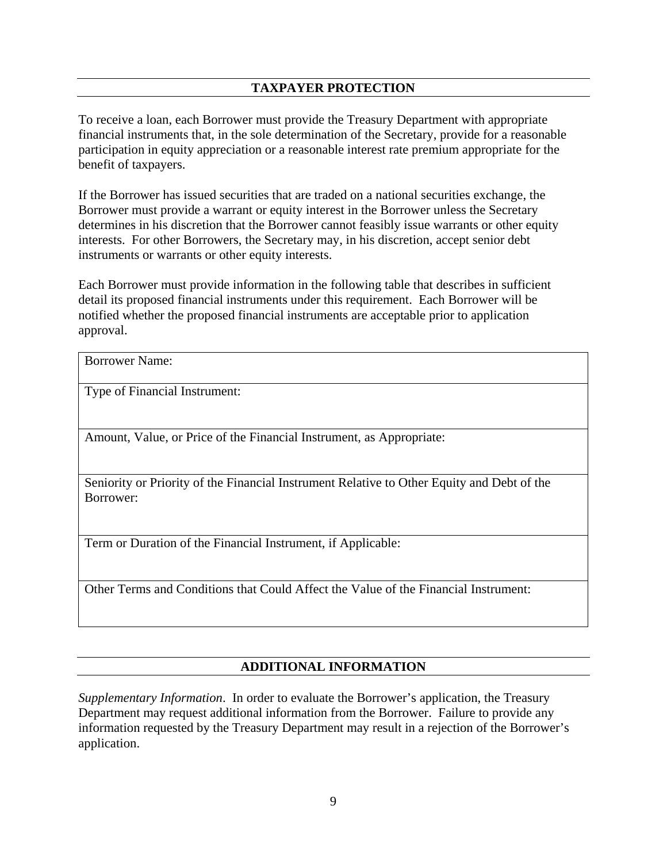# **TAXPAYER PROTECTION**

To receive a loan, each Borrower must provide the Treasury Department with appropriate financial instruments that, in the sole determination of the Secretary, provide for a reasonable participation in equity appreciation or a reasonable interest rate premium appropriate for the benefit of taxpayers.

If the Borrower has issued securities that are traded on a national securities exchange, the Borrower must provide a warrant or equity interest in the Borrower unless the Secretary determines in his discretion that the Borrower cannot feasibly issue warrants or other equity interests. For other Borrowers, the Secretary may, in his discretion, accept senior debt instruments or warrants or other equity interests.

Each Borrower must provide information in the following table that describes in sufficient detail its proposed financial instruments under this requirement. Each Borrower will be notified whether the proposed financial instruments are acceptable prior to application approval.

Type of Financial Instrument:

Amount, Value, or Price of the Financial Instrument, as Appropriate:

Seniority or Priority of the Financial Instrument Relative to Other Equity and Debt of the Borrower:

Term or Duration of the Financial Instrument, if Applicable:

Other Terms and Conditions that Could Affect the Value of the Financial Instrument:

#### **ADDITIONAL INFORMATION**

*Supplementary Information*. In order to evaluate the Borrower's application, the Treasury Department may request additional information from the Borrower. Failure to provide any information requested by the Treasury Department may result in a rejection of the Borrower's application.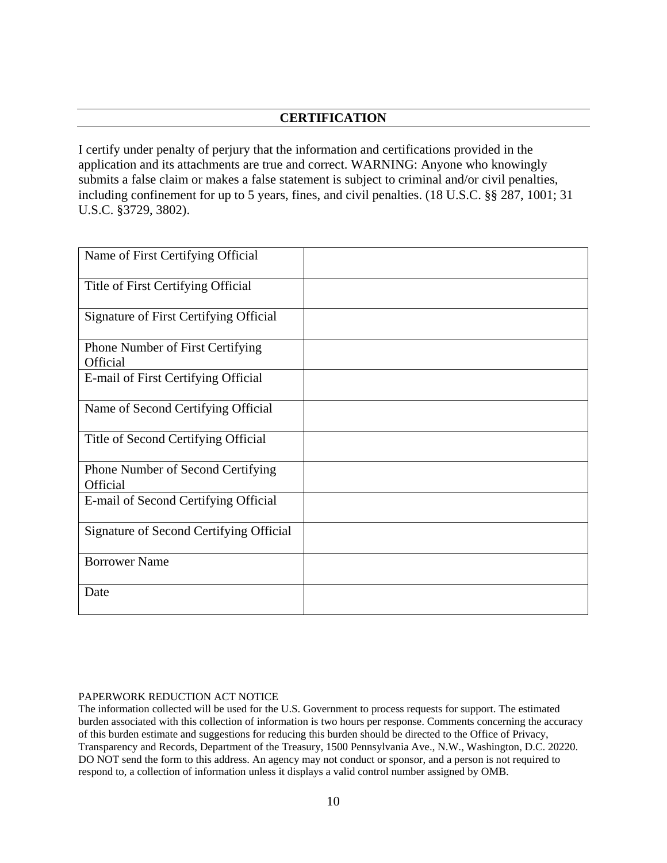# **CERTIFICATION**

I certify under penalty of perjury that the information and certifications provided in the application and its attachments are true and correct. WARNING: Anyone who knowingly submits a false claim or makes a false statement is subject to criminal and/or civil penalties, including confinement for up to 5 years, fines, and civil penalties. (18 U.S.C. §§ 287, 1001; 31 U.S.C. §3729, 3802).

| Name of First Certifying Official                   |  |
|-----------------------------------------------------|--|
| Title of First Certifying Official                  |  |
| Signature of First Certifying Official              |  |
| Phone Number of First Certifying<br><b>Official</b> |  |
| E-mail of First Certifying Official                 |  |
| Name of Second Certifying Official                  |  |
| Title of Second Certifying Official                 |  |
| Phone Number of Second Certifying<br>Official       |  |
| E-mail of Second Certifying Official                |  |
| Signature of Second Certifying Official             |  |
| <b>Borrower Name</b>                                |  |
| Date                                                |  |

#### PAPERWORK REDUCTION ACT NOTICE

The information collected will be used for the U.S. Government to process requests for support. The estimated burden associated with this collection of information is two hours per response. Comments concerning the accuracy of this burden estimate and suggestions for reducing this burden should be directed to the Office of Privacy, Transparency and Records, Department of the Treasury, 1500 Pennsylvania Ave., N.W., Washington, D.C. 20220. DO NOT send the form to this address. An agency may not conduct or sponsor, and a person is not required to respond to, a collection of information unless it displays a valid control number assigned by OMB.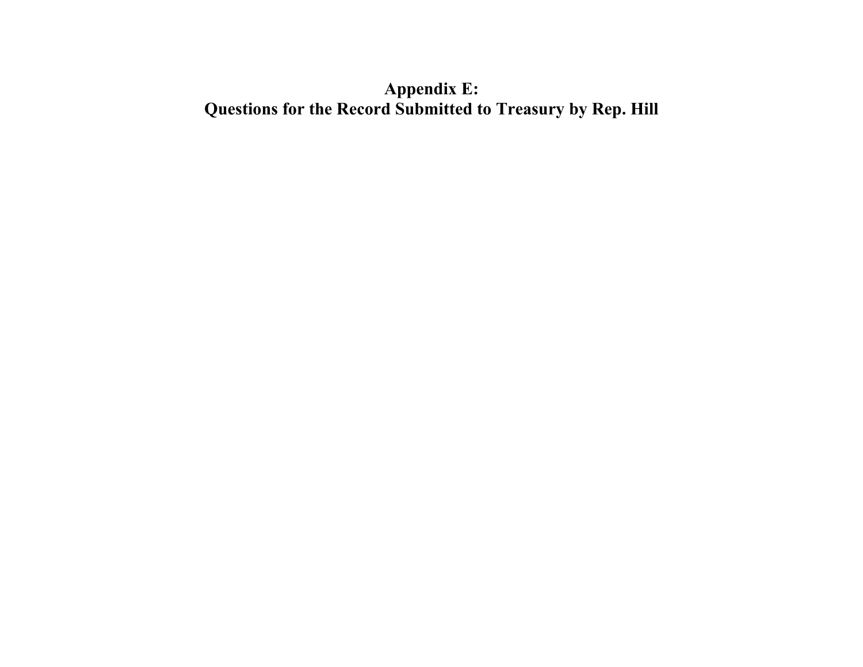# **Appendix E: Questions for the Record Submitted to Treasury by Rep. Hill**